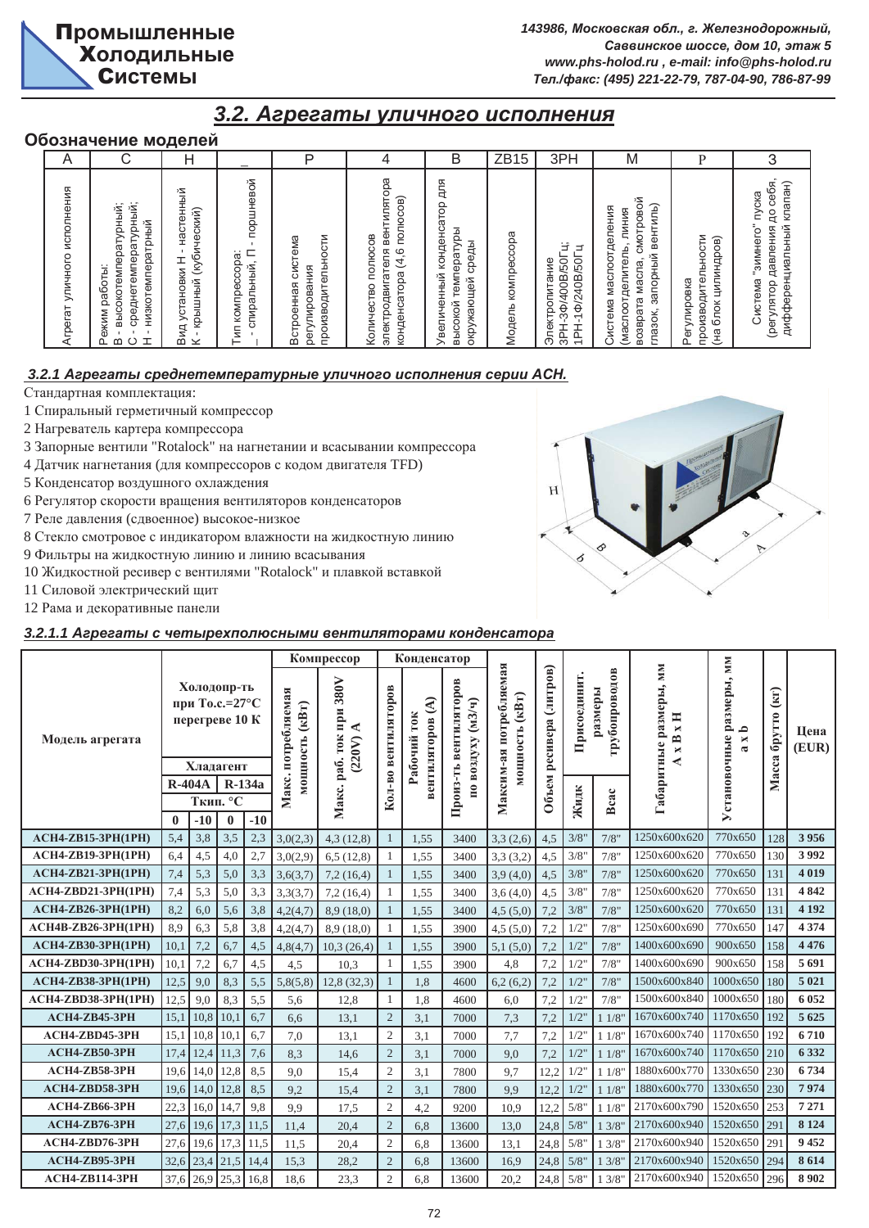# $3.2.$  *Агрегаты уличного исполнения*

# Обозначение моделей

| A                                 |                                                                                                            | Н                                                                                    |                                                    | P                                                            | 4                                                                                        | B                                                                                     | ZB1<br>5           | 3PH                                                                | M                                                                                                                    |                                                               |                                                                                                 |
|-----------------------------------|------------------------------------------------------------------------------------------------------------|--------------------------------------------------------------------------------------|----------------------------------------------------|--------------------------------------------------------------|------------------------------------------------------------------------------------------|---------------------------------------------------------------------------------------|--------------------|--------------------------------------------------------------------|----------------------------------------------------------------------------------------------------------------------|---------------------------------------------------------------|-------------------------------------------------------------------------------------------------|
| исполнения<br>уличного<br>Агрегат | среднетемпературный;<br>высокотемпературный;<br>низкотемператрный<br>работы:<br>Режим<br>ᆂ<br>മ<br>$\circ$ | настенный<br>(кубический)<br>$\mathbf{I}$<br>установки Н<br>крышный<br>Вид<br>$\geq$ | поршневой<br>E<br>komnpeccopa:<br>спиральный,<br>Ξ | производительности<br>Встроенная система<br>улирования<br>đε | электродвигателя вентилятора<br>полюсов)<br>Количество полюсов<br>(4, 6)<br>конденсатора | 돔<br>다<br>конденсатор<br>температуры<br>среды<br>Увеличенный<br>окружающей<br>высокой | Модель компрессора | Ë<br>⋰<br>10S/800P/40P-H<br>1PH-10/240B/50I<br>Электропитание<br>₩ | смотровой<br>запорный вентиль)<br>Система маслоотделения<br>(маслоотделитель, линия<br>масла,<br>возврата<br>глазок, | производительности<br>цилиндров)<br>Регулировка<br>блок<br>역) | до себя,<br>клапан)<br>пуска<br>дифференциальный<br>Система "зимнего"<br>давления<br>(регулятор |

# $3.2.1$  Агрегаты среднетемпературные уличного исполнения серии АСН.

Стандартная комплектация:

1 Спиральный герметичный компрессор

- 2 Нагреватель картера компрессора
- 3 Запорные вентили "Rotalock" на нагнетании и всасывании компрессора
- 4 Датчик нагнетания (для компрессоров с кодом двигателя TFD)
- 5 Конденсатор воздушного охлаждения
- 6 Регулятор скорости вращения вентиляторов конденсаторов
- 7 Реле давления (сдвоенное) высокое-низкое
- 8 Стекло смотровое с индикатором влажности на жидкостную линию
- 9 Фильтры на жидкостную линию и линию всасывания
- 10 Жидкостной ресивер с вентилями "Rotalock" и плавкой вставкой
- 11 Силовой электрический щит
- 12 Рама и декоративные панели

# 3.2.1.1 Агрегаты с четырехполюсными вентиляторами конденсатора

|                            |              |          |                                                                         |       |                                      | Компрессор                                                          |                | Конденсатор                                   |                                   |                                                      |                   |              |                          |                                                                                            |                                                                   |                                              |               |
|----------------------------|--------------|----------|-------------------------------------------------------------------------|-------|--------------------------------------|---------------------------------------------------------------------|----------------|-----------------------------------------------|-----------------------------------|------------------------------------------------------|-------------------|--------------|--------------------------|--------------------------------------------------------------------------------------------|-------------------------------------------------------------------|----------------------------------------------|---------------|
| Модель агрегата            |              |          | Холодопр-ть<br>при То.с.= $27^{\circ}$ С<br>перегреве 10 К<br>Хладагент |       | Макс. потребляемая<br>мощность (кВт) | 380V<br>ифи<br>$\blacktriangleleft$<br><b>TOK</b><br>(220V)<br>pa6. | вентиляторов   | $\mathfrak{S}$<br>Рабочий ток<br>вентиляторов | вентиляторов<br>по воздуху (м3/ч) | Максим-ая потребляемая<br>$(\kappa B_T)$<br>иощность | ресивера (литров) | Присоединит. | грубопроводов<br>размеры | Габаритные размеры, мм<br>H<br>$\blacksquare$<br>$\overline{\mathbf{r}}$<br>$\blacksquare$ | размеры, мм<br>$\mathbf{\Omega}$<br>Установочные<br>×<br>$\sigma$ | $\left( \text{KT}\right)$<br>брутто<br>Macca | Цена<br>(EUR) |
|                            |              | $R-404A$ | R-134a                                                                  |       |                                      |                                                                     | Кол-во         |                                               | Произ-ть                          |                                                      | Объем             |              |                          |                                                                                            |                                                                   |                                              |               |
|                            | $\mathbf{0}$ | $-10$    | Ткип. °С<br>$\bf{0}$                                                    | $-10$ |                                      | Макс.                                                               |                |                                               |                                   |                                                      |                   | Жидк         | Bcac                     |                                                                                            |                                                                   |                                              |               |
| <b>ACH4-ZB15-3PH(1PH)</b>  | 5,4          | 3,8      | 3,5                                                                     | 2,3   | 3,0(2,3)                             | 4,3(12,8)                                                           |                | 1.55                                          | 3400                              | 3,3(2,6)                                             | 4,5               | 3/8"         | 7/8"                     | 1250x600x620                                                                               | 770x650                                                           | 128                                          | 3956          |
| <b>ACH4-ZB19-3PH(1PH)</b>  | 6,4          | 4,5      | 4,0                                                                     | 2,7   | 3,0(2,9)                             | 6,5(12,8)                                                           | 1              | 1,55                                          | 3400                              | 3,3(3,2)                                             | 4,5               | 3/8"         | 7/8"                     | 1250x600x620                                                                               | 770x650                                                           | 130                                          | 3992          |
| <b>ACH4-ZB21-3PH(1PH)</b>  | 7,4          | 5,3      | 5,0                                                                     | 3,3   | 3,6(3,7)                             | 7,2(16,4)                                                           |                | 1.55                                          | 3400                              | 3,9(4,0)                                             | 4,5               | 3/8"         | 7/8"                     | 1250x600x620                                                                               | 770x650                                                           | 131                                          | 4019          |
| ACH4-ZBD21-3PH(1PH)        | 7,4          | 5,3      | 5,0                                                                     | 3,3   | 3,3(3,7)                             | 7,2(16,4)                                                           |                | 1,55                                          | 3400                              | 3,6(4,0)                                             | 4,5               | 3/8"         | 7/8"                     | 1250x600x620                                                                               | 770x650                                                           | 131                                          | 4842          |
| <b>ACH4-ZB26-3PH(1PH)</b>  | 8,2          | 6,0      | 5,6                                                                     | 3,8   | 4,2(4,7)                             | 8.9(18.0)                                                           | 1              | 1,55                                          | 3400                              | 4,5(5,0)                                             | 7,2               | 3/8"         | 7/8"                     | 1250x600x620                                                                               | 770x650                                                           | 131                                          | 4 1 9 2       |
| <b>ACH4B-ZB26-3PH(1PH)</b> | 8.9          | 6,3      | 5,8                                                                     | 3,8   | 4,2(4,7)                             | 8,9(18,0)                                                           | 1              | 1,55                                          | 3900                              | 4,5(5,0)                                             | 7,2               | $1/2$ "      | 7/8"                     | 1250x600x690                                                                               | 770x650                                                           | 147                                          | 4 3 7 4       |
| <b>ACH4-ZB30-3PH(1PH)</b>  | 10,1         | 7,2      | 6,7                                                                     | 4,5   | 4,8(4,7)                             | 10,3(26,4)                                                          |                | 1.55                                          | 3900                              | 5,1(5,0)                                             | 7.2               | $1/2$ "      | 7/8"                     | 1400x600x690                                                                               | 900x650                                                           | 158                                          | 4 4 7 6       |
| ACH4-ZBD30-3PH(1PH)        | 10,1         | 7,2      | 6,7                                                                     | 4,5   | 4,5                                  | 10,3                                                                | 1              | 1,55                                          | 3900                              | 4,8                                                  | 7,2               | 1/2"         | 7/8"                     | 1400x600x690                                                                               | 900x650                                                           | 158                                          | 5691          |
| <b>ACH4-ZB38-3PH(1PH)</b>  | 12,5         | 9,0      | 8,3                                                                     | 5,5   | 5,8(5,8)                             | 12,8(32,3)                                                          | $\mathbf{1}$   | 1.8                                           | 4600                              | 6,2(6,2)                                             | 7,2               | $1/2$ "      | 7/8"                     | 1500x600x840                                                                               | 1000x650                                                          | 180                                          | 5 0 2 1       |
| ACH4-ZBD38-3PH(1PH)        | 12,5         | 9,0      | 8,3                                                                     | 5,5   | 5,6                                  | 12,8                                                                | $\mathbf{1}$   | 1,8                                           | 4600                              | 6,0                                                  | 7,2               | $1/2$ "      | 7/8"                     | 1500x600x840                                                                               | 1000x650                                                          | 180                                          | 6 0 5 2       |
| <b>АСН4-ZB45-3PH</b>       | 15,1         | 10,8     | 10,1                                                                    | 6,7   | 6.6                                  | 13,1                                                                | $\overline{c}$ | 3.1                                           | 7000                              | 7,3                                                  | 7.2               | $1/2$ "      | 11/8                     | 1670x600x740                                                                               | 1170x650                                                          | 192                                          | 5 6 25        |
| ACH4-ZBD45-3PH             | 15,1         | 10,8     | 10,1                                                                    | 6,7   | 7.0                                  | 13.1                                                                | $\mathfrak{2}$ | 3,1                                           | 7000                              | 7.7                                                  | 7.2               | $1/2$ "      | 11/8                     | 1670x600x740                                                                               | 1170x650                                                          | 192                                          | 6710          |
| ACH4-ZB50-3PH              | 17,4         | 12,4     | 11,3                                                                    | 7,6   | 8,3                                  | 14,6                                                                | $\overline{2}$ | 3,1                                           | 7000                              | 9,0                                                  | 7,2               | $1/2$ "      | 11/8                     | 1670x600x740                                                                               | 1170x650                                                          | 210                                          | 6 3 3 2       |
| ACH4-ZB58-3PH              | 19,6         | 14,0     | 12,8                                                                    | 8,5   | 9.0                                  | 15,4                                                                | $\overline{2}$ | 3,1                                           | 7800                              | 9.7                                                  | 12,2              | $1/2$ "      | 11/8                     | 1880x600x770                                                                               | 1330x650                                                          | 230                                          | 6734          |
| ACH4-ZBD58-3PH             | 19,6         | 14,0     | 12,8                                                                    | 8,5   | 9.2                                  | 15,4                                                                | $\overline{2}$ | 3,1                                           | 7800                              | 9,9                                                  | 12.2              | $1/2$ "      | 11/8                     | 1880x600x770                                                                               | 1330x650                                                          | 230                                          | 7974          |
| АСН4-ZB66-3РН              | 22,3         | 16,0     | 14,7                                                                    | 9,8   | 9.9                                  | 17,5                                                                | $\overline{2}$ | 4,2                                           | 9200                              | 10.9                                                 | 12,2              | 5/8"         | 11/8                     | 2170x600x790                                                                               | 1520x650                                                          | 253                                          | 7 2 7 1       |
| <b>ACH4-ZB76-3PH</b>       | 27,6         |          | 19,6 17,3                                                               | 11,5  | 11,4                                 | 20,4                                                                | $\overline{2}$ | 6,8                                           | 13600                             | 13,0                                                 | 24,8              | 5/8"         | 13/8                     | 2170x600x940                                                                               | 1520x650                                                          | 291                                          | 8 1 2 4       |
| ACH4-ZBD76-3PH             | 27,6         |          | 19,6 17,3                                                               | 11,5  | 11.5                                 | 20,4                                                                | $\overline{2}$ | 6.8                                           | 13600                             | 13.1                                                 | 24,8              | 5/8"         | 13/8'                    | 2170x600x940                                                                               | 1520x650                                                          | 291                                          | 9452          |
| ACH4-ZB95-3PH              | 32.6         |          | $23,4$ 21,5                                                             | 14,4  | 15,3                                 | 28,2                                                                | $\overline{2}$ | 6,8                                           | 13600                             | 16,9                                                 | 24,8              | 5/8"         | 13/8'                    | 2170x600x940                                                                               | 1520x650                                                          | 294                                          | 8614          |
| <b>ACH4-ZB114-3PH</b>      | 37,6         |          | $26,9$ 25,3 16,8                                                        |       | 18.6                                 | 23.3                                                                | $\overline{2}$ | 6.8                                           | 13600                             | 20,2                                                 | 24.8              | 5/8"         | 13/8'                    | 2170x600x940                                                                               | 1520x650                                                          | 296                                          | 8902          |

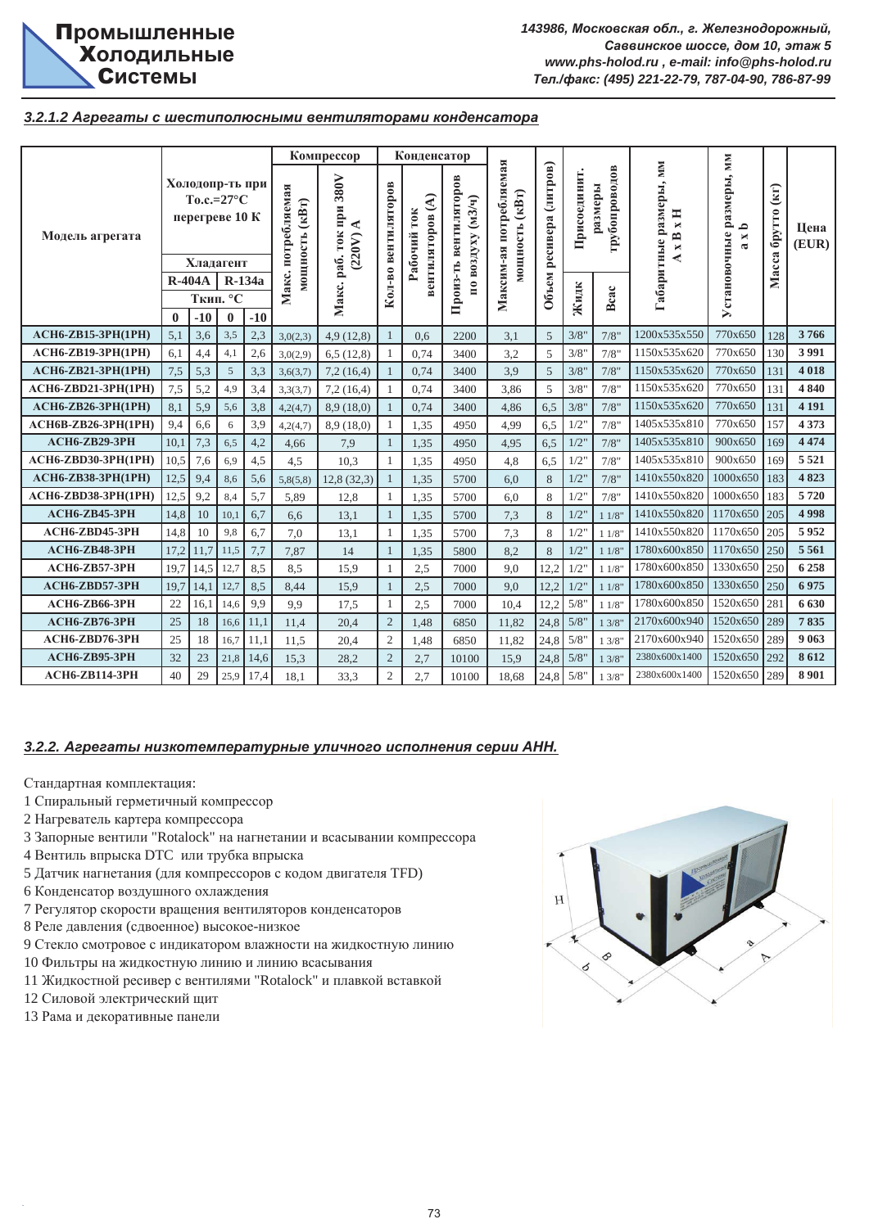

## 3.2.1.2 Агрегаты с шестиполюсными вентиляторами конденсатора

|                                                                   |                                                                                                              |                                                                         |                     |              |                                      | Компрессор                                                |                     | Конденсатор                                   |                                            |                                          |                         |              |                          |                                                                |                                                        |                   |               |
|-------------------------------------------------------------------|--------------------------------------------------------------------------------------------------------------|-------------------------------------------------------------------------|---------------------|--------------|--------------------------------------|-----------------------------------------------------------|---------------------|-----------------------------------------------|--------------------------------------------|------------------------------------------|-------------------------|--------------|--------------------------|----------------------------------------------------------------|--------------------------------------------------------|-------------------|---------------|
| Модель агрегата                                                   |                                                                                                              | Холодопр-ть при<br>To.c.= $27^{\circ}$ C<br>перегреве 10 К<br>Хладагент |                     |              | Макс. потребляемая<br>мощность (кВт) | Макс. раб. ток при 380V<br>$\blacktriangleleft$<br>(220V) | Кол-во вентиляторов | $\mathfrak{S}$<br>Рабочий ток<br>вентиляторов | Произ-ть вентиляторов<br>по воздуху (м3/ч) | Максим-ая потребляемая<br>мощность (кВт) | Объем ресивера (литров) | Присоединит. | трубопроводов<br>размеры | Габаритные размеры, мм<br>xH<br>$\mathbb{R}^{\mathbb{Z}}$<br>⋞ | Установочные размеры, мм<br>≏<br>$\bowtie$<br>$\alpha$ | Масса брутто (кг) | Цена<br>(EUR) |
|                                                                   | <b>R-404A</b>                                                                                                |                                                                         |                     | R-134a       |                                      |                                                           |                     |                                               |                                            |                                          |                         |              |                          |                                                                |                                                        |                   |               |
|                                                                   |                                                                                                              |                                                                         | Ткип. °С            |              |                                      |                                                           |                     |                                               |                                            |                                          |                         | Жидк         | Bcac                     |                                                                |                                                        |                   |               |
| АСН6-ZB15-3РН(1РН)                                                | $\mathbf{0}$<br>5,1                                                                                          | $-10$<br>3,6                                                            | $\mathbf{0}$<br>3,5 | $-10$<br>2,3 | 3,0(2,3)                             | 4,9(12,8)                                                 | $\mathbf{1}$        | 0.6                                           | 2200                                       | 3,1                                      | 5                       | 3/8"         | 7/8"                     | 1200x535x550                                                   | 770x650                                                | 128               | 3766          |
|                                                                   |                                                                                                              |                                                                         |                     | 2,6          | 3,0(2,9)                             | 6,5(12,8)                                                 | 1                   | 0.74                                          | 3400                                       | 3,2                                      | 5                       | 3/8"         | 7/8"                     | 1150x535x620                                                   | 770x650                                                | 130               | 3991          |
|                                                                   | АСН6-ZB19-3РН(1РН)<br>6,1<br>4,4<br>4,1<br><b>ACH6-ZB21-3PH(1PH)</b><br>7,5<br>5,3<br>5<br>4,9<br>7,5<br>5,2 |                                                                         |                     |              | 3,6(3,7)                             | 7,2(16,4)                                                 | 1                   | 0,74                                          | 3400                                       | 3.9                                      | 5                       | 3/8"         | 7/8"                     | 1150x535x620                                                   | 770x650                                                | 131               | 4 0 18        |
| <b>ACH6-ZBD21-3PH(1PH)</b>                                        |                                                                                                              |                                                                         |                     | 3,3<br>3,4   | 3,3(3,7)                             | 7,2(16,4)                                                 | $\mathbf{1}$        | 0,74                                          | 3400                                       | 3,86                                     | 5                       | 3/8"         | 7/8"                     | 1150x535x620                                                   | 770x650                                                | 131               | 4840          |
| АСН6-ZB26-3РН(1РН)                                                | 8,1                                                                                                          | 5,9                                                                     | 5,6                 | 3,8          | 4,2(4,7)                             | 8,9(18,0)                                                 | 1                   | 0,74                                          | 3400                                       | 4,86                                     | 6,5                     | 3/8"         | 7/8"                     | 1150x535x620                                                   | 770x650                                                | 131               | 4 1 9 1       |
| <b>ACH6B-ZB26-3PH(1PH)</b>                                        | 9,4                                                                                                          | 6,6                                                                     | 6                   | 3.9          | 4,2(4,7)                             | 8,9(18,0)                                                 | $\mathbf{1}$        | 1,35                                          | 4950                                       | 4,99                                     | 6,5                     | 1/2"         | 7/8"                     | 1405x535x810                                                   | 770x650                                                | 157               | 4373          |
| АСН6-ZB29-3РН                                                     | 10,1                                                                                                         | 7,3                                                                     | 6,5                 | 4,2          | 4,66                                 | 7,9                                                       | $\mathbf{1}$        | 1,35                                          | 4950                                       | 4,95                                     | 6,5                     | $1/2$ "      | 7/8"                     | 1405x535x810                                                   | 900x650                                                | 169               | 4 4 7 4       |
| <b>ACH6-ZBD30-3PH(1PH)</b>                                        | 10,5                                                                                                         | 7,6                                                                     | 6,9                 | 4,5          | 4,5                                  | 10,3                                                      | 1                   | 1,35                                          | 4950                                       | 4,8                                      | 6,5                     | 1/2"         | 7/8"                     | 1405x535x810                                                   | 900x650                                                | 169               | 5 5 2 1       |
| <b>ACH6-ZB38-3PH(1PH)</b>                                         | 12,5                                                                                                         | 9,4                                                                     | 8,6                 | 5,6          | 5,8(5,8)                             | 12,8(32,3)                                                | $\mathbf{1}$        | 1,35                                          | 5700                                       | 6,0                                      | 8                       | 1/2"         | 7/8"                     | 1410x550x820                                                   | 1000x650                                               | 183               | 4823          |
| <b>ACH6-ZBD38-3PH(1PH)</b>                                        | 12,5                                                                                                         | 9,2                                                                     | 8,4                 | 5,7          | 5,89                                 | 12,8                                                      | 1                   | 1,35                                          | 5700                                       | 6,0                                      | 8                       | $1/2$ "      | 7/8"                     | 1410x550x820                                                   | 1000x650                                               | 183               | 5720          |
| АСН6-ZB45-3РН                                                     | 14,8                                                                                                         | 10                                                                      | 10,1                | 6,7          | 6,6                                  | 13,1                                                      | $\mathbf{1}$        | 1,35                                          | 5700                                       | 7,3                                      | 8                       | $1/2$ "      | 11/8                     | 1410x550x820                                                   | 1170x650                                               | 205               | 4998          |
| ACH6-ZBD45-3PH                                                    | 14,8                                                                                                         | 10                                                                      | 9,8                 | 6,7          | 7,0                                  | 13,1                                                      | $\mathbf{1}$        | 1,35                                          | 5700                                       | 7,3                                      | 8                       | $1/2$ "      | 11/8                     | 1410x550x820                                                   | 1170x650                                               | 205               | 5952          |
| АСН6-ZB48-3РН                                                     | 17,2                                                                                                         | 11,7                                                                    | 11,5                | 7,7          | 7,87                                 | 14                                                        | $\mathbf{1}$        | 1,35                                          | 5800                                       | 8,2                                      | 8                       | $1/2$ "      | 11/8                     | 1780x600x850                                                   | 1170x650                                               | 250               | 5 5 6 1       |
| АСН6-ZB57-3РН                                                     | 19,7                                                                                                         | 14,5                                                                    | 12,7                | 8,5          | 8,5                                  | 15,9                                                      | 1                   | 2,5                                           | 7000                                       | 9,0                                      | 12,2                    | 1/2"         | 11/8                     | 1780x600x850                                                   | 1330x650                                               | 250               | 6258          |
| ACH6-ZBD57-3PH                                                    | 19,7                                                                                                         | 14,1                                                                    | 12,7                | 8,5          | 8,44                                 | 15,9                                                      | $\mathbf{1}$        | 2,5                                           | 7000                                       | 9,0                                      | 12,2                    | $1/2$ "      | 11/8                     | 1780x600x850                                                   | 1330x650                                               | 250               | 6975          |
| АСН6-ZB66-3РН                                                     | 22                                                                                                           | 16,1                                                                    | 14,6                | 9,9          | 9,9                                  | 17,5                                                      | $\mathbf{1}$        | 2,5                                           | 7000                                       | 10,4                                     | 12,2                    | 5/8"         | 11/8                     | 1780x600x850                                                   | 1520x650                                               | 281               | 6 630         |
| АСН6-ZB76-3РН                                                     | 25                                                                                                           | 18                                                                      | 16,6                | 11,1         | 11,4                                 | 20,4                                                      | $\overline{2}$      | 1,48                                          | 6850                                       | 11,82                                    | 24,8                    | 5/8"         | 13/8                     | 2170x600x940                                                   | 1520x650                                               | 289               | 7835          |
| ACH6-ZBD76-3PH                                                    | 25                                                                                                           | 18                                                                      | 16,7                | 11,1         | 11,5                                 | 20,4                                                      | $\mathbf{2}$        | 1,48                                          | 6850                                       | 11,82                                    | 24,8                    | 5/8"         | 13/8                     | 2170x600x940                                                   | 1520x650                                               | 289               | 9 0 63        |
| АСН6-ZB95-3РН                                                     | 32                                                                                                           | 23                                                                      | 21,8                | 14,6         | 15,3                                 | 28,2                                                      | $\overline{c}$      | 2,7                                           | 10100                                      | 15,9                                     | 24,8                    | 5/8"         | 13/8                     | 2380x600x1400                                                  | 1520x650                                               | 292               | 8612          |
| АСН6-ZB114-3РН                                                    | 40                                                                                                           | 29                                                                      | 25,9                | 17,4         | 18,1                                 | 33,3                                                      | $\overline{c}$      | 2,7                                           | 10100                                      | 18,68                                    | 24,8                    | 5/8"         | 13/8                     | 2380x600x1400                                                  | 1520x650                                               | 289               | 8 9 0 1       |
| 3.2.2. Агрегаты низкотемпературные уличного исполнения серии АНН. |                                                                                                              |                                                                         |                     |              |                                      |                                                           |                     |                                               |                                            |                                          |                         |              |                          |                                                                |                                                        |                   |               |

- 1 Спиральный герметичный компрессор
- 2 Нагреватель картера компрессора
- 3 Запорные вентили "Rotalock" на нагнетании и всасывании компрессора
- 4 Вентиль впрыска DTC или трубка впрыска
- 5 Датчик нагнетания (для компрессоров с кодом двигателя TFD)
- 6 Конденсатор воздушного охлаждения
- 7 Регулятор скорости вращения вентиляторов конденсаторов
- 8 Реле давления (сдвоенное) высокое-низкое
- 9 Стекло смотровое с индикатором влажности на жидкостную линию
- 10 Фильтры на жидкостную линию и линию всасывания
- 11 Жидкостной ресивер с вентилями "Rotalock" и плавкой вставкой
- 12 Силовой электрический щит
- 13 Рама и декоративные панели

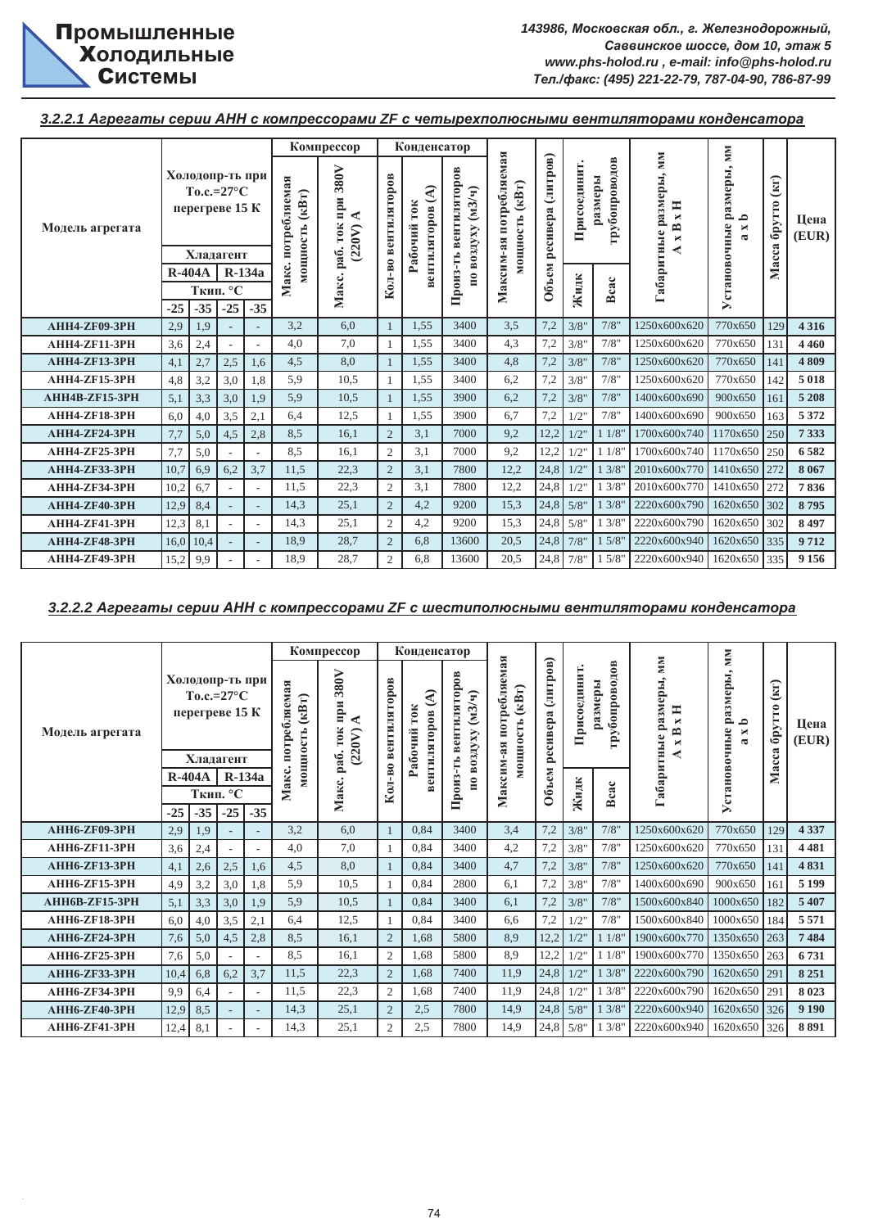**3.2.2.1 Агрегаты серии АНН с компрессорами ZF с четырехполюсными вентиляторами конденсатора** 

|                      |          |                                                                       |                          |        |                                                    | Компрессор                                |                | Конденсатор                                |                                             |                                                         |                      |             |                          |                                                                                | NМ                                                             |                                               |               |
|----------------------|----------|-----------------------------------------------------------------------|--------------------------|--------|----------------------------------------------------|-------------------------------------------|----------------|--------------------------------------------|---------------------------------------------|---------------------------------------------------------|----------------------|-------------|--------------------------|--------------------------------------------------------------------------------|----------------------------------------------------------------|-----------------------------------------------|---------------|
| Модель агрегата      |          | Холодопр-ть при<br>$To.c.=27^{\circ}C$<br>перегреве 15 К<br>Хладагент |                          |        | Макс. потребляемая<br>$(\kappa B\tau)$<br>мощность | 380V<br>при<br>◀<br>TOK<br>(220V)<br>pa6. | вентиляторов   | ੨<br><b>TOK</b><br>зентиляторов<br>Рабочий | вентиляторов<br>$(M3/\gamma)$<br>по воздуху | потребляемая<br>$(\kappa B_T)$<br>мощность<br>Максим-ая | (литров)<br>ресивера | Присоединит | грубопроводов<br>размеры | <b>MM</b><br>Габаритные размеры,<br>Ħ<br>$\blacksquare$<br>≏<br>$\blacksquare$ | размеры,<br>≏<br><b>Установочные</b><br>×<br>$\mathbf{\alpha}$ | $\left( \text{kr} \right)$<br>брутто<br>Macca | Цена<br>(EUR) |
|                      | $R-404A$ |                                                                       |                          | R-134a |                                                    |                                           | Кол-во         |                                            |                                             |                                                         |                      |             |                          |                                                                                |                                                                |                                               |               |
|                      |          |                                                                       | Ткип. °С                 |        |                                                    | Макс.                                     |                |                                            | Произ-ть                                    |                                                         | Объем                | Жидк        | Bcac                     |                                                                                |                                                                |                                               |               |
|                      | $-25$    | $-35$                                                                 | $-25$                    | $-35$  |                                                    |                                           |                |                                            |                                             |                                                         |                      |             |                          |                                                                                |                                                                |                                               |               |
| <b>АНН4-ZF09-3PH</b> | 2,9      | 1.9                                                                   |                          |        | 3,2                                                | 6,0                                       |                | 1,55                                       | 3400                                        | 3,5                                                     | 7,2                  | 3/8"        | 7/8"                     | 1250x600x620                                                                   | 770x650                                                        | 129                                           | 4 3 1 6       |
| <b>AHH4-ZF11-3PH</b> | 3,6      | 2,4                                                                   | ٠                        |        | 4,0                                                | 7,0                                       |                | 1,55                                       | 3400                                        | 4,3                                                     | 7,2                  | 3/8"        | 7/8"                     | 1250x600x620                                                                   | 770x650                                                        | 131                                           | 4 4 6 0       |
| <b>AHH4-ZF13-3PH</b> | 4,1      | 2,7                                                                   | 2,5                      | 1.6    | 4,5                                                | 8,0                                       |                | 1,55                                       | 3400                                        | 4,8                                                     | 7,2                  | 3/8"        | 7/8"                     | 1250x600x620                                                                   | 770x650                                                        | 141                                           | 4809          |
| <b>AHH4-ZF15-3PH</b> | 4,8      | 3,2                                                                   | 3,0                      | 1.8    | 5,9                                                | 10,5                                      |                | 1,55                                       | 3400                                        | 6,2                                                     | 7,2                  | 3/8"        | 7/8"                     | 1250x600x620                                                                   | 770x650                                                        | 142                                           | 5018          |
| AHH4B-ZF15-3PH       | 5,1      | 3,3                                                                   | 3,0                      | 1.9    | 5,9                                                | 10,5                                      |                | 1,55                                       | 3900                                        | 6,2                                                     | 7,2                  | 3/8"        | 7/8"                     | 1400x600x690                                                                   | 900x650                                                        | 161                                           | 5 2 0 8       |
| <b>AHH4-ZF18-3PH</b> | 6,0      | 4,0                                                                   | 3,5                      | 2,1    | 6,4                                                | 12,5                                      |                | 1,55                                       | 3900                                        | 6,7                                                     | 7,2                  | 1/2"        | 7/8"                     | 1400x600x690                                                                   | 900x650                                                        | 163                                           | 5 3 7 2       |
| <b>АНН4-ZF24-3PH</b> | 7,7      | 5,0                                                                   | 4,5                      | 2,8    | 8,5                                                | 16,1                                      | $\overline{2}$ | 3,1                                        | 7000                                        | 9,2                                                     | 12,2                 | $1/2$ "     | 11/8                     | 1700x600x740                                                                   | 1170x650                                                       | 250                                           | 7333          |
| <b>AHH4-ZF25-3PH</b> | 7,7      | 5,0                                                                   |                          |        | 8,5                                                | 16,1                                      | $\overline{c}$ | 3,1                                        | 7000                                        | 9,2                                                     | 12,2                 | 1/2"        | 11/8                     | 1700x600x740                                                                   | 1170x650                                                       | 250                                           | 6582          |
| <b>АНН4-ZF33-3PH</b> | 10,7     | 6,9                                                                   | 6,2                      | 3,7    | 11,5                                               | 22,3                                      | $\overline{2}$ | 3,1                                        | 7800                                        | 12,2                                                    | 24,8                 | 1/2"        | 13/8                     | 2010x600x770                                                                   | 1410x650                                                       | 272                                           | 8 0 6 7       |
| <b>AHH4-ZF34-3PH</b> | 10,2     | 6.7                                                                   |                          |        | 11.5                                               | 22,3                                      | $\overline{c}$ | 3,1                                        | 7800                                        | 12,2                                                    | 24,8                 | 1/2"        | 13/8                     | 2010x600x770                                                                   | 1410x650                                                       | 272                                           | 7836          |
| <b>AHH4-ZF40-3PH</b> | 12,9     | 8,4                                                                   |                          |        | 14.3                                               | 25,1                                      | $\overline{2}$ | 4,2                                        | 9200                                        | 15,3                                                    | 24.8                 | 5/8"        | 13/8                     | 2220x600x790                                                                   | 1620x650 302                                                   |                                               | 8795          |
| <b>АНН4-ZF41-3PH</b> | 12,3     | 8,1                                                                   | $\overline{\phantom{a}}$ |        | 14.3                                               | 25,1                                      | $\overline{2}$ | 4.2                                        | 9200                                        | 15.3                                                    | 24,8                 | 5/8"        | 13/8                     | 2220x600x790                                                                   | 1620x650                                                       | 302                                           | 8497          |
| АНН4-ZF48-3РН        | 16,0     | 10,4                                                                  |                          |        | 18,9                                               | 28,7                                      | $\overline{2}$ | 6,8                                        | 13600                                       | 20,5                                                    | 24,8                 | 7/8"        | 15/8                     | 2220x600x940                                                                   | 1620x650                                                       | 335                                           | 9712          |
| <b>АНН4-ZF49-3PH</b> | 15,2     | 9,9                                                                   |                          |        | 18,9                                               | 28,7                                      | $\overline{2}$ | 6,8                                        | 13600                                       | 20,5                                                    |                      | 24,8 7/8"   | 15/8'                    | 2220x600x940                                                                   | 1620x650                                                       | 335                                           | 9 1 5 6       |

# **3.2.2.2 Агрегаты серии АНН с компрессорами ZF с шестиполюсными вентиляторами конденсатора**

|                       |          |       |                                                                       |          |                                            | Компрессор                                |                | Конденсатор                               |                                                      |                                                     |                      |            |                             |                                                                                                  | NМ                                            |                                              |               |
|-----------------------|----------|-------|-----------------------------------------------------------------------|----------|--------------------------------------------|-------------------------------------------|----------------|-------------------------------------------|------------------------------------------------------|-----------------------------------------------------|----------------------|------------|-----------------------------|--------------------------------------------------------------------------------------------------|-----------------------------------------------|----------------------------------------------|---------------|
| Модель агрегата       |          |       | Холодопр-ть при<br>$To.c.=27^{\circ}C$<br>перегреве 15 К<br>Хладагент |          | потребляемая<br>$(\kappa B_T)$<br>мощность | 380V<br>при<br>⋖<br>TOK<br>(220V)<br>pa6. | вентиляторов   | ⋜<br><b>TOK</b><br>зентиляторов<br>абочий | вентиляторов<br>$(M3/\mathbf{q})$<br>по воздуху<br>Ê | потребляемая<br>$(\kappa B_T)$<br>иощность<br>$-35$ | (литров)<br>ресивера | Присоедини | S<br>грубопровод<br>размеры | MМ<br>размеры,<br>H<br>$\blacksquare$<br>$\overline{\mathbf{r}}$<br>Габаритные<br>$\blacksquare$ | размеры,<br>≏<br>становочные<br>×<br>$\sigma$ | $\left( \text{KT}\right)$<br>брутто<br>Macca | Шена<br>(EUR) |
|                       | $R-404A$ |       |                                                                       | $R-134a$ | Макс.                                      |                                           | Кол-во         |                                           | Произ-                                               | Максим                                              | Объем                |            |                             |                                                                                                  |                                               |                                              |               |
|                       | $-25$    | $-35$ | Ткип. °С<br>$-25$                                                     | $-35$    |                                            | Макс.                                     |                |                                           |                                                      |                                                     |                      | Жидк       | Bcac                        |                                                                                                  | ⋋                                             |                                              |               |
| <b>АНН6-ZF09-3PH</b>  | 2,9      | 1,9   |                                                                       |          | 3.2                                        | 6.0                                       |                | 0.84                                      | 3400                                                 | 3.4                                                 | 7,2                  | 3/8"       | 7/8"                        | 1250x600x620                                                                                     | 770x650                                       | 129                                          | 4 3 3 7       |
| <b>AHH6-ZF11-3PH</b>  | 3,6      | 2,4   | $\overline{\phantom{a}}$                                              |          | 4.0                                        | 7,0                                       |                | 0.84                                      | 3400                                                 | 4,2                                                 | 7,2                  | 3/8"       | 7/8"                        | 1250x600x620                                                                                     | 770x650                                       | 131                                          | 4481          |
| <b>АНН6-ZF13-3PH</b>  | 4,1      | 2,6   | 2,5                                                                   | 1,6      | 4.5                                        | 8.0                                       |                | 0.84                                      | 3400                                                 | 4,7                                                 | 7,2                  | 3/8"       | 7/8"                        | 1250x600x620                                                                                     | 770x650                                       | 141                                          | 4831          |
| <b>AHH6-ZF15-3PH</b>  | 4,9      | 3,2   | 3,0                                                                   | 1,8      | 5.9                                        | 10,5                                      |                | 0.84                                      | 2800                                                 | 6.1                                                 | 7,2                  | 3/8"       | 7/8"                        | 1400x600x690                                                                                     | 900x650                                       | 161                                          | 5 1 9 9       |
| <b>AHH6B-ZF15-3PH</b> | 5,1      | 3,3   | 3,0                                                                   | 1,9      | 5,9                                        | 10,5                                      |                | 0.84                                      | 3400                                                 | 6,1                                                 | 7,2                  | 3/8"       | 7/8"                        | 1500x600x840                                                                                     | 1000x650                                      | 182                                          | 5 407         |
| <b>AHH6-ZF18-3PH</b>  | 6,0      | 4,0   | 3,5                                                                   | 2,1      | 6.4                                        | 12,5                                      |                | 0,84                                      | 3400                                                 | 6.6                                                 | 7,2                  | 1/2"       | 7/8"                        | 1500x600x840                                                                                     | 1000x650                                      | 184                                          | 5 5 7 1       |
| <b>АНН6-ZF24-3PH</b>  | 7,6      | 5,0   | 4,5                                                                   | 2,8      | 8,5                                        | 16,1                                      | $\overline{2}$ | 1,68                                      | 5800                                                 | 8,9                                                 | 12,2                 | 1/2"       | 11/8                        | 1900x600x770                                                                                     | 1350x650                                      | 263                                          | 7484          |
| <b>АНН6-ZF25-3PH</b>  | 7,6      | 5,0   |                                                                       |          | 8.5                                        | 16,1                                      | $\overline{2}$ | 1,68                                      | 5800                                                 | 8.9                                                 | 12,2                 | 1/2"       | 11/8'                       | 1900x600x770                                                                                     | 1350x650                                      | 263                                          | 6731          |
| <b>АНН6-ZF33-3PH</b>  | 10,4     | 6,8   | 6,2                                                                   | 3,7      | 11,5                                       | 22,3                                      | $\overline{2}$ | 1,68                                      | 7400                                                 | 11,9                                                | 24,8                 | $1/2$ "    | 13/8'                       | 2220x600x790                                                                                     | 1620x650                                      | 291                                          | 8 2 5 1       |
| <b>АНН6-ZF34-3PH</b>  | 9,9      | 6,4   |                                                                       |          | 11,5                                       | 22,3                                      | $\overline{c}$ | 1.68                                      | 7400                                                 | 11,9                                                | 24,8                 | 1/2"       | 13/8                        | 2220x600x790                                                                                     | 1620x650                                      | 291                                          | 8023          |
| АНН6-ZF40-3РН         | 12,9     | 8,5   | $\overline{\phantom{a}}$                                              |          | 14.3                                       | 25,1                                      | $\overline{2}$ | 2.5                                       | 7800                                                 | 14.9                                                | 24,8                 | 5/8"       | 13/8'                       | 2220x600x940                                                                                     | 1620x650                                      | 326                                          | 9 1 9 0       |
| <b>АНН6-ZF41-3PH</b>  | 12,4     | 8,1   | $\sim$                                                                |          | 14.3                                       | 25.1                                      | $\mathfrak{2}$ | 2.5                                       | 7800                                                 | 14.9                                                | 24,8                 | 5/8"       | 13/8                        | 2220x600x940                                                                                     | 1620x650                                      | 326                                          | 8891          |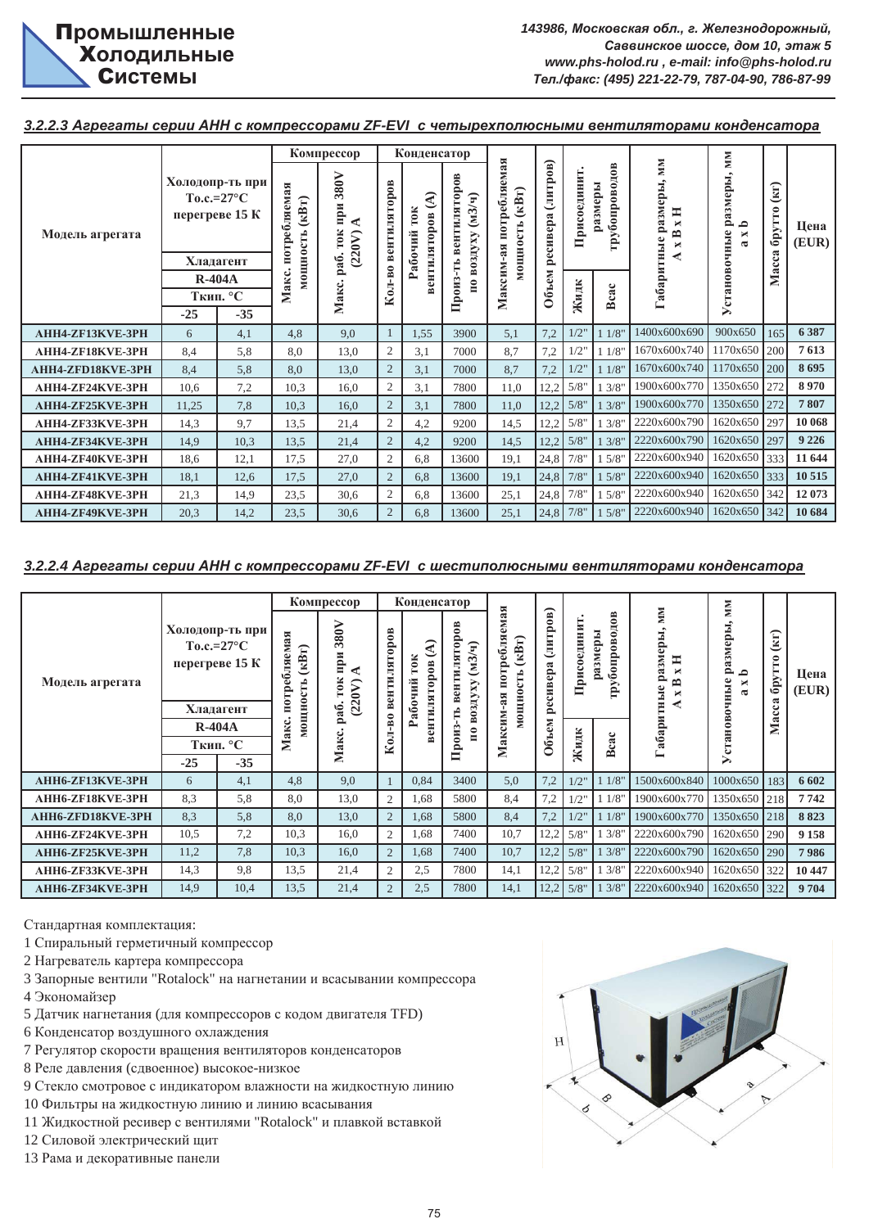3.2.2.3 Агрегаты серии АНН с компрессорами ZF-EVI с четырехполюсными вентиляторами конденсатора

|                          |          |                                                                       |                                              | Компрессор                      |                | Конденсатор                        |                                          |                                                       |                   |            |                                        |                                                                               | MМ                                                          |                                           |               |
|--------------------------|----------|-----------------------------------------------------------------------|----------------------------------------------|---------------------------------|----------------|------------------------------------|------------------------------------------|-------------------------------------------------------|-------------------|------------|----------------------------------------|-------------------------------------------------------------------------------|-------------------------------------------------------------|-------------------------------------------|---------------|
| Модель агрегата          |          | Холодопр-ть при<br>$To.c.=27^{\circ}C$<br>перегреве 15 К<br>Хладагент | потребляемая<br>$(\kappa B\tau)$<br>мощность | 380V<br>при<br>◀<br>(220V)<br>ε | вентиляторов   | €<br>10K<br>зентиляторов<br>абочий | вентиляторов<br>$(M3/\gamma)$<br>ахХибоя | потребляемая<br>$\mathbf{KB}$ T)<br>мощность<br>$-35$ | ресивера (литров) | Присоедини | $\frac{8}{2}$<br>грубопровод<br>азмеры | <b>MM</b><br>$\bullet$<br>Габаритные размеры<br>Ħ<br>×<br>B<br>$\blacksquare$ | размеры,<br>م<br>Установочные<br>$\blacksquare$<br>$\alpha$ | $\left( K\Gamma\right)$<br>брутто<br>acca | Цена<br>(EUR) |
|                          | $R-404A$ |                                                                       |                                              | 'ಹೆ<br>2                        | -B0            |                                    |                                          |                                                       |                   |            |                                        |                                                                               |                                                             | Σ                                         |               |
|                          |          | Ткип. °С                                                              | Макс.                                        | Макс.                           | Кол            |                                    | Произ-ть                                 | Максим                                                | Объем             | Жидк       | Bcac                                   |                                                                               |                                                             |                                           |               |
|                          | $-25$    | $-35$                                                                 |                                              |                                 |                |                                    |                                          |                                                       |                   |            |                                        |                                                                               |                                                             |                                           |               |
| AHH4-ZF13KVE-3PH         | 6        | 4,1                                                                   | 4,8                                          | 9,0                             |                | 1,55                               | 3900                                     | 5,1                                                   | 7,2               | 1/2"       | 11/8"                                  | 1400x600x690                                                                  | 900x650                                                     | 165                                       | 6 3 8 7       |
| AHH4-ZF18KVE-3PH         | 8,4      | 5,8                                                                   | 8.0                                          | 13,0                            | $\mathbf{2}$   | 3,1                                | 7000                                     | 8.7                                                   | 7,2               | 1/2"       | 11/8                                   | 1670x600x740                                                                  | 1170x650 200                                                |                                           | 7613          |
| <b>AHH4-ZFD18KVE-3PH</b> | 8,4      | 5,8                                                                   | 8,0                                          | 13,0                            | $\overline{2}$ | 3,1                                | 7000                                     | 8,7                                                   | 7,2               | 1/2"       | 11/8                                   | 1670x600x740                                                                  | 1170x650                                                    | 200                                       | 8695          |
| AHH4-ZF24KVE-3PH         | 10,6     | 7,2                                                                   | 10,3                                         | 16.0                            | $\overline{2}$ | 3,1                                | 7800                                     | 11,0                                                  | 12,2              | 5/8"       | 13/8'                                  | 1900x600x770                                                                  | 1350x650 272                                                |                                           | 8970          |
| AHH4-ZF25KVE-3PH         | 11,25    | 7,8                                                                   | 10,3                                         | 16,0                            | $\overline{2}$ | 3,1                                | 7800                                     | 11,0                                                  | 12,2              | 5/8"       | 13/8'                                  | 1900x600x770                                                                  | 1350x650 272                                                |                                           | 7807          |
| АНН4-ZF33KVE-3PH         | 14,3     | 9,7                                                                   | 13,5                                         | 21,4                            | $\overline{c}$ | 4,2                                | 9200                                     | 14,5                                                  | 12,2              | 5/8"       | 13/8"                                  | 2220x600x790                                                                  | 1620x650 297                                                |                                           | 10 068        |
| AHH4-ZF34KVE-3PH         | 14,9     | 10,3                                                                  | 13,5                                         | 21,4                            | $\overline{c}$ | 4,2                                | 9200                                     | 14,5                                                  | 12,2              | 5/8"       | 13/8'                                  | 2220x600x790                                                                  | 1620x650 297                                                |                                           | 9 2 2 6       |
| AHH4-ZF40KVE-3PH         | 18,6     | 12,1                                                                  | 17,5                                         | 27,0                            | $\overline{c}$ | 6,8                                | 13600                                    | 19,1                                                  | 24,8              | 7/8"       | 5/8'                                   | 2220x600x940                                                                  | 1620x650                                                    | 333                                       | 11 644        |
| AHH4-ZF41KVE-3PH         | 18,1     | 12,6                                                                  | 17,5                                         | 27,0                            | $\overline{2}$ | 6,8                                | 13600                                    | 19,1                                                  | 24,8              | 7/8"       | 15/8                                   | 2220x600x940                                                                  | 1620x650 333                                                |                                           | 10 515        |
| AHH4-ZF48KVE-3PH         | 21,3     | 14,9                                                                  | 23,5                                         | 30,6                            | $\overline{2}$ | 6,8                                | 13600                                    | 25,1                                                  | 24,8              | 7/8"       | 15/8'                                  | 2220x600x940                                                                  | 1620x650 342                                                |                                           | 12 073        |
| <b>AHH4-ZF49KVE-3PH</b>  | 20,3     | 14,2                                                                  | 23,5                                         | 30,6                            | $\overline{2}$ | 6,8                                | 13600                                    | 25,1                                                  |                   | 24,8 7/8"  | 15/8"                                  | 2220x600x940                                                                  | 1620x650 342                                                |                                           | 10 684        |

3.2.2.4 Агрегаты серии АНН с компрессорами ZF-EVI с шестиполюсными вентиляторами конденсатора

|                                      |       |                                                                       |                                                                                      | Компрессор                                                   |                                  | Конденсатор                  |                                                                             |                                                            |                      |                       |                                                                    |                                                                           | MМ                                                                                 |                                                |               |
|--------------------------------------|-------|-----------------------------------------------------------------------|--------------------------------------------------------------------------------------|--------------------------------------------------------------|----------------------------------|------------------------------|-----------------------------------------------------------------------------|------------------------------------------------------------|----------------------|-----------------------|--------------------------------------------------------------------|---------------------------------------------------------------------------|------------------------------------------------------------------------------------|------------------------------------------------|---------------|
| Модель агрегата                      |       | Холодопр-ть при<br>$To.c.=27^{\circ}C$<br>перегреве 15 К<br>Хладагент | ебляемая<br>$\mathbf{R}(\mathbf{B}\mathbf{T})$<br>мощност<br>Ě<br>$\mathbf{\hat{e}}$ | 380V<br>Ê<br>⋖<br>$\blacktriangleright$<br>$\tilde{a}$<br>್ಡ | ентиляторов<br>₫                 | TOK<br>ентиляторов<br>абочий | $\mathbf{a}$<br>илятор<br>$3/\mathbf{q}$<br>Σ<br>ÊН<br>R<br>возду<br>മ<br>⊨ | ЯЯ<br>ä<br>ребля<br>кBт)<br>5<br>ĊЪ<br>∊<br>мощно<br>$-85$ | (литров)<br>ресивера | ЦЦ<br>نه<br>కి<br>ŭфп | $\frac{8}{2}$<br>азмеры<br>⊝<br>≃<br>odno <sub>0</sub><br>ڡ<br>rpy | MМ<br>$\bullet$<br>размеры<br>$\blacksquare$<br>×<br>≏<br>Габаритные<br>× | меры<br>$\tilde{\phantom{a}}$<br>ಡ<br>2<br>≏<br>ه<br>×<br>чны<br>$\mathbf{\alpha}$ | $\left( \text{KT}\right)$<br>S<br>6pxT<br>acca | Цена<br>(EUR) |
|                                      |       | $R-404A$                                                              | akc.                                                                                 | 2                                                            | $\overline{B}$<br>$\overline{5}$ |                              | Произ-т<br>$\mathbf{r}$                                                     | аксим                                                      | Объем                |                       |                                                                    |                                                                           | станово                                                                            | Ż                                              |               |
|                                      |       | Ткип. °С                                                              | Σ                                                                                    | Макс                                                         | s                                |                              |                                                                             | Σ                                                          |                      | Жидк                  | Bcac                                                               |                                                                           |                                                                                    |                                                |               |
|                                      | $-25$ | $-35$                                                                 |                                                                                      |                                                              |                                  |                              |                                                                             |                                                            |                      |                       |                                                                    |                                                                           | ⋋                                                                                  |                                                |               |
| AHH6-ZF13KVE-3PH                     | 6     | 4,1                                                                   | 4,8                                                                                  | 9.0                                                          |                                  | 0,84                         | 3400                                                                        | 5,0                                                        | 7,2                  | $1/2$ "               | 11/8"                                                              | 1500x600x840                                                              | 1000x650                                                                           | 183                                            | 6 6 0 2       |
| AHH6-ZF18KVE-3PH                     | 8.3   | 5,8                                                                   | 8.0                                                                                  | 13,0                                                         | $\overline{2}$                   | 1,68                         | 5800                                                                        | 8,4                                                        | 7,2                  | 1/2"                  | 11/8                                                               | 1900x600x770                                                              | 1350x650 218                                                                       |                                                | 7742          |
| <b>AHH6-ZFD18KVE-3PH</b>             | 8.3   | 5,8                                                                   | 8,0                                                                                  | 13,0                                                         | $\overline{2}$                   | 1,68                         | 5800                                                                        | 8,4                                                        | 7,2                  | 1/2"                  | 11/8'                                                              | 1900x600x770                                                              | 1350x650 218                                                                       |                                                | 8823          |
| AHH6-ZF24KVE-3PH<br>AHH6-ZF25KVE-3PH | 10,5  | 7,2                                                                   | 10,3                                                                                 | 16,0                                                         | $\overline{2}$                   | 1,68                         | 7400                                                                        | 10,7                                                       | 12,2                 | 5/8"                  | 13/8'                                                              | 2220x600x790                                                              | 1620x650 290                                                                       |                                                | 9 1 5 8       |
|                                      | 11,2  | 7,8                                                                   | 10,3                                                                                 | 16,0                                                         | $\overline{2}$                   | 1,68                         | 7400                                                                        | 10,7                                                       | 12,2                 | 5/8"                  | 13/8'                                                              | 2220x600x790                                                              | 1620x650 290                                                                       |                                                | 7986          |
| AHH6-ZF33KVE-3PH                     | 14,3  | 9,8                                                                   | 13,5                                                                                 | 21,4                                                         | $\overline{2}$                   | 2.5                          | 7800                                                                        | 14,1                                                       | 12,2                 | 5/8"                  | 13/8                                                               | 2220x600x940                                                              | 1620x650 322                                                                       |                                                | 10 447        |
| AHH6-ZF34KVE-3PH                     | 14,9  | 10,4                                                                  | 13,5                                                                                 | 21,4                                                         | $\overline{2}$                   | 2,5                          | 7800                                                                        | 14,1                                                       | 12,2                 | 5/8"                  | 13/8'                                                              | 2220x600x940                                                              | 1620x650 322                                                                       |                                                | 9704          |

Стандартная комплектация:

1 Спиральный герметичный компрессор

2 Нагреватель картера компрессора

3 Запорные вентили "Rotalock" на нагнетании и всасывании компрессора

- 4 Экономайзер
- 5 Датчик нагнетания (для компрессоров с кодом двигателя TFD)
- 6 Конденсатор воздушного охлаждения
- 7 Регулятор скорости вращения вентиляторов конденсаторов
- 8 Реле давления (сдвоенное) высокое-низкое
- 9 Стекло смотровое с индикатором влажности на жидкостную линию
- 10 Фильтры на жидкостную линию и линию всасывания
- 11 Жидкостной ресивер с вентилями "Rotalock" и плавкой вставкой
- 12 Силовой электрический щит
- 13 Рама и декоративные панели

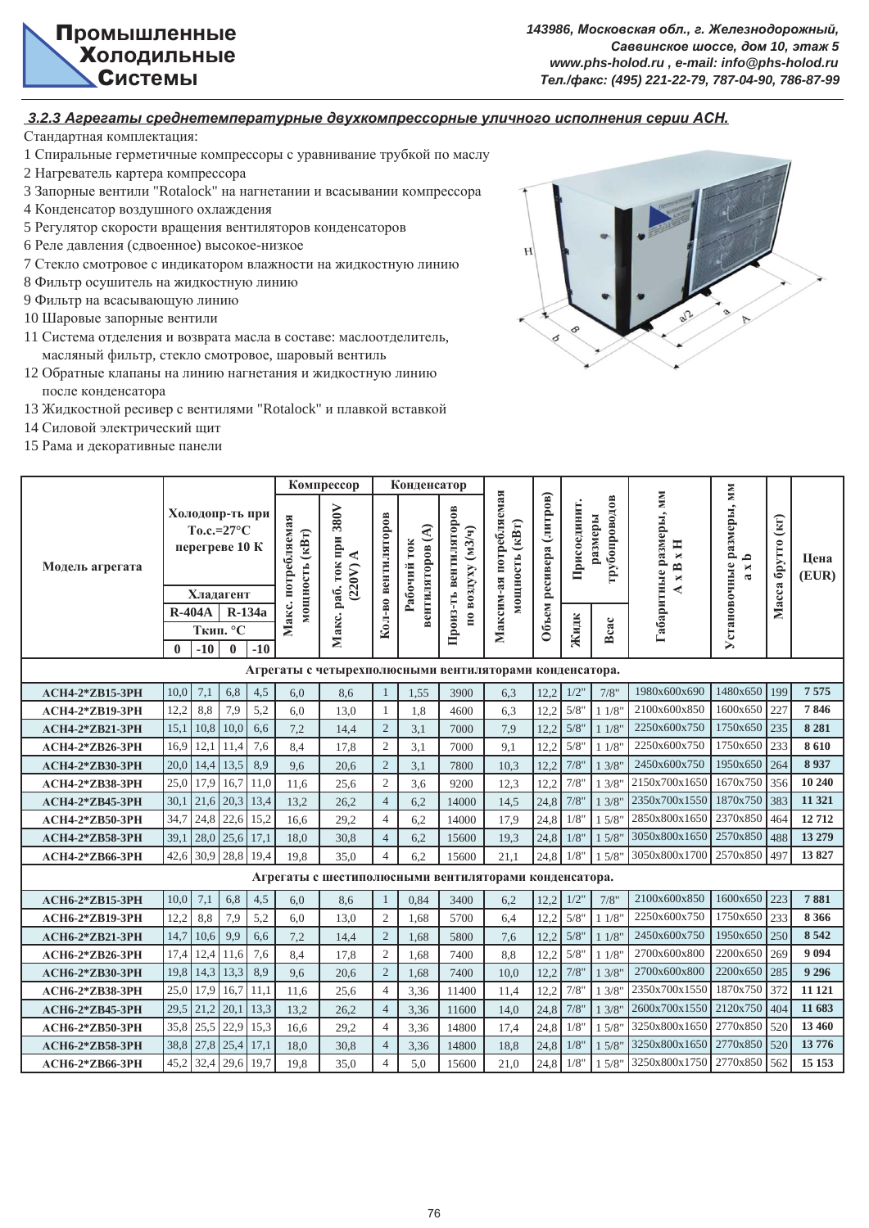$143986$ , Московская обл., г. Железнодорожный,  $Ca$ ввинское шоссе, дом 10, этаж 5 *www.phs-holod.ru , e-mail: info@phs-holod.ru Ɍɟɥ./ɮɚɤɫ: (495) 221-22-79, 787-04-90, 786-87-99*

 $3.2.3$  **Агрегаты среднетемпературные двухкомпрессорные уличного исполнения серии АСН.** 

- 1 Спиральные герметичные компрессоры с уравнивание трубкой по маслу
- 2 Нагреватель картера компрессора
- 3 Запорные вентили "Rotalock" на нагнетании и всасывании компрессора
- 4 Конденсатор воздушного охлаждения
- 5 Регулятор скорости вращения вентиляторов конденсаторов
- 6 Реле давления (сдвоенное) высокое-низкое
- 7 Стекло смотровое с индикатором влажности на жидкостную линию
- 8 Фильтр осушитель на жидкостную линию
- 9 Фильтр на всасывающую линию
- 10 Шаровые запорные вентили
- 11 Система отделения и возврата масла в составе: маслоотделитель, масляный фильтр, стекло смотровое, шаровый вентиль
- 12 Обратные клапаны на линию нагнетания и жидкостную линию после конденсатора
- 13 Жидкостной ресивер с вентилями "Rotalock" и плавкой вставкой
- 14 Силовой электрический щит
- 15 Рама и декоративные панели



|                        |                                   |                                    |          |                                      | Компрессор                                              |                     | Конденсатор                     |                                            |                                          |                         |              |                          |                                                     |                                                                   |                                  |               |
|------------------------|-----------------------------------|------------------------------------|----------|--------------------------------------|---------------------------------------------------------|---------------------|---------------------------------|--------------------------------------------|------------------------------------------|-------------------------|--------------|--------------------------|-----------------------------------------------------|-------------------------------------------------------------------|----------------------------------|---------------|
| Модель агрегата        | Холодопр-ть при<br>перегреве 10 К | To.c.= $27^{\circ}$ C<br>Хладагент |          | Макс. потребляемая<br>мощность (кВт) | 380V<br>раб. ток при<br>◀<br>(220V)                     | Кол-во вентиляторов | венгиляторов (А)<br>Рабочий ток | Произ-ть вентиляторов<br>по воздуху (м3/ч) | Максим-ая потребляемая<br>иощность (кВт) | Объем ресивера (литров) | Присоединит. | трубопроводов<br>размеры | Габаритные размеры, мм<br>xH<br>m<br>$\blacksquare$ | Установочные размеры, мм<br>م<br>$\blacksquare$<br>$\mathfrak{a}$ | $\left($ KIT)<br>брутто<br>Масса | Цена<br>(EUR) |
|                        | <b>R-404A</b>                     |                                    | $R-134a$ |                                      |                                                         |                     |                                 |                                            |                                          |                         |              |                          |                                                     |                                                                   |                                  |               |
|                        |                                   | Ткип. $\overline{C}$               |          |                                      | Макс.                                                   |                     |                                 |                                            |                                          |                         | Жидк         | Bcac                     |                                                     |                                                                   |                                  |               |
|                        | $\bf{0}$<br>$-10$                 | $\mathbf{0}$                       | $-10$    |                                      |                                                         |                     |                                 |                                            |                                          |                         |              |                          |                                                     |                                                                   |                                  |               |
|                        |                                   |                                    |          |                                      | Агрегаты с четырехполюсными вентиляторами конденсатора. |                     |                                 |                                            |                                          |                         |              |                          |                                                     |                                                                   |                                  |               |
| <b>ACH4-2*ZB15-3PH</b> | 7,1<br>10,0                       | 6,8                                | 4,5      | 6,0                                  | 8,6                                                     | 1                   | 1,55                            | 3900                                       | 6,3                                      | 12.2                    | 1/2          | 7/8"                     | 1980x600x690                                        | 1480x650                                                          | 199                              | 7575          |
| <b>ACH4-2*ZB19-3PH</b> | 8,8<br>12,2                       | 7,9                                | 5,2      | 6,0                                  | 13,0                                                    | $\mathbf{1}$        | 1,8                             | 4600                                       | 6,3                                      | 12,2                    | 5/8"         | 11/8"                    | 2100x600x850                                        | 1600x650                                                          | 227                              | 7846          |
| <b>ACH4-2*ZB21-3PH</b> | 15,1<br>10,8                      | 10,0                               | 6,6      | 7,2                                  | 14,4                                                    | $\overline{2}$      | 3,1                             | 7000                                       | 7,9                                      | 12,2                    | 5/8          | 11/8"                    | 2250x600x750                                        | 1750x650                                                          | 235                              | 8 2 8 1       |
| <b>ACH4-2*ZB26-3PH</b> | 12,1<br>16,9                      | 11,4                               | 7,6      | 8,4                                  | 17,8                                                    | $\overline{c}$      | 3,1                             | 7000                                       | 9,1                                      | 12,2                    | 5/8'         | 11/8                     | 2250x600x750                                        | 1750x650                                                          | 233                              | 8610          |
| <b>ACH4-2*ZB30-3PH</b> | 14,4<br>20,0                      | 13,5                               | 8,9      | 9,6                                  | 20,6                                                    | $\overline{2}$      | 3,1                             | 7800                                       | 10,3                                     | 12,2                    | 7/8'         | 13/8"                    | 2450x600x750                                        | 1950x650                                                          | 264                              | 8937          |
| ACH4-2*ZB38-3PH        | 17,9<br>25,0                      | 16,7                               | 11,0     | 11,6                                 | 25,6                                                    | $\overline{c}$      | 3,6                             | 9200                                       | 12,3                                     | 12.2                    | 7/8'         | 13/8"                    | 2150x700x1650                                       | 1670x750                                                          | 356                              | 10 240        |
| <b>ACH4-2*ZB45-3PH</b> | 21,6<br>30,1                      | 20,3                               | 13,4     | 13,2                                 | 26,2                                                    | $\overline{4}$      | 6,2                             | 14000                                      | 14,5                                     | 24,8                    | 7/8'         | 13/8"                    | 2350x700x1550                                       | 1870x750                                                          | 383                              | 11 321        |
| <b>ACH4-2*ZB50-3PH</b> | 24,8<br>34,7                      | 22,6                               | 15,2     | 16.6                                 | 29,2                                                    | $\overline{4}$      | 6,2                             | 14000                                      | 17,9                                     | 24,8                    | 1/8          | 1.5/8"                   | 2850x800x1650                                       | 2370x850                                                          | 464                              | 12712         |
| <b>ACH4-2*ZB58-3PH</b> | 28,0<br>39,1                      | 25,6                               | 17,1     | 18,0                                 | 30,8                                                    | $\overline{4}$      | 6,2                             | 15600                                      | 19,3                                     | 24,8                    | 1/8"         | 15/8"                    | 3050x800x1650                                       | 2570x850                                                          | 488                              | 13 279        |
| <b>ACH4-2*ZB66-3PH</b> | 30,9<br>42,6                      | 28,8                               | 19,4     | 19,8                                 | 35,0                                                    | $\overline{4}$      | 6,2                             | 15600                                      | 21,1                                     | 24,8                    | 1/8"         | 15/8"                    | 3050x800x1700                                       | 2570x850                                                          | 497                              | 13827         |
|                        |                                   |                                    |          |                                      | Агрегаты с шестиполюсными вентиляторами конденсатора.   |                     |                                 |                                            |                                          |                         |              |                          |                                                     |                                                                   |                                  |               |
| <b>ACH6-2*ZB15-3PH</b> | 7,1<br>10,0                       | 6,8                                | 4,5      | 6,0                                  | 8,6                                                     |                     | 0.84                            | 3400                                       | 6,2                                      | 12,2                    | 1/2          | 7/8"                     | 2100x600x850                                        | 1600x650                                                          | 1223                             | 7881          |
| <b>ACH6-2*ZB19-3PH</b> | 8,8<br>12,2                       | 7,9                                | 5,2      | 6,0                                  | 13,0                                                    | $\overline{c}$      | 1,68                            | 5700                                       | 6,4                                      | 12,2                    | 5/8"         | 11/8"                    | 2250x600x750                                        | 1750x650                                                          | 233                              | 8 3 6 6       |
| <b>ACH6-2*ZB21-3PH</b> | 14,7<br>10,6                      | 9,9                                | 6,6      | 7,2                                  | 14,4                                                    | $\sqrt{2}$          | 1,68                            | 5800                                       | 7,6                                      | 12.2                    | $5/8$        | 11/8"                    | 2450x600x750                                        | 1950x650                                                          | 250                              | 8 5 4 2       |
| <b>ACH6-2*ZB26-3PH</b> | 12,4<br>17,4                      | 11,6                               | 7,6      | 8,4                                  | 17,8                                                    | $\overline{2}$      | 1,68                            | 7400                                       | 8.8                                      | 12,2                    | 5/8'         | 11/8"                    | 2700x600x800                                        | 2200x650                                                          | 269                              | 9 0 9 4       |
| ACH6-2*ZB30-3PH        | 14,3<br>19,8                      | 13,3                               | 8,9      | 9,6                                  | 20,6                                                    | $\overline{2}$      | 1,68                            | 7400                                       | 10,0                                     | 12,2                    | 7/8'         | 13/8"                    | 2700x600x800                                        | 2200x650                                                          | 285                              | 9 2 9 6       |
| <b>ACH6-2*ZB38-3PH</b> | 17,9<br>25,0                      | 16,7                               | 11,1     | 11,6                                 | 25,6                                                    | $\overline{4}$      | 3,36                            | 11400                                      | 11,4                                     | 12,2                    | 7/8"         | 13/8"                    | 2350x700x1550                                       | 1870x750                                                          | 372                              | 11 121        |
| <b>ACH6-2*ZB45-3PH</b> | 21,2<br>29,5                      | 20,1                               | 13,3     | 13,2                                 | 26,2                                                    | $\overline{4}$      | 3,36                            | 11600                                      | 14,0                                     | 24,8                    | 7/8          | 13/8"                    | 2600x700x1550                                       | 2120x750                                                          | 404                              | 11 683        |
| ACH6-2*ZB50-3PH        | 25,5<br>35,8                      | 22,9                               | 15,3     | 16,6                                 | 29,2                                                    | $\overline{4}$      | 3,36                            | 14800                                      | 17,4                                     | 24,8                    | 1/8"         | 15/8"                    | 3250x800x1650                                       | 2770x850                                                          | 520                              | 13 460        |
| <b>ACH6-2*ZB58-3PH</b> | 27,8<br>38,8                      | 25,4                               | 17,1     | 18,0                                 | 30,8                                                    | $\overline{4}$      | 3,36                            | 14800                                      | 18,8                                     | 24,8                    | 1/8"         | 15/8"                    | 3250x800x1650                                       | 2770x850                                                          | 1520                             | 13776         |
| <b>ACH6-2*ZB66-3PH</b> | 32,4<br>45,2                      | 29,6                               | 19,7     | 19.8                                 | 35,0                                                    | $\overline{4}$      | 5.0                             | 15600                                      | 21,0                                     | 24,8                    | 1/8"         | 15/8"                    | 3250x800x1750                                       | 2770x850                                                          | 562                              | 15 15 3       |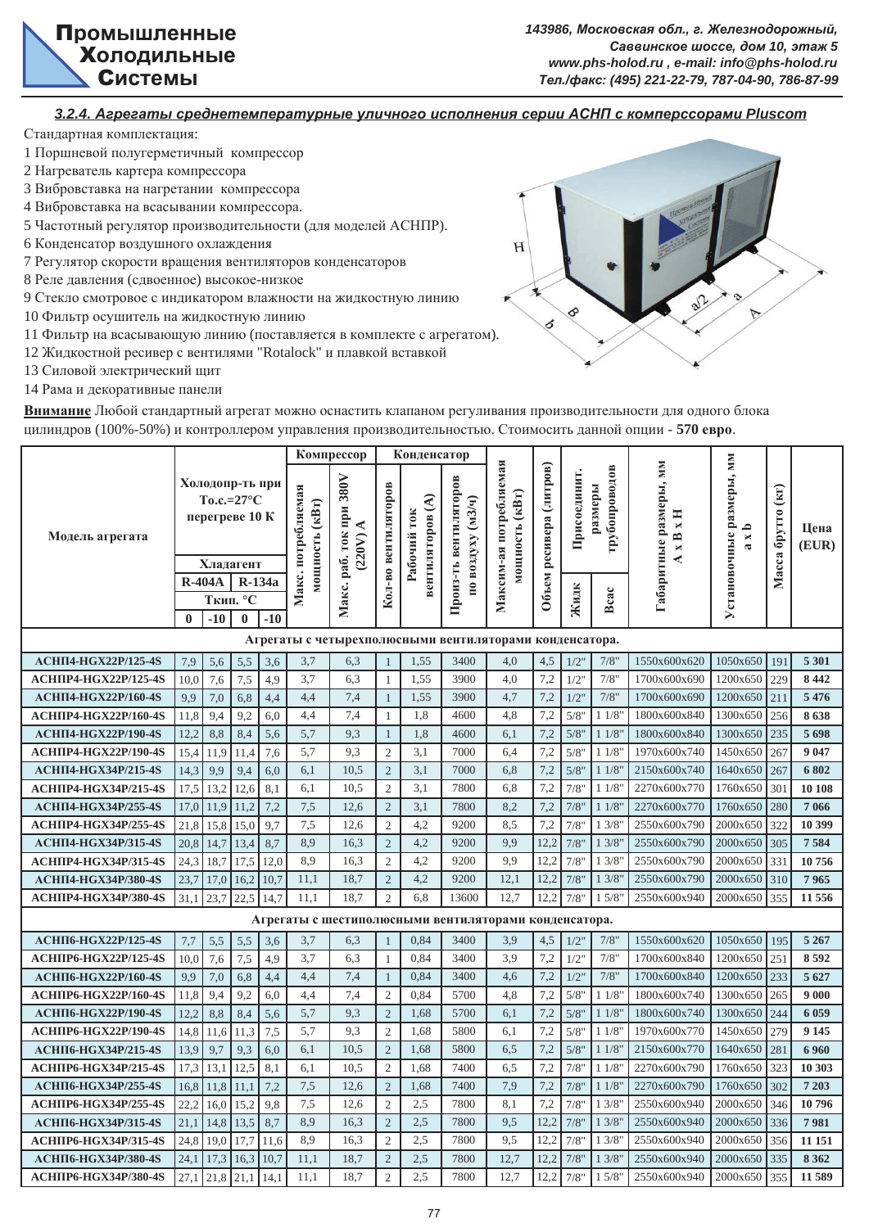

#### *3.2.4. Ⱥɝɪɟɝɚɬɵ ɫɪɟɞɧɟɬɟɦɩɟɪɚɬɭɪɧɵɟ ɭɥɢɱɧɨɝɨ ɢɫɩɨɥɧɟɧɢɹ ɫɟɪɢɢ Ⱥɋɇɉ ɫ ɤɨɦɩɟɪɫɫɨɪɚɦɢ Pluscom*

Стандартная комплектация:

- 1 Поршневой полугерметичный компрессор
- 2 Нагреватель картера компрессора
- 3 Вибровставка на нагретании компрессора
- 4 Вибровставка на всасывании компрессора.
- 5 Частотный регулятор производительности (для моделей АСНПР).
- 6 Конденсатор воздушного охлаждения
- 7 Регулятор скорости вращения вентиляторов конденсаторов
- 8 Реле давления (сдвоенное) высокое-низкое
- 9 Стекло смотровое с индикатором влажности на жидкостную линию
- 10 Фильтр осушитель на жидкостную линию
- 11 Фильтр на всасывающую линию (поставляется в комплекте с агрегатом).
- 12 Жидкостной ресивер с вентилями "Rotalock" и плавкой вставкой
- 13 Силовой электрический щит
- 14 Рама и декоративные панели



Внимание Любой стандартный агрегат можно оснастить клапаном регуливания производительности для одного блока цилиндров (100%-50%) и контроллером управления производительностью. Стоимосить данной опции - 570 евро.

|                              |               |                                                                       |          |        |                                      | Компрессор                                              |                     | Конденсатор                     |                                            |                                          |                         |              |                          |                                                                      |                                                         |                        |               |
|------------------------------|---------------|-----------------------------------------------------------------------|----------|--------|--------------------------------------|---------------------------------------------------------|---------------------|---------------------------------|--------------------------------------------|------------------------------------------|-------------------------|--------------|--------------------------|----------------------------------------------------------------------|---------------------------------------------------------|------------------------|---------------|
| Модель агрегата              | <b>R-404A</b> | Холодопр-ть при<br>$To.c.=27^{\circ}C$<br>перегреве 10 К<br>Хладагент |          | R-134a | Макс. потребляемая<br>мощность (кВт) | Макс. раб. ток при 380V<br>(220V)                       | Кол-во вентиляторов | вентиляторов (А)<br>Рабочий ток | Произ-ть вентиляторов<br>по воздуху (м3/ч) | Максим-ая потребляемая<br>мощность (кВт) | Объем ресивера (литров) | Присоединит. | трубопроводов<br>размеры | <b>MM</b><br>Габаритные размеры,<br>$\mathbf{H} \mathbf{x}$<br>$x$ B | Установочные размеры, мм<br>م<br>×<br>$\mathbf{\alpha}$ | брутто (кг)<br>Macca ( | Цена<br>(EUR) |
|                              |               |                                                                       | Ткип. °С |        |                                      |                                                         |                     |                                 |                                            |                                          |                         | Жидк         | Bcac                     |                                                                      |                                                         |                        |               |
|                              | $\mathbf{0}$  | $-10$                                                                 | $\bf{0}$ | $-10$  |                                      |                                                         |                     |                                 |                                            |                                          |                         |              |                          |                                                                      |                                                         |                        |               |
|                              |               |                                                                       |          |        |                                      | Агрегаты с четырехполюсными вентиляторами конденсатора. |                     |                                 |                                            |                                          |                         |              |                          |                                                                      |                                                         |                        |               |
| <b>АСНП4-НGX22P/125-4S</b>   | 7,9           | 5,6                                                                   | 5,5      | 3,6    | 3,7                                  | 6,3                                                     | $\mathbf{1}$        | 1,55                            | 3400                                       | 4,0                                      | 4,5                     | $1/2$ '      | 7/8"                     | 1550x600x620                                                         | 1050x650                                                | 191                    | 5 301         |
| <b>АСНПР4-НGX22P/125-4S</b>  | 10,0          | 7,6                                                                   | 7,5      | 4,9    | 3,7                                  | 6,3                                                     | $\overline{1}$      | 1,55                            | 3900                                       | 4,0                                      | 7,2                     | 1/2"         | 7/8"                     | 1700x600x690                                                         | 1200x650                                                | 229                    | 8 4 4 2       |
| <b>АСНП4-НGX22P/160-4S</b>   | 9.9           | 7,0                                                                   | 6,8      | 4,4    | 4,4                                  | 7,4                                                     | $\mathbf{1}$        | 1,55                            | 3900                                       | 4,7                                      | 7,2                     | 1/2"         | 7/8"                     | 1700x600x690                                                         | 1200x650                                                | 211                    | 5 4 7 6       |
| ACHIIP4-HGX22P/160-4S        | 11,8          | 9,4                                                                   | 9,2      | 6,0    | 4,4                                  | 7,4                                                     | $\mathbf{1}$        | 1,8                             | 4600                                       | 4,8                                      | 7,2                     | 5/8"         | 11/8"                    | 1800x600x840                                                         | 1300x650                                                | 256                    | 8638          |
| <b>АСНП4-НGX22P/190-4S</b>   | 12,2          | 8,8                                                                   | 8,4      | 5,6    | 5,7                                  | 9,3                                                     | $\overline{1}$      | 1,8                             | 4600                                       | 6,1                                      | 7,2                     | 5/8"         | 11/8"                    | 1800x600x840                                                         | 1300x650                                                | 235                    | 5698          |
| ACHIIP4-HGX22P/190-4S        | 15,4          | 11,9                                                                  | 11,4     | 7,6    | 5,7                                  | 9,3                                                     | $\sqrt{2}$          | 3.1                             | 7000                                       | 6,4                                      | 7,2                     | 5/8          | 11/8"                    | 1970x600x740                                                         | 1450x650                                                | 267                    | 9 0 4 7       |
| АСНП4-НGX34P/215-4S          | 14,3          | 9,9                                                                   | 9,4      | 6,0    | 6,1                                  | 10,5                                                    | $\overline{2}$      | 3,1                             | 7000                                       | 6,8                                      | 7,2                     | 5/8"         | 11/8"                    | 2150x600x740                                                         | 1640x650                                                | 267                    | 6802          |
| ACHIIP4-HGX34P/215-4S        | 17,5          | 13,2                                                                  | 12,6     | 8,1    | 6,1                                  | 10,5                                                    | $\overline{2}$      | 3,1                             | 7800                                       | 6,8                                      | 7,2                     | 7/8'         | 11/8                     | 2270x600x770                                                         | 1760x650                                                | 301                    | 10 10 8       |
| <b>АСНП4-НGX34P/255-4S</b>   | 17,0          | 11,9                                                                  | 11,2     | 7,2    | 7,5                                  | 12,6                                                    | $\overline{2}$      | 3,1                             | 7800                                       | 8,2                                      | 7,2                     | 7/8"         | 11/8                     | 2270x600x770                                                         | 1760x650                                                | 280                    | 7 0 6 6       |
| ACHIIP4-HGX34P/255-4S        | 21,8          | 15,8                                                                  | 15,0     | 9,7    | 7,5                                  | 12,6                                                    | $\overline{2}$      | 4,2                             | 9200                                       | 8,5                                      | 7,2                     | 7/8'         | 13/8                     | 2550x600x790                                                         | 2000x650                                                | 322                    | 10 399        |
| АСНП4-НGХ34Р/315-4S          | 20,8          | 14,7                                                                  | 13,4     | 8,7    | 8.9                                  | 16,3                                                    | $\overline{2}$      | 4,2                             | 9200                                       | 9,9                                      | 12,2                    | 7/8'         | 13/8                     | 2550x600x790                                                         | 2000x650                                                | 305                    | 7584          |
| <b>АСНПР4-НGX34P/315-4S</b>  | 24,3          | 18,7                                                                  | 17,5     | 12,0   | 8.9                                  | 16,3                                                    | $\mathfrak{2}$      | 4,2                             | 9200                                       | 9,9                                      | 12,2                    | 7/8"         | 13/8"                    | 2550x600x790                                                         | 2000x650                                                | 331                    | 10756         |
| <b>АСНП4-НGX34P/380-4S</b>   | 23,7          | 17,0                                                                  | 16,2     | 10,7   | 11,1                                 | 18,7                                                    | $\overline{2}$      | 4,2                             | 9200                                       | 12,1                                     | 12,2                    | 7/8"         | 13/8                     | 2550x600x790                                                         | 2000x650                                                | 310                    | 7965          |
| ACHIIP4-HGX34P/380-4S        | 31,1          | 23,7                                                                  | 22,5     | 14.7   | 11,1                                 | 18,7                                                    | $\mathfrak{2}$      | 6,8                             | 13600                                      | 12,7                                     | 12,2                    | 7/8"         | 15/8                     | 2550x600x940                                                         | 2000x650                                                | 355                    | 11 556        |
|                              |               |                                                                       |          |        |                                      | Агрегаты с шестиполюсными вентиляторами конденсатора.   |                     |                                 |                                            |                                          |                         |              |                          |                                                                      |                                                         |                        |               |
| АСНП6-HGX22P/125-4S          | 7,7           | 5,5                                                                   | 5,5      | 3,6    | 3,7                                  | 6,3                                                     | $\mathbf{1}$        | 0,84                            | 3400                                       | 3,9                                      | 4,5                     | $1/2$ '      | 7/8"                     | 1550x600x620                                                         | 1050x650                                                | 195                    | 5 2 6 7       |
| <b>АСНПР6-НGX22P/125-4S</b>  | 10,0          | 7,6                                                                   | 7,5      | 4,9    | 3,7                                  | 6,3                                                     | $\mathbf{1}$        | 0,84                            | 3400                                       | 3,9                                      | 7,2                     | $1/2$ "      | 7/8"                     | 1700x600x840                                                         | 1200x650                                                | 251                    | 8592          |
| <b>АСНП6-НGX22P/160-4S</b>   | 9,9           | 7,0                                                                   | 6,8      | 4,4    | 4,4                                  | 7,4                                                     | $\mathbf{1}$        | 0,84                            | 3400                                       | 4,6                                      | 7,2                     | $1/2$ "      | 7/8"                     | 1700x600x840                                                         | 1200x650                                                | 233                    | 5 6 27        |
| ACHIIP6-HGX22P/160-4S        | 11,8          | 9,4                                                                   | 9,2      | 6,0    | 4,4                                  | 7,4                                                     | $\mathfrak{2}$      | 0,84                            | 5700                                       | 4,8                                      | 7,2                     | 5/8"         | 11/8                     | 1800x600x740                                                         | 1300x650                                                | 265                    | 9 0 0 0       |
| <b>АСНП6-НGX22P/190-4S</b>   | 12,2          | 8,8                                                                   | 8,4      | 5,6    | 5,7                                  | 9,3                                                     | 2                   | 1,68                            | 5700                                       | 6,1                                      | 7,2                     | 5/8"         | 11/8"                    | 1800x600x740                                                         | 1300x650                                                | 244                    | 6 0 5 9       |
| ACHIIP6-HGX22P/190-4S        | 14.8          | 11,6                                                                  | 11,3     | 7,5    | 5,7                                  | 9,3                                                     | $\overline{2}$      | 1,68                            | 5800                                       | 6,1                                      | 7,2                     | 5/8"         | 11/8"                    | 1970x600x770                                                         | 1450x650                                                | 279                    | 9 1 45        |
| <b>АСНП6-НGX34P/215-4S</b>   | 13,9          | 9,7                                                                   | 9,3      | 6,0    | 6,1                                  | 10,5                                                    | $\sqrt{2}$          | 1,68                            | 5800                                       | 6,5                                      | 7,2                     | 5/8          | 11/8"                    | 2150x600x770                                                         | 1640x650                                                | 281                    | 6960          |
| <b>ACHIIP6-HGX34P/215-4S</b> | 17,3          | 13,1                                                                  | 12,5     | 8,1    | 6,1                                  | 10,5                                                    | $\overline{2}$      | 1,68                            | 7400                                       | 6,5                                      | 7,2                     | 7/8"         | 11/8'                    | 2270x600x790                                                         | 1760x650                                                | 323                    | 10 303        |
| АСНП6-НGX34P/255-4S          | 16,8          | 11,8                                                                  | 11,1     | 7,2    | 7,5                                  | 12,6                                                    | $\overline{c}$      | 1,68                            | 7400                                       | 7,9                                      | 7,2                     | 7/8"         | 11/8"                    | 2270x600x790                                                         | 1760x650                                                | 302                    | 7 203         |
| <b>АСНПР6-НGX34P/255-4S</b>  | 22,2          | 16,0                                                                  | 15,2     | 9,8    | 7,5                                  | 12,6                                                    | $\overline{2}$      | 2,5                             | 7800                                       | 8,1                                      | 7,2                     | 7/8"         | 13/8"                    | 2550x600x940                                                         | 2000x650                                                | 346                    | 10796         |
| АСНП6-НGX34P/315-4S          | 21,1          | 14,8                                                                  | 13,5     | 8,7    | 8,9                                  | 16,3                                                    | $\overline{2}$      | 2,5                             | 7800                                       | 9,5                                      | 12.2                    | 7/8"         | 13/8"                    | 2550x600x940                                                         | 2000x650                                                | 336                    | 7981          |
| <b>ACHIIP6-HGX34P/315-4S</b> | 24.8          | 19,0                                                                  | 17,7     | 11.6   | 8,9                                  | 16,3                                                    | $\overline{2}$      | 2,5                             | 7800                                       | 9,5                                      | 12,2                    | 7/8'         | 13/8'                    | 2550x600x940                                                         | 2000x650                                                | 356                    | 11 151        |
| <b>АСНП6-НGX34P/380-4S</b>   | 24,1          | 17,3                                                                  | 16,3     | 10,7   | 11,1                                 | 18,7                                                    | $\overline{2}$      | 2,5                             | 7800                                       | 12,7                                     | 12,2                    | 7/8"         | 13/8'                    | 2550x600x940                                                         | 2000x650                                                | 335                    | 8 3 6 2       |
| <b>АСНПР6-НGX34P/380-4S</b>  | 27.1          | 21,8                                                                  | 21,1     | 14.1   | 11,1                                 | 18,7                                                    | $\overline{c}$      | 2,5                             | 7800                                       | 12,7                                     | 12,2                    | 7/8"         | 15/8'                    | 2550x600x940                                                         | 2000x650                                                | 355                    | 11589         |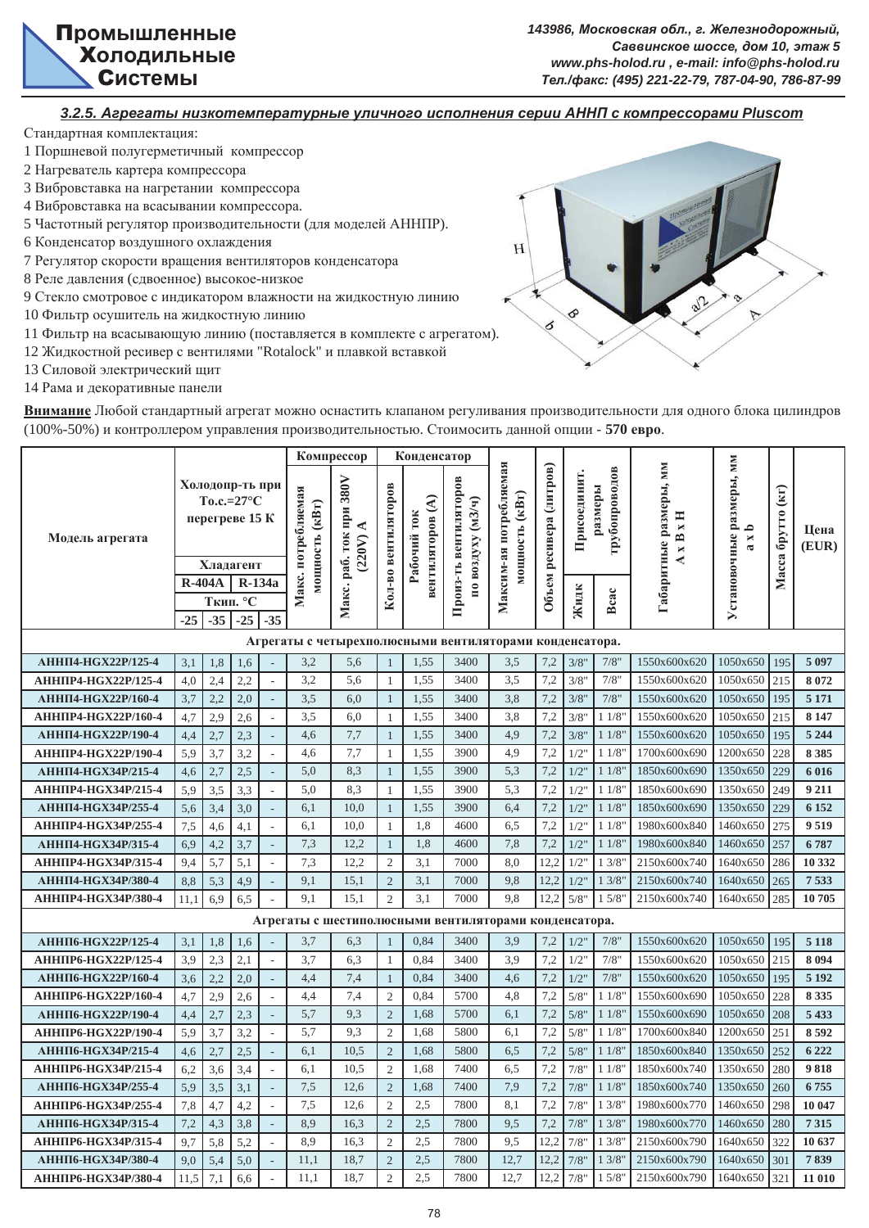

#### *3.2.5. Ⱥɝɪɟɝɚɬɵ ɧɢɡɤɨɬɟɦɩɟɪɚɬɭɪɧɵɟ ɭɥɢɱɧɨɝɨ ɢɫɩɨɥɧɟɧɢɹ ɫɟɪɢɢ Ⱥɇɇɉ ɫ ɤɨɦɩɪɟɫɫɨɪɚɦɢ Pluscom*

Стандартная комплектация:

- 1 Поршневой полугерметичный компрессор
- 2 Нагреватель картера компрессора
- 3 Вибровставка на нагретании компрессора
- 4 Вибровставка на всасывании компрессора.
- 5 Частотный регулятор производительности (для моделей АННПР).
- 6 Конденсатор воздушного охлаждения
- 7 Регулятор скорости вращения вентиляторов конденсатора
- 8 Реле давления (сдвоенное) высокое-низкое
- 9 Стекло смотровое с индикатором влажности на жидкостную линию
- 10 Фильтр осушитель на жидкостную линию
- 11 Фильтр на всасывающую линию (поставляется в комплекте с агрегатом).
- 12 Жидкостной ресивер с вентилями "Rotalock" и плавкой вставкой
- 13 Силовой электрический щит
- 14 Рама и декоративные панели



Внимание Любой стандартный агрегат можно оснастить клапаном регуливания производительности для одного блока цилиндров (100%-50%) и контроллером управления производительностью. Стоимосить данной опции - 570 евро.

| Холодопр-ть при                                         |            |               |                                                              |                                            |                                      | Компрессор                                              |                                | Конденсатор                     |                                            |                                          |                         |                          |                          |                                                    |                                              |                      |                    |
|---------------------------------------------------------|------------|---------------|--------------------------------------------------------------|--------------------------------------------|--------------------------------------|---------------------------------------------------------|--------------------------------|---------------------------------|--------------------------------------------|------------------------------------------|-------------------------|--------------------------|--------------------------|----------------------------------------------------|----------------------------------------------|----------------------|--------------------|
| Модель агрегата                                         |            | <b>R-404A</b> | $To.c.=27^{\circ}C$<br>перегреве 15 К<br>Хладагент<br>R-134a |                                            | Макс. потребляемая<br>мощность (кВт) | Макс. раб. ток при 380V<br>⋖<br>(220V)                  | Кол-во вентиляторов            | вентиляторов (А)<br>Рабочий ток | Произ-ть вентиляторов<br>по воздуху (м3/ч) | Максим-ая потребляемая<br>мощность (кВт) | Объем ресивера (литров) | Присоединит.             | трубопроводов<br>размеры | Габаритные размеры, мм<br>$X$ H<br>$\times$ B<br>₹ | Установочные размеры, мм<br>x b<br>$\approx$ | брутто (кг)<br>Масса | Цена<br>(EUR)      |
|                                                         | $-25$      | $-35$         | Ткип. °С<br>$-25$                                            | $-35$                                      |                                      |                                                         |                                |                                 |                                            |                                          |                         | Жидк                     | Bcac                     |                                                    |                                              |                      |                    |
|                                                         |            |               |                                                              |                                            |                                      | Агрегаты с четырехполюсными вентиляторами конденсатора. |                                |                                 |                                            |                                          |                         |                          |                          |                                                    |                                              |                      |                    |
|                                                         |            |               |                                                              |                                            |                                      |                                                         |                                |                                 | 3400                                       |                                          |                         |                          | 7/8"                     |                                                    | 1050x650                                     |                      |                    |
| <b>АННП4-НGX22P/125-4</b><br><b>АННПР4-НGX22P/125-4</b> | 3,1        | 1,8           | 1,6                                                          |                                            | 3,2<br>3.2                           | 5,6                                                     | $\mathbf{1}$<br>$\mathbf{1}$   | 1,55                            | 3400                                       | 3,5                                      | 7,2<br>7,2              | 3/8'                     | 7/8"                     | 1550x600x620                                       | 1050x650                                     | 195                  | 5 0 9 7<br>8072    |
| <b>АННП4-НGX22P/160-4</b>                               | 4,0        | 2,4           | 2,2                                                          | $\overline{\phantom{a}}$                   |                                      | 5,6                                                     |                                | 1,55                            | 3400                                       | 3,5                                      |                         | 3/8                      | 7/8"                     | 1550x600x620                                       | 1050x650                                     | 215                  | 5 1 7 1            |
|                                                         | 3,7        | 2,2           | 2,0                                                          | $\Box$<br>$\overline{a}$                   | 3,5<br>3,5                           | 6,0<br>6,0                                              | $\mathbf{1}$                   | 1,55                            | 3400                                       | 3,8<br>3,8                               | 7,2<br>7,2              | 3/8'                     | 11/8"                    | 1550x600x620<br>1550x600x620                       | 1050x650                                     | 195                  |                    |
| <b>АННПР4-НGX22P/160-4</b><br><b>АННП4-НGX22P/190-4</b> | 4,7<br>4.4 | 2,9<br>2.7    | 2,6<br>2.3                                                   |                                            | 4,6                                  | 7,7                                                     | $\mathbf{1}$<br>$\overline{1}$ | 1,55<br>1,55                    | 3400                                       | 4,9                                      | 7,2                     | 3/8"<br>3/8'             | 11/8"                    | 1550x600x620                                       | 1050x650                                     | 215<br>195           | 8 1 4 7<br>5 2 4 4 |
| <b>АННПР4-НGX22P/190-4</b>                              |            |               |                                                              |                                            | 4,6                                  | 7,7                                                     |                                | 1,55                            | 3900                                       | 4,9                                      | 7,2                     | $1/2$ "                  | 11/8"                    | 1700x600x690                                       | 1200x650                                     | 228                  | 8385               |
| <b>АННП4-НGX34P/215-4</b>                               | 5,9<br>4,6 | 3,7<br>2,7    | 3,2<br>2,5                                                   |                                            | 5,0                                  | 8,3                                                     | $\mathbf{1}$<br>$\mathbf{1}$   | 1,55                            | 3900                                       | $\overline{5,3}$                         | 7,2                     | $1/2$ '                  | 11/8"                    | 1850x600x690                                       | 1350x650                                     | 229                  | 6 0 1 6            |
| <b>АННПР4-НGX34P/215-4</b>                              | 5,9        | 3,5           | 3,3                                                          | ÷,                                         | 5,0                                  | 8,3                                                     | $\mathbf{1}$                   | 1,55                            | 3900                                       | 5,3                                      | 7,2                     | $1/2$ '                  | 11/8                     | 1850x600x690                                       | 1350x650                                     | 249                  | 9 2 1 1            |
| <b>АННП4-НGX34P/255-4</b>                               | 5,6        | 3,4           | 3,0                                                          |                                            | 6,1                                  | 10,0                                                    | $\mathbf{1}$                   | 1,55                            | 3900                                       | 6,4                                      | 7,2                     | $1/2$ '                  | 11/8"                    | 1850x600x690                                       | 1350x650                                     | 229                  | 6 1 5 2            |
| <b>АННПР4-НGX34P/255-4</b>                              | 7,5        | 4,6           | 4,1                                                          | $\overline{\phantom{a}}$<br>÷,             | 6,1                                  | 10,0                                                    | $\mathbf{1}$                   | 1,8                             | 4600                                       | 6,5                                      | 7,2                     | $1/2$ '                  | 11/8"                    | 1980x600x840                                       | 1460x650                                     | 275                  | 9519               |
| АННП4-НGХ34Р/315-4                                      | 6,9        | 4,2           | 3,7                                                          |                                            | 7,3                                  | 12,2                                                    | $\mathbf{1}$                   | 1,8                             | 4600                                       | 7,8                                      | 7,2                     | $1/2$ '                  | 11/8"                    | 1980x600x840                                       | 1460x650                                     | 257                  | 6787               |
| АННПР4-НGХ34Р/315-4                                     | 9,4        | 5,7           | 5,1                                                          |                                            | 7,3                                  | 12,2                                                    | $\overline{2}$                 | 3,1                             | 7000                                       | 8,0                                      | 12,2                    | $1/2$ '                  | 13/8"                    | 2150x600x740                                       | 1640x650                                     | 286                  | 10 332             |
| <b>АННП4-НGX34P/380-4</b>                               | 8,8        | 5,3           | 4,9                                                          |                                            | 9.1                                  | 15,1                                                    | $\overline{c}$                 | 3,1                             | 7000                                       | 9.8                                      | 12.2                    | $1/2$ '                  | 13/8"                    | 2150x600x740                                       | 1640x650                                     | 265                  | 7533               |
| <b>АННПР4-НGX34P/380-4</b>                              | 11,1       | 6,9           | 6,5                                                          |                                            | 9,1                                  | 15,1                                                    | $\sqrt{2}$                     | 3,1                             | 7000                                       | 9,8                                      | 12,2                    | 5/8                      | 15/8"                    | 2150x600x740                                       | 1640x650                                     | 285                  | 10705              |
|                                                         |            |               |                                                              |                                            |                                      | Агрегаты с шестиполюсными вентиляторами конденсатора.   |                                |                                 |                                            |                                          |                         |                          |                          |                                                    |                                              |                      |                    |
|                                                         |            |               |                                                              |                                            |                                      |                                                         |                                |                                 |                                            |                                          |                         |                          |                          |                                                    |                                              |                      |                    |
| <b>АННП6-НGX22P/125-4</b>                               | 3,1        | 1,8           | 1,6                                                          |                                            | 3,7                                  | 6,3                                                     | $\mathbf{1}$                   | 0,84                            | 3400                                       | 3,9                                      | 7,2                     | 1/2                      | 7/8"<br>7/8"             | 1550x600x620                                       | 1050x650                                     | 195                  | 5 1 1 8            |
| <b>АННПР6-НGX22P/125-4</b>                              | 3,9        | 2,3           | 2,1                                                          | L,                                         | 3,7                                  | 6,3                                                     | $\mathbf{1}$                   | 0,84                            | 3400                                       | 3,9                                      | 7,2                     | $1/2$ '                  |                          | 1550x600x620                                       | 1050x650                                     | 215                  | 8 0 9 4            |
| АННП6-НGX22Р/160-4                                      | 3,6        | 2,2           | 2,0                                                          | $\overline{\phantom{a}}$                   | 4,4                                  | 7,4                                                     | $\mathbf{1}$<br>$\overline{2}$ | 0,84                            | 3400<br>5700                               | 4,6                                      | 7,2                     | $1/2$ "                  | 7/8"                     | 1550x600x620                                       | 1050x650                                     | 195<br>228           | 5 1 9 2<br>8 3 3 5 |
| АННПР6-НGX22Р/160-4<br><b>АННП6-НGX22P/190-4</b>        | 4,7        | 2,9           | 2,6                                                          | $\overline{a}$                             | 4,4<br>$\overline{5,7}$              | 7,4<br>9,3                                              |                                | 0,84<br>1,68                    | 5700                                       | 4,8<br>6,1                               | 7,2<br>7,2              | 5/8"<br>$\overline{5/8}$ | 11/8"<br>11/8"           | 1550x600x690<br>1550x600x690                       | 1050x650<br>1050x650                         | 208                  | 5 4 3 3            |
| <b>АННПР6-НGX22P/190-4</b>                              | 4,4<br>5.9 | 2,7<br>3,7    | 2,3<br>3,2                                                   | $\overline{a}$                             | 5,7                                  | 9,3                                                     | $\sqrt{2}$<br>$\overline{2}$   | 1,68                            | 5800                                       | 6,1                                      | 7,2                     | 5/8                      | 11/8"                    | 1700x600x840                                       | 1200x650                                     | 251                  | 8592               |
| АННП6-НGХ34Р/215-4                                      |            | 2,7           |                                                              |                                            | 6,1                                  | 10,5                                                    | $\overline{2}$                 | 1,68                            | 5800                                       | 6,5                                      | 7,2                     | 5/8'                     | 11/8"                    | 1850x600x840                                       | 1350x650                                     | 252                  | 6 2 2 2            |
| <b>АННПР6-НGX34P/215-4</b>                              | 4,6<br>6,2 | 3,6           | 2,5<br>3,4                                                   | $\overline{\phantom{a}}$<br>$\overline{a}$ | 6,1                                  | 10,5                                                    | $\overline{2}$                 | 1,68                            | 7400                                       | 6,5                                      | 7,2                     | 7/8'                     | 11/8"                    | 1850x600x740                                       | 1350x650                                     | 280                  | 9818               |
| АННП6-НGХ34Р/255-4                                      |            | 3,5           |                                                              |                                            | 7,5                                  | 12,6                                                    | $\overline{2}$                 | 1,68                            | 7400                                       | 7,9                                      | 7,2                     | 7/8'                     | 11/8"                    | 1850x600x740                                       | 1350x650                                     | 260                  | 6755               |
| <b>АННПР6-НGX34P/255-4</b>                              | 5,9<br>7,8 | 4,7           | 3,1<br>4,2                                                   | L.                                         | 7,5                                  | 12,6                                                    | $\overline{2}$                 | 2,5                             | 7800                                       | 8,1                                      | 7,2                     | 7/8                      | 13/8"                    | 1980x600x770                                       | 1460x650                                     | 298                  | 10 047             |
| АННП6-НGХ34Р/315-4                                      | 7,2        | 4,3           | 3,8                                                          | $\overline{a}$                             | 8,9                                  | 16,3                                                    | $\overline{2}$                 | 2,5                             | 7800                                       | 9,5                                      | 7,2                     | 7/8"                     | 13/8"                    | 1980x600x770                                       | 1460x650                                     | 280                  | 7315               |
| АННПР6-НGХ34Р/315-4                                     | 9,7        | 5,8           | 5,2                                                          | $\frac{1}{2}$                              | 8,9                                  | 16,3                                                    | $\overline{2}$                 | 2.5                             | 7800                                       | 9,5                                      | 12,2                    | 7/8'                     | 13/8"                    | 2150x600x790                                       | 1640x650                                     | 322                  | 10 637             |
| <b>АННП6-НGX34P/380-4</b>                               | 9.0        | 5,4           | 5,0                                                          | ÷,                                         | 11.1                                 | 18,7                                                    | $\overline{2}$                 | 2,5                             | 7800                                       | 12,7                                     | 12,2                    | 7/8"                     | 13/8"                    | 2150x600x790                                       | 1640x650                                     | 301                  | 7839               |
| АННПР6-НGХ34Р/380-4                                     | 11,5       | 7,1           | 6,6                                                          |                                            | 11.1                                 | 18.7                                                    | $\overline{2}$                 | 2.5                             | 7800                                       | 12.7                                     | 12,2                    | 7/8"                     | 15/8"                    | 2150x600x790                                       | 1640x650                                     | 321                  | 11 010             |
|                                                         |            |               |                                                              |                                            |                                      |                                                         |                                |                                 |                                            |                                          |                         |                          |                          |                                                    |                                              |                      |                    |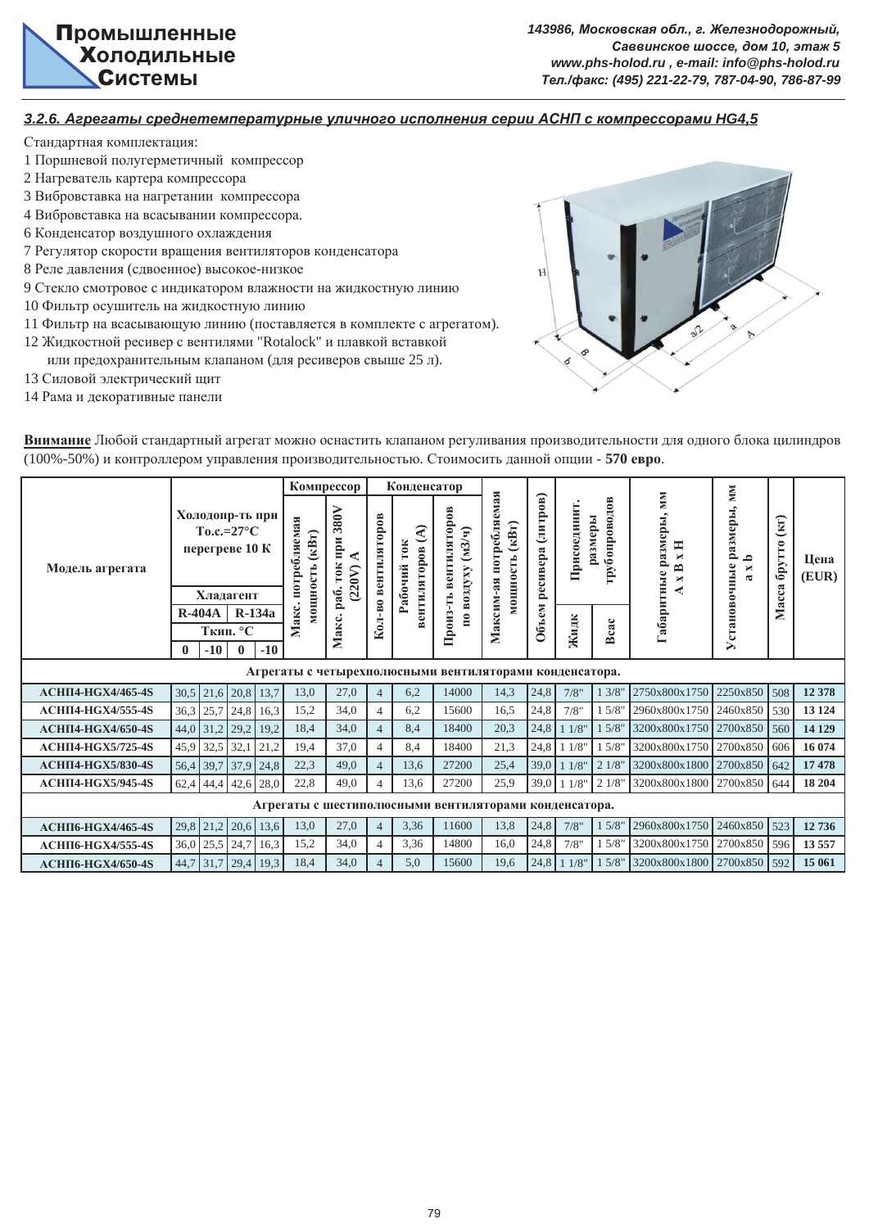

#### *3.2.6. Ⱥɝɪɟɝɚɬɵ ɫɪɟɞɧɟɬɟɦɩɟɪɚɬɭɪɧɵɟ ɭɥɢɱɧɨɝɨ ɢɫɩɨɥɧɟɧɢɹ ɫɟɪɢɢ Ⱥɋɇɉ ɫ ɤɨɦɩɪɟɫɫɨɪɚɦɢ HG4,5*

- 1 Поршневой полугерметичный компрессор
- 2 Нагреватель картера компрессора
- 3 Вибровставка на нагретании компрессора
- 4 Вибровставка на всасывании компрессора.
- 6 Конденсатор воздушного охлаждения
- 7 Регулятор скорости вращения вентиляторов конденсатора
- 8 Реле давления (сдвоенное) высокое-низкое
- 9 Стекло смотровое с индикатором влажности на жидкостную линию
- 10 Фильтр осушитель на жидкостную линию
- 11 Фильтр на всасывающую линию (поставляется в комплекте с агрегатом).
- 12 Жидкостной ресивер с вентилями "Rotalock" и плавкой вставкой
- или предохранительным клапаном (для ресиверов свыше 25 л).
- 13 Силовой электрический щит
- 14 Рама и декоративные панели



| Внимание Любой стандартный агрегат можно оснастить клапаном регуливания производительности для одного блока цилиндров |
|-----------------------------------------------------------------------------------------------------------------------|
| (100%-50%) и контроллером управления производительностью. Стоимосить данной опции - 570 евро.                         |

|                          |              |                                                                       |                      |                  |                                            | Компрессор                                  |                | Конденсатор                                                           |                                                         |                                                         |                   |              |                          |                                                         | <b>NIM</b>                                         |                         |               |
|--------------------------|--------------|-----------------------------------------------------------------------|----------------------|------------------|--------------------------------------------|---------------------------------------------|----------------|-----------------------------------------------------------------------|---------------------------------------------------------|---------------------------------------------------------|-------------------|--------------|--------------------------|---------------------------------------------------------|----------------------------------------------------|-------------------------|---------------|
| Модель агрегата          |              | Холодопр-ть при<br>$To.c.=27^{\circ}C$<br>перегреве 10 К<br>Хладагент |                      |                  | потребляемая<br>$(\kappa B_T)$<br>мощность | 380V<br>при<br><b>TOK</b><br>(220V)<br>pa6. | вентиляторов   | $\widehat{\mathcal{A}}$<br>T <sub>0</sub> K<br>вентиляторов<br>абочий | вентиляторов<br>по воздуху (м3/ч)                       | потребляемая<br>$(\kappa B_T)$<br>мощность<br>Максим-ая | ресивера (литров) | Присоединит. | грубопроводов<br>размеры | <b>NIM</b><br>азмеры,<br>H<br>×<br>≏<br>Габаритные<br>× | размеры,<br>م<br>Установочные<br>×<br>$\mathbf{a}$ | (KI)<br>брутто<br>Масса | Цена<br>(EUR) |
|                          |              | $R-404A$                                                              |                      | <b>R-134a</b>    | Макс.                                      |                                             | Кол-во         |                                                                       | Произ-ть                                                |                                                         | Объем             |              |                          |                                                         |                                                    |                         |               |
|                          | $\mathbf{0}$ | $-10$                                                                 | Ткип. °С<br>$\bf{0}$ | $-10$            |                                            | Макс.                                       |                |                                                                       |                                                         |                                                         |                   | Жидк         | Bcac                     |                                                         |                                                    |                         |               |
|                          |              |                                                                       |                      |                  |                                            |                                             |                |                                                                       | Агрегаты с четырехполюсными вентиляторами конденсатора. |                                                         |                   |              |                          |                                                         |                                                    |                         |               |
| АСНП4-НGX4/465-4S        | 30,5         |                                                                       |                      | $21,6$ 20,8 13,7 | 13,0                                       | 27,0                                        | $\overline{4}$ | 6,2                                                                   | 14000                                                   | 14,3                                                    | 24,8              | 7/8"         | 13/8"                    | 2750x800x1750                                           | 2250x850 508                                       |                         | 12 378        |
| <b>АСНП4-НGX4/555-4S</b> | 36,3         | 25,7                                                                  |                      | $24,8$ 16,3      | 15,2                                       | 34,0                                        | $\overline{4}$ | 6,2                                                                   | 15600                                                   | 16,5                                                    | 24,8              | 7/8"         | 15/8"                    | 2960x800x1750                                           | 2460x850 530                                       |                         | 13 124        |
| <b>АСНП4-НGX4/650-4S</b> | 44,0         |                                                                       | $31,2$ 29,2          | 19,2             | 18,4                                       | 34,0                                        | $\overline{4}$ | 8,4                                                                   | 18400                                                   | 20,3                                                    | 24,8              | 11/8"        | 15/8"                    | 3200x800x1750                                           | 2700x850 560                                       |                         | 14 129        |
| $ACHII4-HGX5/725-4S$     | 45,9         | 32,5 32,1                                                             |                      | 21,2             | 19,4                                       | 37,0                                        | $\overline{4}$ | 8,4                                                                   | 18400                                                   | 21,3                                                    | 24,8              | 11/8"        | 15/8"                    | 3200x800x1750                                           | 2700x850 606                                       |                         | 16 074        |
| <b>АСНП4-НGX5/830-4S</b> | 56,4         | 39,7                                                                  | 37,9                 | 24,8             | 22,3                                       | 49.0                                        | $\overline{4}$ | 13,6                                                                  | 27200                                                   | 25,4                                                    | 39,0              | 11/8         | 21/8"                    | 3200x800x1800                                           | 2700x850 642                                       |                         | 17 478        |
| <b>АСНП4-НGX5/945-4S</b> | 62,4         |                                                                       | 44,4 42,6 28,0       |                  | 22,8                                       | 49.0                                        |                | 13,6                                                                  | 27200                                                   | 25,9                                                    | 39,0              | 11/8"        | 21/8"                    | 3200x800x1800                                           | 2700x850 644                                       |                         | 18 204        |
|                          |              |                                                                       |                      |                  |                                            |                                             |                |                                                                       | Агрегаты с шестиполюсными вентиляторами конденсатора.   |                                                         |                   |              |                          |                                                         |                                                    |                         |               |
| <b>АСНП6-НGX4/465-4S</b> | 29,8         |                                                                       |                      | $21,2$ 20,6 13,6 | 13,0                                       | 27,0                                        | $\overline{4}$ | 3,36                                                                  | 11600                                                   | 13,8                                                    | 24,8              | 7/8"         | 15/8'                    | 2960x800x1750                                           | 2460x850 523                                       |                         | 12736         |
| АСНП6-НGX4/555-4S        | 36,0         | $25,5$ 24,7                                                           |                      | 16,3             | 15,2                                       | 34,0                                        | $\overline{4}$ | 3,36                                                                  | 14800                                                   | 16,0                                                    | 24,8              | 7/8"         | 15/8"                    | 3200x800x1750                                           | 2700x850 596                                       |                         | 13 5 5 7      |
| <b>АСНП6-НGX4/650-4S</b> | 44,7         |                                                                       |                      | $31,7$ 29,4 19,3 | 18,4                                       | 34,0                                        | $\Delta$       | 5,0                                                                   | 15600                                                   | 19,6                                                    | 24,8              | 11/8"        | 15/8"                    | 3200x800x1800                                           | 2700x850 592                                       |                         | 15 061        |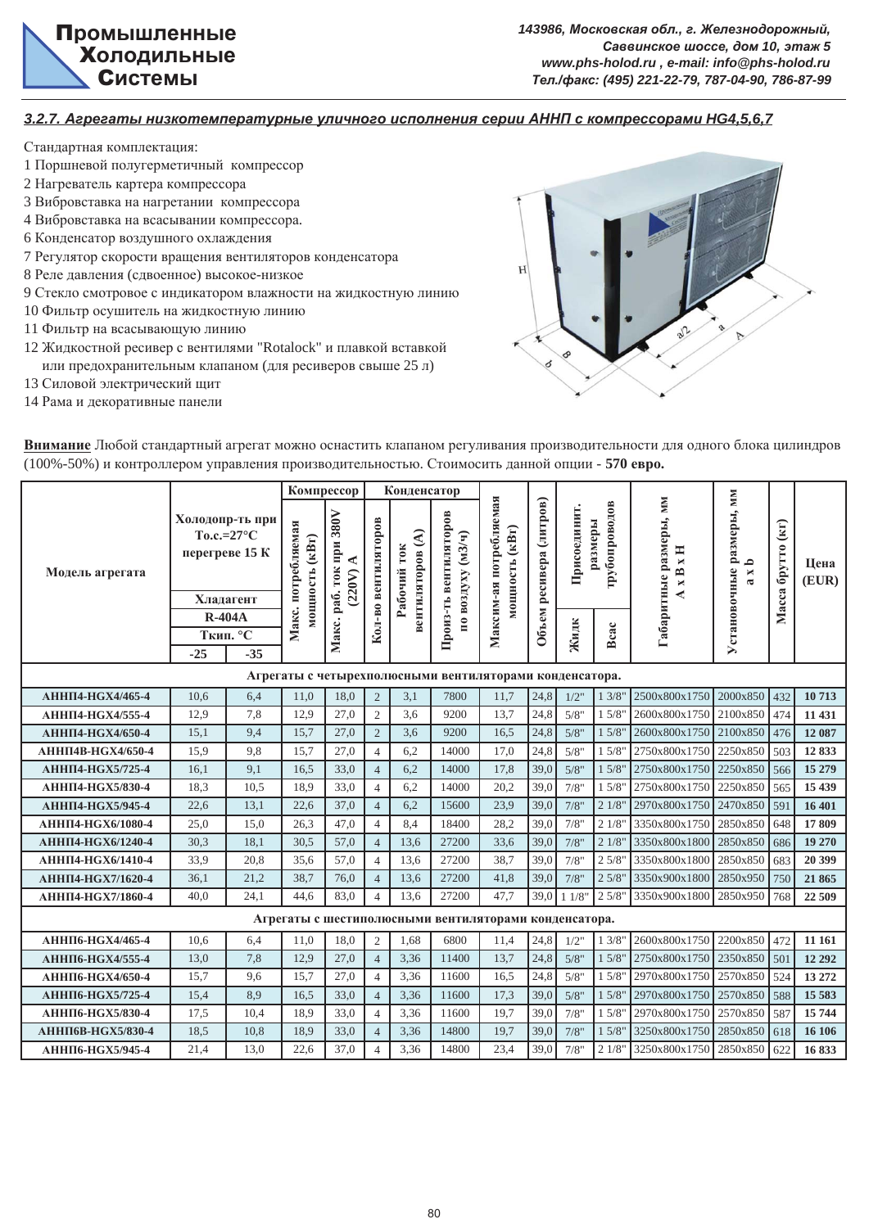

*3.2.7. Ⱥɝɪɟɝɚɬɵ ɧɢɡɤɨɬɟɦɩɟɪɚɬɭɪɧɵɟ ɭɥɢɱɧɨɝɨ ɢɫɩɨɥɧɟɧɢɹ ɫɟɪɢɢ Ⱥɇɇɉ ɫ ɤɨɦɩɪɟɫɫɨɪɚɦɢ HG4,5,6,7*

- 1 Поршневой полугерметичный компрессор
- 2 Нагреватель картера компрессора
- 3 Вибровставка на нагретании компрессора
- 4 Вибровставка на всасывании компрессора.
- 6 Конденсатор воздушного охлаждения
- 7 Регулятор скорости вращения вентиляторов конденсатора
- 8 Реле давления (сдвоенное) высокое-низкое
- 9 Стекло смотровое с индикатором влажности на жидкостную линию
- 10 Фильтр осушитель на жидкостную линию
- 11 Фильтр на всасывающую линию
- 12 Жидкостной ресивер с вентилями "Rotalock" и плавкой вставкой или предохранительным клапаном (для ресиверов свыше 25 л)
- 13 Силовой электрический щит
- 14 Рама и декоративные панели



| Внимание Любой стандартный агрегат можно оснастить клапаном регуливания производительности для одного блока цилиндров |
|-----------------------------------------------------------------------------------------------------------------------|
| (100%-50%) и контроллером управления производительностью. Стоимосить данной опции - 570 евро.                         |

|                          |                                                                       |                   |                    | Компрессор                                                                                             |                | Конденсатор                     |                                            |                                                         |                         |              |                          |                                                                         | <b>NIM</b>                                        |                              |               |
|--------------------------|-----------------------------------------------------------------------|-------------------|--------------------|--------------------------------------------------------------------------------------------------------|----------------|---------------------------------|--------------------------------------------|---------------------------------------------------------|-------------------------|--------------|--------------------------|-------------------------------------------------------------------------|---------------------------------------------------|------------------------------|---------------|
| Модель агрегата          | Холодопр-ть при<br>$To.c.=27^{\circ}C$<br>перегреве 15 К<br>Хладагент |                   | Макс. потребляемая | 380V<br>Кол-во вентиляторов<br>мощность (кВт)<br>ифи<br>⋖<br><b>TOK</b><br>(220V)<br>pa <sub>6</sub> . |                | вентиляторов (А)<br>Рабочий ток | Произ-ть вентиляторов<br>по воздуху (мЗ/ч) | Максим-ая потребляемая<br>мощность (кВт)                | Объем ресивера (литров) | Присоединит. | грубопроводов<br>размеры | Габаритные размеры, мм<br>H<br>$\blacksquare$<br>$\mathbf{r}$<br>×<br>₹ | Установочные размеры,<br>≏<br>×<br>$\mathfrak{a}$ | $\mathbf{F}$<br>Масса брутто | Цена<br>(EUR) |
|                          | <b>R-404A</b>                                                         |                   |                    |                                                                                                        |                |                                 |                                            |                                                         |                         |              |                          |                                                                         |                                                   |                              |               |
|                          | $-25$                                                                 | Ткип. °С<br>$-35$ |                    | Макс.                                                                                                  |                |                                 |                                            |                                                         |                         | Жидк         | Bcac                     |                                                                         |                                                   |                              |               |
|                          |                                                                       |                   |                    |                                                                                                        |                |                                 |                                            |                                                         |                         |              |                          |                                                                         |                                                   |                              |               |
|                          |                                                                       |                   |                    |                                                                                                        |                |                                 |                                            | Агрегаты с четырехполюсными вентиляторами конденсатора. |                         |              |                          |                                                                         |                                                   |                              |               |
| <b>АННП4-НGX4/465-4</b>  | 10.6                                                                  | 6.4               | 11.0               | 18.0                                                                                                   | $\overline{2}$ | 3.1                             | 7800                                       | 11.7                                                    | 24,8                    | $1/2$ "      | 13/8"                    | 2500x800x1750                                                           | 2000x850                                          | 432                          | 10713         |
| <b>АННП4-НGX4/555-4</b>  | 12,9                                                                  | 7,8               | 12,9               | 27,0                                                                                                   | $\mathfrak{2}$ | 3,6                             | 9200                                       | 13,7                                                    | 24,8                    | 5/8"         | 15/8'                    | 2600x800x1750                                                           | 2100x850                                          | 474                          | 11 431        |
| <b>АННП4-НGX4/650-4</b>  | 15,1                                                                  | 9,4               | 15,7               | 27,0                                                                                                   | $\overline{2}$ | 3,6                             | 9200                                       | 16,5                                                    | 24,8                    | 5/8"         | 15/8'                    | 2600x800x1750                                                           | 2100x850                                          | 476                          | 12 087        |
| <b>АННП4В-НGX4/650-4</b> | 15.9                                                                  | 9.8               | 15.7               | 27.0                                                                                                   | $\overline{4}$ | 6,2                             | 14000                                      | 17.0                                                    | 24,8                    | 5/8"         | 1.5/8"                   | 2750x800x1750 2250x850                                                  |                                                   | 503                          | 12833         |
| <b>АННП4-НGX5/725-4</b>  | 16.1                                                                  | 9.1               | 16.5               | 33,0                                                                                                   | $\overline{4}$ | 6,2                             | 14000                                      | 17,8                                                    | 39,0                    | 5/8"         | 15/8'                    | 2750x800x1750                                                           | 2250x850                                          | 566                          | 15 279        |
| <b>АННП4-НGX5/830-4</b>  | 18,3                                                                  | 10.5              | 18.9               | 33.0                                                                                                   | $\overline{4}$ | 6,2                             | 14000                                      | 20,2                                                    | 39.0                    | 7/8"         | 15/8'                    | 2750x800x1750                                                           | 2250x850                                          | 565                          | 15 439        |
| <b>АННП4-НGX5/945-4</b>  | 22,6                                                                  | 13.1              | 22,6               | 37.0                                                                                                   | $\overline{4}$ | 6,2                             | 15600                                      | 23.9                                                    | 39.0                    | 7/8"         | 21/8'                    | 2970x800x1750 2470x850                                                  |                                                   | 591                          | 16 401        |
| <b>АННП4-НGX6/1080-4</b> | 25,0                                                                  | 15,0              | 26,3               | 47,0                                                                                                   | $\overline{4}$ | 8,4                             | 18400                                      | 28,2                                                    | 39,0                    | 7/8"         | 21/8'                    | 3350x800x1750                                                           | 2850x850                                          | 648                          | 17809         |
| <b>АННП4-НGX6/1240-4</b> | 30,3                                                                  | 18,1              | 30.5               | 57,0                                                                                                   | $\overline{4}$ | 13,6                            | 27200                                      | 33,6                                                    | 39.0                    | 7/8"         | 21/8'                    | 3350x800x1800                                                           | 2850x850                                          | 686                          | 19 270        |
| <b>АННП4-НGX6/1410-4</b> | 33.9                                                                  | 20.8              | 35.6               | 57.0                                                                                                   | $\overline{4}$ | 13.6                            | 27200                                      | 38.7                                                    | 39.0                    | 7/8"         | 2.5/8"                   | 3350x800x1800                                                           | 2850x850                                          | 683                          | 20 399        |
| <b>АННП4-НGX7/1620-4</b> | 36,1                                                                  | 21,2              | 38,7               | 76,0                                                                                                   | $\overline{4}$ | 13,6                            | 27200                                      | 41,8                                                    | 39.0                    | 7/8"         | 2.5/8'                   | 3350x900x1800                                                           | 2850x950                                          | 750                          | 21 865        |
| <b>АННП4-НGX7/1860-4</b> | 40,0                                                                  | 24.1              | 44.6               | 83.0                                                                                                   | $\overline{4}$ | 13.6                            | 27200                                      | 47.7                                                    | 39.0                    | 11/8         | 2.5/8"                   | 3350x900x1800                                                           | 2850x950                                          | 768                          | 22 509        |
|                          |                                                                       |                   |                    |                                                                                                        |                |                                 |                                            | Агрегаты с шестиполюсными вентиляторами конденсатора.   |                         |              |                          |                                                                         |                                                   |                              |               |
| <b>АННП6-НGX4/465-4</b>  | 10.6                                                                  | 6,4               | 11,0               | 18,0                                                                                                   | $\mathfrak{2}$ | 1,68                            | 6800                                       | 11,4                                                    | 24,8                    | $1/2$ "      | 13/8"                    | 2600x800x1750                                                           | 2200x850                                          | 472                          | 11 161        |
| <b>АННП6-НGX4/555-4</b>  | 13,0                                                                  | 7,8               | 12,9               | 27,0                                                                                                   | $\overline{4}$ | 3,36                            | 11400                                      | 13,7                                                    | 24,8                    | 5/8"         | 15/8"                    | 2750x800x1750                                                           | 2350x850                                          | 501                          | 12 29 2       |
| АННП6-НGХ4/650-4         | 15,7                                                                  | 9,6               | 15,7               | 27,0                                                                                                   | $\overline{4}$ | 3,36                            | 11600                                      | 16,5                                                    | 24,8                    | 5/8"         | 15/8"                    | 2970x800x1750                                                           | 2570x850                                          | 524                          | 13 27 2       |
| <b>АННП6-НGX5/725-4</b>  | 15,4                                                                  | 8.9               | 16,5               | 33,0                                                                                                   | $\overline{4}$ | 3,36                            | 11600                                      | 17,3                                                    | 39,0                    | 5/8"         | 15/8'                    | 2970x800x1750                                                           | 2570x850                                          | 588                          | 15 5 83       |
| <b>АННП6-НGX5/830-4</b>  | 17,5                                                                  | 10,4              | 18,9               | 33,0                                                                                                   | $\overline{4}$ | 3,36                            | 11600                                      | 19,7                                                    | 39,0                    | 7/8"         | 15/8'                    | 2970x800x1750                                                           | 2570x850                                          | 587                          | 15744         |
| <b>АННП6В-НGX5/830-4</b> | 18,5                                                                  | 10,8              | 18,9               | 33,0                                                                                                   | $\overline{4}$ | 3,36                            | 14800                                      | 19,7                                                    | 39,0                    | 7/8"         | 15/8"                    | 3250x800x1750                                                           | 2850x850                                          | 618                          | 16 10 6       |
| <b>АННП6-НGX5/945-4</b>  | 21,4                                                                  | 13,0              | 22,6               | 37,0                                                                                                   | $\overline{4}$ | 3,36                            | 14800                                      | 23,4                                                    | 39,0                    | 7/8"         | 21/8'                    | 3250x800x1750                                                           | 2850x850                                          | 622                          | 16833         |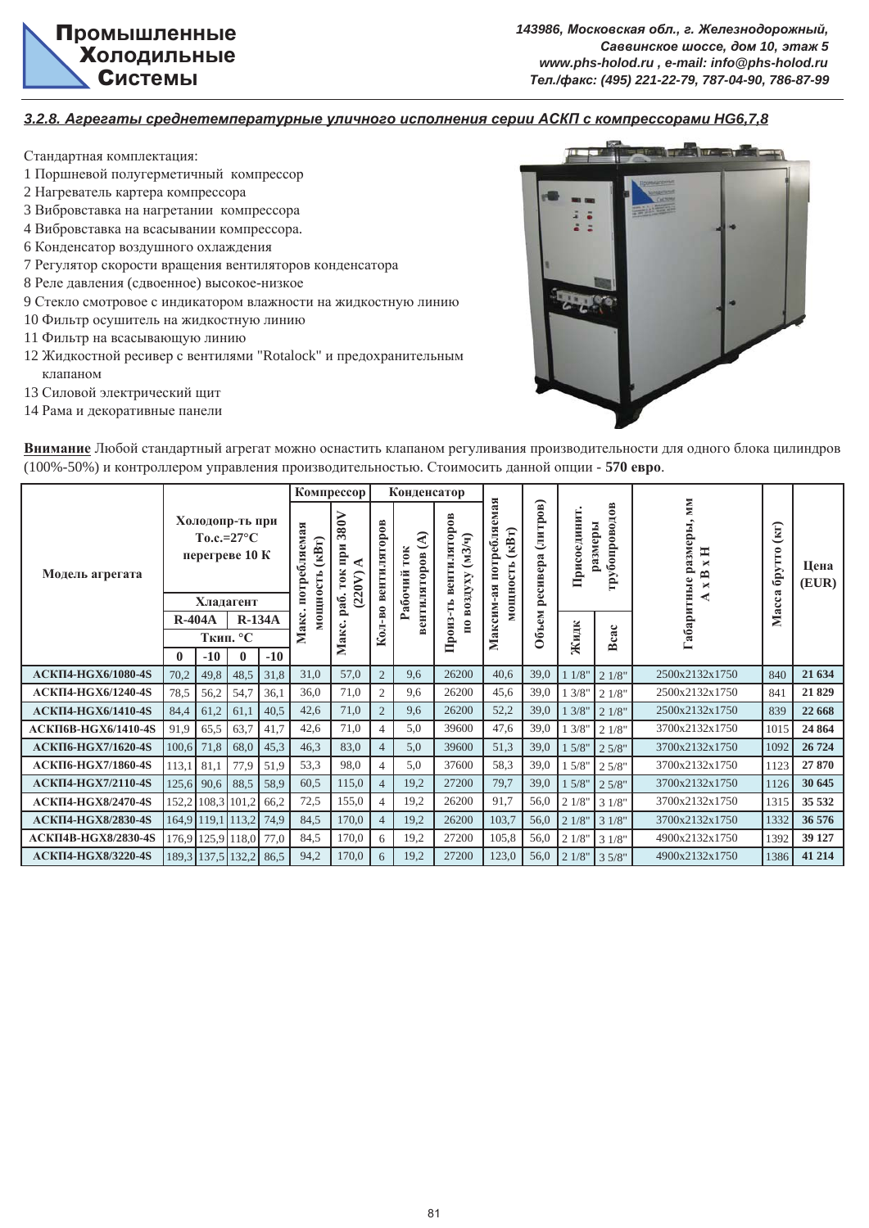$143986$ , Московская обл., г. Железнодорожный,  $Ca$ ввинское шоссе, дом 10, этаж 5 *www.phs-holod.ru , e-mail: info@phs-holod.ru Ɍɟɥ./ɮɚɤɫ: (495) 221-22-79, 787-04-90, 786-87-99*

*3.2.8. Ⱥɝɪɟɝɚɬɵ ɫɪɟɞɧɟɬɟɦɩɟɪɚɬɭɪɧɵɟ ɭɥɢɱɧɨɝɨ ɢɫɩɨɥɧɟɧɢɹ ɫɟɪɢɢ ȺɋɄɉ ɫ ɤɨɦɩɪɟɫɫɨɪɚɦɢ HG6,7,8*

- Стандартная комплектация:
- 1 Поршневой полугерметичный компрессор
- 2 Нагреватель картера компрессора
- 3 Вибровставка на нагретании компрессора
- 4 Вибровставка на всасывании компрессора.
- 6 Конденсатор воздушного охлаждения
- 7 Регулятор скорости вращения вентиляторов конденсатора
- 8 Реле давления (сдвоенное) высокое-низкое
- 9 Стекло смотровое с индикатором влажности на жидкостную линию
- 10 Фильтр осушитель на жидкостную линию
- 11 Фильтр на всасывающую линию
- 12 Жидкостной ресивер с вентилями "Rotalock" и предохранительным клапаном
- 13 Силовой электрический щит
- 14 Рама и декоративные панели



Внимание Любой стандартный агрегат можно оснастить клапаном регуливания производительности для одного блока цилиндров (100%-50%) и контроллером управления производительностью. Стоимосить данной опции - 570 евро.

|                            |              |                   |                                                                       |       |                                      |                                       | Компрессор<br>Конденсатор                                 |        |                                                  |                                       |                          |             |                         |                                                                      |                                       |               |
|----------------------------|--------------|-------------------|-----------------------------------------------------------------------|-------|--------------------------------------|---------------------------------------|-----------------------------------------------------------|--------|--------------------------------------------------|---------------------------------------|--------------------------|-------------|-------------------------|----------------------------------------------------------------------|---------------------------------------|---------------|
| Модель агрегата            |              |                   | Холодопр-ть при<br>$To.c.=27^{\circ}C$<br>перегреве 10 К<br>Хладагент |       | потребляемая<br>$(kB_T)$<br>мощность | 380V<br>pи<br>Ξ<br><b>TOK</b><br>220V | лягоров<br>੨<br>10K<br>вентиляторов<br>чий<br>ូ<br>ស<br>c |        | торов<br>$(M3/\mathbf{q})$<br>вентиля<br>воздуху | емая<br>потребля<br>(kBT)<br>мощность | тров)<br>(ЛH<br>ресивера | Присоединит | грубопроводов<br>азмеры | NМ<br>еры<br>разм<br>Ξ<br>$\blacksquare$<br>B<br>абаритные<br>×<br>◀ | $\left( \mathbf{F} \right)$<br>брутто | Цена<br>(EUR) |
|                            | $R-404A$     |                   | $R-134A$                                                              |       | Макс.                                | pa                                    | 주                                                         |        |                                                  | Максим-ая                             | E                        |             |                         |                                                                      | Macca                                 |               |
|                            |              |                   | Ткип. °С                                                              |       |                                      | Макс.                                 | Кол                                                       | Произ- |                                                  | 06 <sub>b</sub>                       | Жидк                     | Bcac        |                         |                                                                      |                                       |               |
|                            | $\mathbf{0}$ | $-10$             | $\bf{0}$                                                              | $-10$ |                                      |                                       |                                                           |        |                                                  |                                       |                          |             |                         |                                                                      |                                       |               |
| <b>АСКП4-НGX6/1080-4S</b>  | 70,2         | 49,8              | 48,5                                                                  | 31,8  | 31,0                                 | 57,0                                  | $\overline{2}$                                            | 9,6    | 26200                                            | 40,6                                  | 39,0                     | 11/8"       | 21/8"                   | 2500x2132x1750                                                       | 840                                   | 21 634        |
| <b>АСКП4-НGX6/1240-4S</b>  | 78,5         | 56,2              | 54,7                                                                  | 36,1  | 36,0                                 | 71,0                                  | $\overline{2}$                                            | 9,6    | 26200                                            | 45,6                                  | 39,0                     | 13/8"       | 21/8"                   | 2500x2132x1750                                                       | 841                                   | 21829         |
| <b>АСКП4-НGX6/1410-4S</b>  | 84,4         | 61,2              | 61,1                                                                  | 40,5  | 42,6                                 | 71,0                                  | $\overline{2}$                                            | 9,6    | 26200                                            | 52,2                                  | 39,0                     | 13/8"       | 21/8"                   | 2500x2132x1750                                                       | 839                                   | 22 668        |
| <b>АСКП6В-НGX6/1410-4S</b> | 91,9         | 65,5              | 63,7                                                                  | 41,7  | 42,6                                 | 71,0                                  | 4                                                         | 5,0    | 39600                                            | 47,6                                  | 39,0                     | 1 3/8"      | 21/8"                   | 3700x2132x1750                                                       | 1015                                  | 24 864        |
| <b>АСКП6-НGX7/1620-4S</b>  | 100,6        | 71,8              | 68,0                                                                  | 45,3  | 46,3                                 | 83,0                                  | $\overline{4}$                                            | 5,0    | 39600                                            | 51,3                                  | 39,0                     | 15/8"       | 25/8"                   | 3700x2132x1750                                                       | 1092                                  | 26 724        |
| <b>АСКП6-НGX7/1860-4S</b>  | 113,1        | 81,1              | 77,9                                                                  | 51,9  | 53,3                                 | 98,0                                  | 4                                                         | 5,0    | 37600                                            | 58,3                                  | 39,0                     | 15/8"       | 2.5/8"                  | 3700x2132x1750                                                       | 1123                                  | 27 870        |
| <b>АСКП4-НGX7/2110-4S</b>  | 125,6        | 90,6              | 88,5                                                                  | 58,9  | 60,5                                 | 115,0                                 | $\overline{4}$                                            | 19,2   | 27200                                            | 79,7                                  | 39,0                     | 15/8"       | 25/8"                   | 3700x2132x1750                                                       | 1126                                  | 30 645        |
| <b>АСКП4-НGX8/2470-4S</b>  |              | 152,2 108,3       | 101,2                                                                 | 66,2  | 72,5                                 | 155,0                                 | 4                                                         | 19,2   | 26200                                            | 91,7                                  | 56,0                     | 21/8"       | 31/8"                   | 3700x2132x1750                                                       | 1315                                  | 35 532        |
| <b>АСКП4-НGX8/2830-4S</b>  |              | 164,9 119,1 113,2 |                                                                       | 74,9  | 84,5                                 | 170,0                                 | $\overline{4}$                                            | 19,2   | 26200                                            | 103,7                                 | 56,0                     | 21/8"       | 31/8"                   | 3700x2132x1750                                                       | 1332                                  | 36 576        |
| <b>АСКП4В-НGX8/2830-4S</b> |              | 176,9 125,9 118,0 |                                                                       | 77,0  | 84,5                                 | 170,0                                 | 6                                                         | 19,2   | 27200                                            | 105,8                                 | 56,0                     | 21/8"       | 31/8"                   | 4900x2132x1750                                                       | 1392                                  | 39 127        |
| <b>АСКП4-НGX8/3220-4S</b>  |              | 189,3 137,5 132,2 |                                                                       | 86,5  | 94,2                                 | 170,0                                 | 6                                                         | 19,2   | 27200                                            | 123,0                                 | 56.0                     | 21/8"       | 35/8"                   | 4900x2132x1750                                                       | 1386                                  | 41 214        |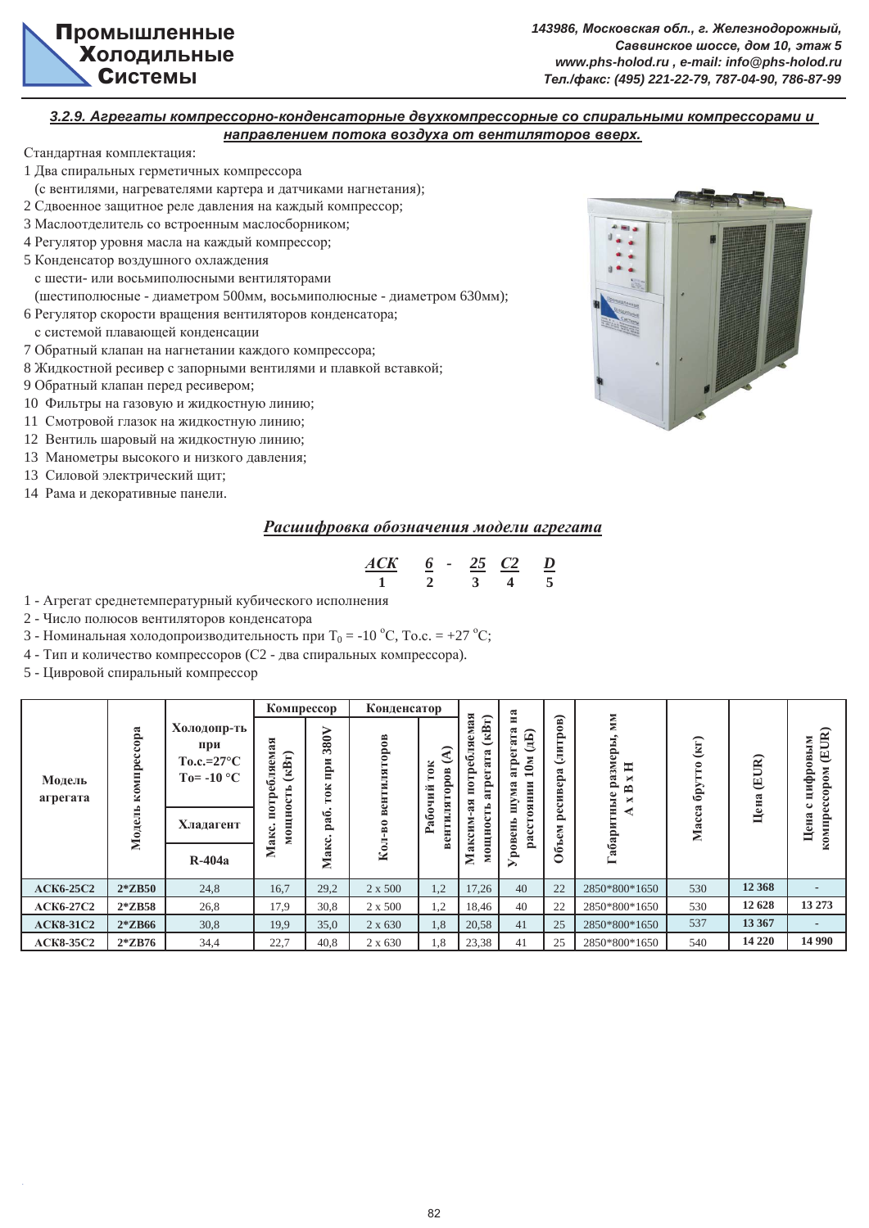## **3.2.9. Агрегаты компрессорно-конденсаторные двухкомпрессорные со спиральными компрессорами и** *ɧɚɩɪɚɜɥɟɧɢɟɦ ɩɨɬɨɤɚ ɜɨɡɞɭɯɚ ɨɬ ɜɟɧɬɢɥɹɬɨɪɨɜ ɜɜɟɪɯ.*

Стандартная комплектация:

- 1 Два спиральных герметичных компрессора
- (с вентилями, нагревателями картера и датчиками нагнетания);
- 2 Сдвоенное защитное реле давления на каждый компрессор;
- 3 Маслоотделитель со встроенным маслосборником;
- 4 Регулятор уровня масла на каждый компрессор;
- 5 Конденсатор воздушного охлаждения

с шести- или восьмиполюсными вентиляторами

- (шестиполюсные диаметром 500мм, восьмиполюсные диаметром 630мм);
- 6 Регулятор скорости вращения вентиляторов конденсатора;
- с системой плавающей конденсации
- 7 Обратный клапан на нагнетании каждого компрессора;
- 8 Жидкостной ресивер с запорными вентилями и плавкой вставкой;
- 9 Обратный клапан перед ресивером;
- 10 Фильтры на газовую и жидкостную линию;
- 11 Смотровой глазок на жидкостную линию;
- 12 Вентиль шаровый на жидкостную линию;
- 13 Манометры высокого и низкого давления;
- 13 Силовой электрический щит;
- 14 Рама и декоративные панели.



# Расшифровка обозначения модели агрегата

| $A$ CK | - |  |  |
|--------|---|--|--|
|        |   |  |  |

- 1 Агрегат среднетемпературный кубического исполнения
- 2 Число полюсов вентиляторов конденсатора
- 3 Номинальная холодопроизводительность при  $T_0 = -10$  °C, To.c. = +27 °C;
- 4 Тип и количество компрессоров (С2 два спиральных компрессора).
- 5 Цивровой спиральный компрессор

|                    |             |                                                                   | Компрессор                                  |                           | Конденсатор  |                                              | ⋤                                                     | $\mathbf{H}$ a                                                |                                            |                                                        |                                                  |         |                                                                      |
|--------------------|-------------|-------------------------------------------------------------------|---------------------------------------------|---------------------------|--------------|----------------------------------------------|-------------------------------------------------------|---------------------------------------------------------------|--------------------------------------------|--------------------------------------------------------|--------------------------------------------------|---------|----------------------------------------------------------------------|
| Модель<br>агрегата | компрессора | Холодопр-ть<br>при<br>$To.c.=27^{\circ}C$<br>To= -10 $^{\circ}$ C | $a$ я<br>EN<br>(kBT)<br>601<br>н<br>≏<br>ی  | 380V<br>нри<br><b>TOK</b> | вентиляторов | $\frac{8}{2}$<br>٥<br>≏<br>ий<br>٥<br>医<br>5 | кBт)<br>ಷ<br>نه<br>ಷ<br>ی<br>$\bullet$<br>ಡ<br>ā<br>≏ | ಷ<br>E<br>ه<br>$\mathbf{M}$<br>≏<br>ā<br>⊣<br>NHHRO<br>ಷ<br>Σ | $\mathbf{B}$<br>۰<br>≏<br>E<br>ь<br>ಷ<br>Ê | MМ<br>размеры<br>$\blacksquare$<br>×<br>≏<br>пные<br>× | $\left( \text{KT}\right)$<br>$\epsilon_{\rm pp}$ | (EUR)   | $\mathbb{R}$<br>ЫM<br>邑<br>⋒<br>$\mathbf{M}$<br>цифр<br>$\mathbf{e}$ |
|                    | Модель      | Хладагент                                                         | $\tilde{\mathbf{z}}$<br><b>HOIN</b><br>akc. | pa <sub>6</sub>           | Кол-во       | $\tilde{a}$<br>тил<br>௨<br>E<br>ه            | ದ<br>Ħ<br>∊                                           | Ξ<br>$\boldsymbol{\mathrm{pace}}$<br>eнь                      | မ<br>≏<br>EN                               | Габари                                                 | ಷ<br>త<br>Ă                                      | Цена    | Œ<br>ನ<br>компр<br>H<br>نة                                           |
|                    |             | $R-404a$                                                          | Макс.<br>Σ                                  |                           |              |                                              | 0<br>Σ                                                | poB                                                           | ధి<br>○                                    |                                                        |                                                  |         |                                                                      |
| <b>ACK6-25C2</b>   | $2*ZB50$    | 24,8                                                              | 16,7                                        | 29,2                      | 2 x 500      | 1,2                                          | 17,26                                                 | 40                                                            | 22                                         | 2850*800*1650                                          | 530                                              | 12 3 68 |                                                                      |
| <b>ACK6-27C2</b>   | $2*ZB58$    | 26,8                                                              | 17,9                                        | 30,8<br>2 x 500           |              | 1,2                                          | 18,46                                                 | 40                                                            | 22                                         | 2850*800*1650                                          | 530                                              | 12 628  | 13 273                                                               |
| <b>ACK8-31C2</b>   | $2*ZB66$    | 30,8                                                              | 19,9                                        | 35,0                      | 2 x 630      | 1,8                                          | 20,58                                                 | 41                                                            | 25                                         | 2850*800*1650                                          | 537                                              | 13 367  |                                                                      |
| <b>ACK8-35C2</b>   | $2*ZB76$    | 34,4                                                              | 22,7                                        | 40,8                      | 2 x 630      | 1,8                                          | 23,38                                                 | 41                                                            | 25                                         | 2850*800*1650                                          | 540                                              | 14 2 20 | 14 9 9 0                                                             |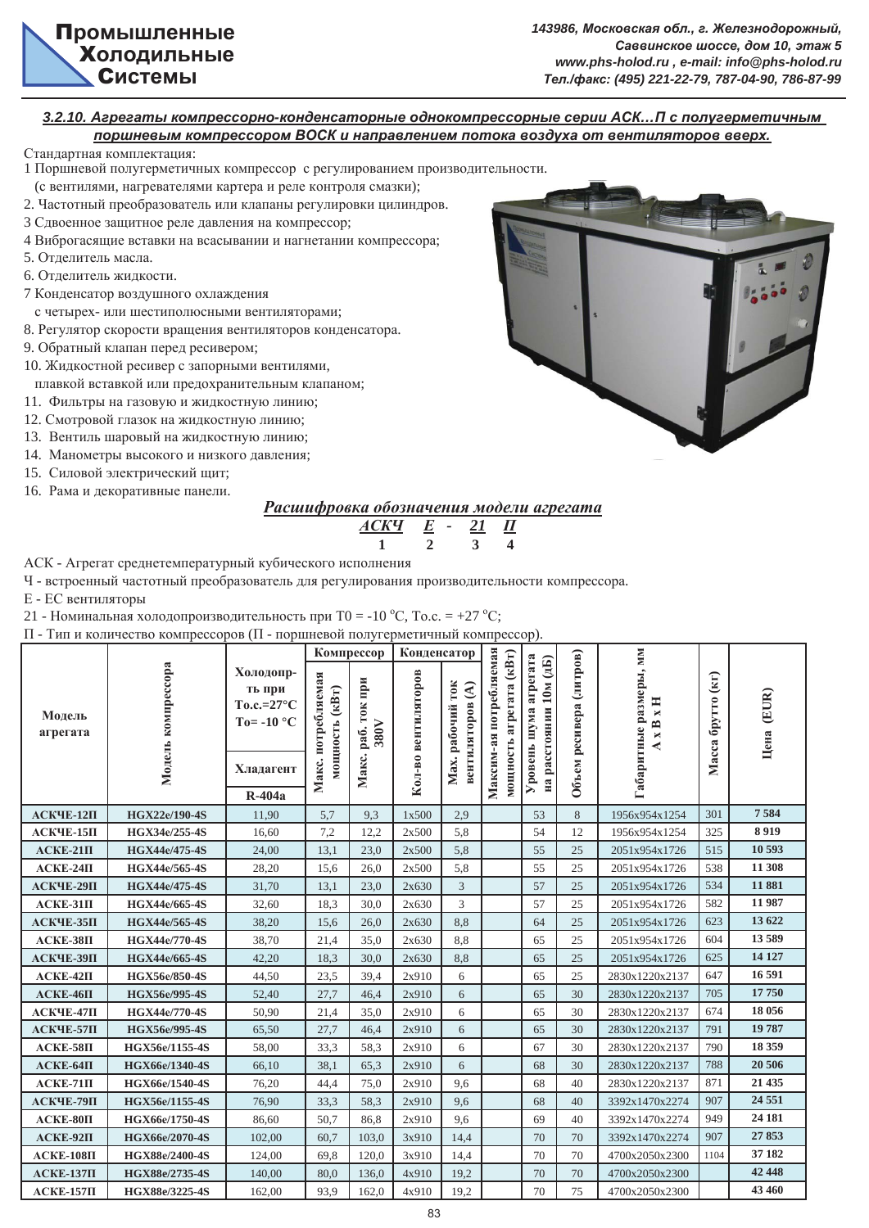#### **3.2.10. Агрегаты компрессорно-конденсаторные однокомпрессорные серии АСК...П с полугерметичным** доршневым компрессором ВОСК и направлением потока воздуха от вентиляторов вверх.

Стандартная комплектация:

- 1 Поршневой полугерметичных компрессор с регулированием производительности.
- (с вентилями, нагревателями картера и реле контроля смазки);
- 2. Частотный преобразователь или клапаны регулировки цилиндров.
- 3 Сдвоенное защитное реле давления на компрессор;
- 4 Виброгасящие вставки на всасывании и нагнетании компрессора;
- 5. Отделитель масла.
- 6. Отделитель жидкости.
- 7 Конденсатор воздушного охлаждения
	- с четырех- или шестиполюсными вентиляторами;
- 8. Регулятор скорости вращения вентиляторов конденсатора.
- 9. Обратный клапан перед ресивером:
- 10. Жидкостной ресивер с запорными вентилями,
- плавкой вставкой или предохранительным клапаном;
- 11. Фильтры на газовую и жидкостную линию;
- 12. Смотровой глазок на жидкостную линию;
- 13. Вентиль шаровый на жидкостную линию;
- 14. Манометры высокого и низкого давления;
- 15. Силовой электрический щит;
- 16. Рама и лекоративные панели.



# **Расшифровка обозначения модели агрегата**



АСК - Агрегат среднетемпературный кубического исполнения

Ч - встроенный частотный преобразователь для регулирования производительности компрессора.

Е - ЕС вентиляторы

21 - Номинальная холодопроизводительность при Т0 = -10 °С, То.с. = +27 °С;

П - Тип и количество компрессоров (П - поршневой полугерметичный компрессор).

|                    |                      |                                                                                 | Компрессор                           |                               | Конденсатор         |                                                            |                                                   |                                                       |                         |                                                                 |                   |            |
|--------------------|----------------------|---------------------------------------------------------------------------------|--------------------------------------|-------------------------------|---------------------|------------------------------------------------------------|---------------------------------------------------|-------------------------------------------------------|-------------------------|-----------------------------------------------------------------|-------------------|------------|
| Модель<br>агрегата | Модель компрессора   | Холодопр-<br>ть при<br>$To.c.=27^{\circ}C$<br>To= -10 $^{\circ}$ C<br>Хладагент | Макс. потребляемая<br>мощность (кВт) | раб. ток при<br>380V<br>Макс. | Кол-во вентиляторов | <b>TOK</b><br>$\mathbf{E}$<br>вентиляторов<br>Мах. рабочий | Максим-ая потребляемая<br>мощность агрегата (кВт) | агрегата<br>10M (15)<br>на расстоянии<br>Уровень шума | Объем ресивера (литров) | абаритные размеры, мм<br>$\blacksquare$<br>$\bowtie$<br>xB<br>∢ | Масса брутто (кг) | Цена (EUR) |
|                    |                      |                                                                                 |                                      |                               |                     |                                                            |                                                   |                                                       |                         |                                                                 |                   |            |
|                    |                      | $R-404a$                                                                        |                                      |                               |                     |                                                            |                                                   |                                                       |                         |                                                                 |                   |            |
| АСКЧЕ-12П          | <b>HGX22e/190-4S</b> | 11,90                                                                           | 5,7                                  | 9,3                           | 1x500               | 2.9                                                        |                                                   | 53                                                    | 8                       | 1956x954x1254                                                   | 301               | 7584       |
| $ACK$ ЧЕ-15П       | HGX34e/255-4S        | 16,60                                                                           | 7,2                                  | 12,2                          | 2x500               | 5,8                                                        |                                                   | 54                                                    | 12                      | 1956x954x1254                                                   | 325               | 8919       |
| $ACKE-21\Pi$       | HGX44e/475-4S        | 24,00                                                                           | 13,1                                 | 23,0                          | 2x500               | 5,8                                                        |                                                   | 55                                                    | 25                      | 2051x954x1726                                                   | 515               | 10 593     |
| $ACKE-24\Pi$       | HGX44e/565-4S        | 28,20                                                                           | 15,6                                 | 26,0                          | 2x500               | 5,8                                                        |                                                   | 55                                                    | 25                      | 2051x954x1726                                                   | 538               | 11 308     |
| АСКЧЕ-29П          | <b>HGX44e/475-4S</b> | 31,70                                                                           | 13,1                                 | 23,0                          | 2x630               | 3                                                          |                                                   | 57                                                    | 25                      | 2051x954x1726                                                   | 534               | 11881      |
| $ACKE-31\Pi$       | HGX44e/665-4S        | 32,60                                                                           | 18,3                                 | 30,0                          | 2x630               | 3                                                          |                                                   | 57                                                    | 25                      | 2051x954x1726                                                   | 582               | 11 987     |
| АСКЧЕ-35П          | HGX44e/565-4S        | 38,20                                                                           | 15,6                                 | 26,0                          | 2x630               | 8,8                                                        |                                                   | 64                                                    | 25                      | 2051x954x1726                                                   | 623               | 13 622     |
| $ACKE-38\Pi$       | HGX44e/770-4S        | 38,70                                                                           | 21,4                                 | 35,0                          | 2x630               | 8,8                                                        |                                                   | 65                                                    | 25                      | 2051x954x1726                                                   | 604               | 13589      |
| АСКЧЕ-39П          | <b>HGX44e/665-4S</b> | 42,20                                                                           | 18,3                                 | 30,0                          | 2x630               | 8,8                                                        |                                                   | 65                                                    | 25                      | 2051x954x1726                                                   | 625               | 14 127     |
| $ACKE-42\Pi$       | HGX56e/850-4S        | 44,50                                                                           | 23,5                                 | 39,4                          | 2x910               | 6                                                          |                                                   | 65                                                    | 25                      | 2830x1220x2137                                                  | 647               | 16 591     |
| $ACKE-46\Pi$       | HGX56e/995-4S        | 52,40                                                                           | 27,7                                 | 46,4                          | 2x910               | 6                                                          |                                                   | 65                                                    | 30                      | 2830x1220x2137                                                  | 705               | 17750      |
| АСКЧЕ-47П          | <b>HGX44e/770-4S</b> | 50,90                                                                           | 21,4                                 | 35,0                          | 2x910               | 6                                                          |                                                   | 65                                                    | 30                      | 2830x1220x2137                                                  | 674               | 18 056     |
| АСКЧЕ-57П          | HGX56e/995-4S        | 65,50                                                                           | 27,7                                 | 46,4                          | 2x910               | 6                                                          |                                                   | 65                                                    | 30                      | 2830x1220x2137                                                  | 791               | 19787      |
| $ACKE-58\Pi$       | HGX56e/1155-4S       | 58,00                                                                           | 33,3                                 | 58,3                          | 2x910               | 6                                                          |                                                   | 67                                                    | 30                      | 2830x1220x2137                                                  | 790               | 18 359     |
| $ACKE-64\Pi$       | HGX66e/1340-4S       | 66,10                                                                           | 38,1                                 | 65.3                          | 2x910               | 6                                                          |                                                   | 68                                                    | 30                      | 2830x1220x2137                                                  | 788               | 20 50 6    |
| $ACKE-71\Pi$       | HGX66e/1540-4S       | 76,20                                                                           | 44,4                                 | 75,0                          | 2x910               | 9,6                                                        |                                                   | 68                                                    | 40                      | 2830x1220x2137                                                  | 871               | 21 435     |
| АСКЧЕ-79П          | HGX56e/1155-4S       | 76,90                                                                           | 33,3                                 | 58,3                          | 2x910               | 9,6                                                        |                                                   | 68                                                    | 40                      | 3392x1470x2274                                                  | 907               | 24 5 5 1   |
| $ACKE-80\Pi$       | HGX66e/1750-4S       | 86,60                                                                           | 50,7                                 | 86,8                          | 2x910               | 9,6                                                        |                                                   | 69                                                    | 40                      | 3392x1470x2274                                                  | 949               | 24 181     |
| $ACKE-92\Pi$       | HGX66e/2070-4S       | 102,00                                                                          | 60,7                                 | 103,0                         | 3x910               | 14,4                                                       |                                                   | 70                                                    | 70                      | 3392x1470x2274                                                  | 907               | 27853      |
| $ACKE-108\Pi$      | HGX88e/2400-4S       | 124,00                                                                          | 69,8                                 | 120,0                         | 3x910               | 14,4                                                       |                                                   | 70                                                    | 70                      | 4700x2050x2300                                                  | 1104              | 37 182     |
| $ACKE-137\Pi$      | HGX88e/2735-4S       | 140,00                                                                          | 80,0                                 | 136,0                         | 4x910               | 19,2                                                       |                                                   | 70                                                    | 70                      | 4700x2050x2300                                                  |                   | 42 448     |
| $ACKE-157\Pi$      | HGX88e/3225-4S       | 162,00                                                                          | 93,9                                 | 162,0                         | 4x910               | 19,2                                                       |                                                   | 70                                                    | 75                      | 4700x2050x2300                                                  |                   | 43 460     |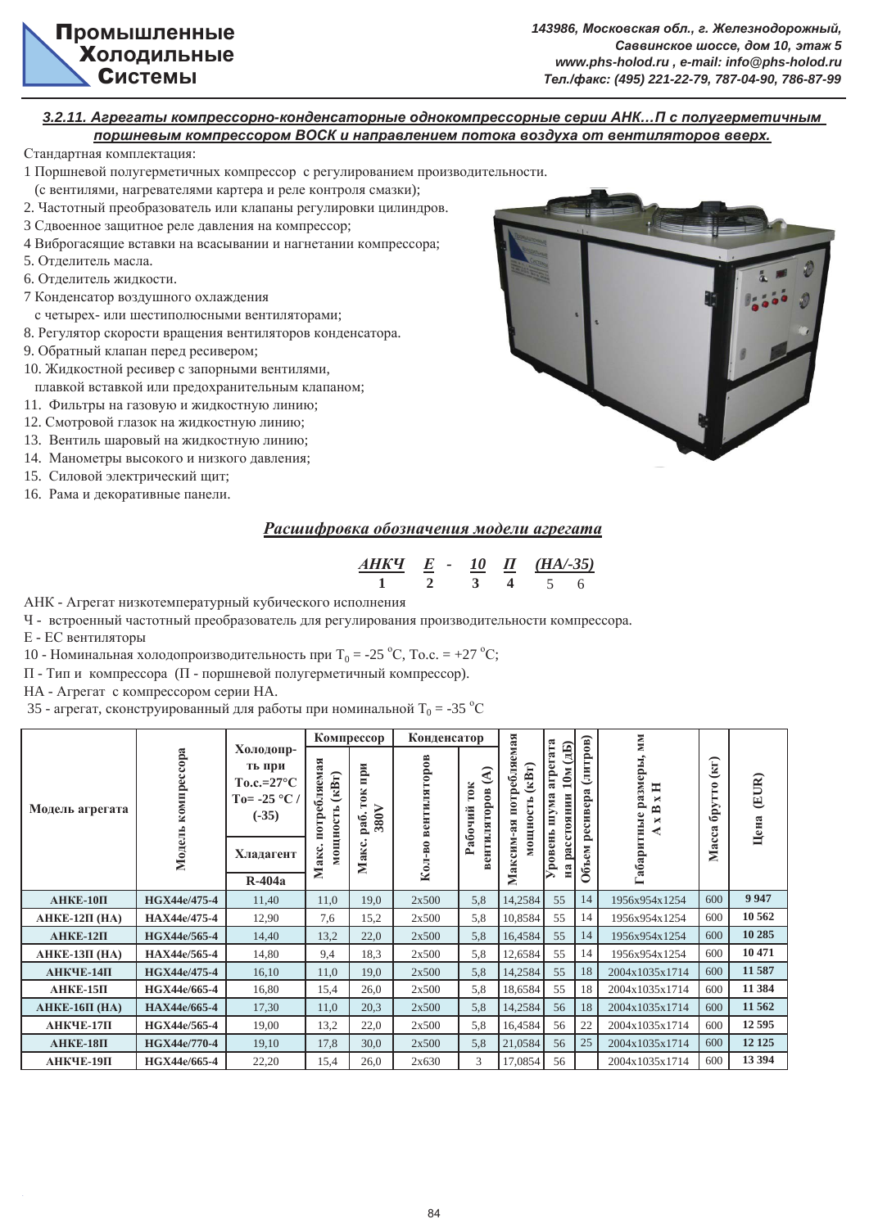## **3.2.11. Агрегаты компрессорно-конденсаторные однокомпрессорные серии АНК...П с полугерметичным** доршневым компрессором ВОСК и направлением потока воздуха от вентиляторов вверх.

Стандартная комплектация:

- 1 Поршневой полугерметичных компрессор с регулированием произволительности.
- (с вентилями, нагревателями картера и реле контроля смазки);
- 2. Частотный преобразователь или клапаны регулировки цилиндров.
- 3 Сдвоенное защитное реле давления на компрессор;
- 4 Виброгасящие вставки на всасывании и нагнетании компрессора;
- 5. Отделитель масла.
- 6. Отделитель жидкости.
- 7 Конденсатор воздушного охлаждения
- с четырех- или шестиполюсными вентиляторами:
- 8. Регулятор скорости вращения вентиляторов конденсатора.
- 9. Обратный клапан перед ресивером;
- 10. Жидкостной ресивер с запорными вентилями,
- плавкой вставкой или предохранительным клапаном;
- 11. Фильтры на газовую и жидкостную линию;
- 12. Смотровой глазок на жидкостную линию;
- 13. Вентиль шаровый на жидкостную линию;
- 14. Манометры высокого и низкого давления;
- 15. Силовой электрический щит;
- 16. Рама и декоративные панели.



# Расшифровка обозначения модели агрегата

| АНКЧ |  | $(HA/-35)$ |  |
|------|--|------------|--|
|      |  |            |  |

АНК - Агрегат низкотемпературный кубического исполнения

Ч - встроенный частотный преобразователь для регулирования производительности компрессора.

Е - ЕС вентиляторы

10 - Номинальная холодопроизводительность при Т<sub>0</sub> = -25 °С, То.с. = +27 °С;

П - Тип и компрессора (П - поршневой полугерметичный компрессор).

НА - Агрегат с компрессором серии НА.

35 - агрегат, сконструированный для работы при номинальной Т<sub>0</sub> = -35 °С

|                   |              |                                                                                 |                                            | Компрессор                 | Конденсатор  |                                 |                                                  |                                                       |                      | MM                                |                |               |
|-------------------|--------------|---------------------------------------------------------------------------------|--------------------------------------------|----------------------------|--------------|---------------------------------|--------------------------------------------------|-------------------------------------------------------|----------------------|-----------------------------------|----------------|---------------|
| Модель агрегата   | компрессора  | Холодопр-<br>ть при<br>$To.c.=27^{\circ}C$<br>To= -25 $^{\circ}$ C /<br>$(-35)$ | потребляемая<br>$(\kappa B_T)$<br>мощность | при<br>TOK<br>380V<br>pa6. | вентиляторов | ⋜<br>TOK<br>вентиляторов<br>чий | потребляемая<br>(kBT)<br><b>ОЩНОСТЬ</b><br>$-35$ | агрегата<br>$\mathbf{a}$<br>10M<br>шума<br>расстоянии | (литров)<br>ресивера | размеры,<br>Ξ<br>×<br>≏<br>×<br>₹ | (KI)<br>брутто | (EUR)<br>Цена |
|                   | Модель       | Хладагент                                                                       | Макс.                                      | Макс.                      | Кол-во       | $\tilde{a}$                     | Максим                                           | ровень<br>$\mathbb{H}^2$                              | Объем                | Габаритные                        | Macca          |               |
|                   |              | $R-404a$                                                                        |                                            |                            |              |                                 |                                                  |                                                       |                      |                                   |                |               |
| $AHKE-10\Pi$      | HGX44e/475-4 | 11,40                                                                           | 11,0                                       | 19,0                       | 2x500        | 5,8                             | 14,2584                                          | 55                                                    | 14                   | 1956x954x1254                     | 600            | 9 9 4 7       |
| $AHKE-12\Pi$ (HA) | HAX44e/475-4 | 12,90                                                                           | 7,6                                        | 15,2                       | 2x500        | 5,8                             | 10,8584                                          | 55                                                    | 14                   | 1956x954x1254                     | 600            | 10 562        |
| $AHKE-12\Pi$      | HGX44e/565-4 | 14,40                                                                           | 13,2                                       | 22,0                       | 2x500        | 5,8                             | 16,4584                                          | 55                                                    | 14                   | 1956x954x1254                     | 600            | 10 285        |
| $AHKE-13\Pi$ (HA) | HAX44e/565-4 | 14,80                                                                           | 9,4                                        | 18.3                       | 2x500        | 5,8                             | 12,6584                                          | 55                                                    | 14                   | 1956x954x1254                     | 600            | 10 471        |
| АНКЧЕ-14П         | HGX44e/475-4 | 16,10                                                                           | 11,0                                       | 19,0                       | 2x500        | 5,8                             | 14,2584                                          | 55                                                    | 18                   | 2004x1035x1714                    | 600            | 11 587        |
| $AHKE-15\Pi$      | HGX44e/665-4 | 16,80                                                                           | 15,4                                       | 26,0                       | 2x500        | 5,8                             | 18,6584                                          | 55                                                    | 18                   | 2004x1035x1714                    | 600            | 11 384        |
| $AHKE-16\Pi$ (HA) | HAX44e/665-4 | 17,30                                                                           | 11,0                                       | 20,3                       | 2x500        | 5,8                             | 14,2584                                          | 56                                                    | 18                   | 2004x1035x1714                    | 600            | 11 5 62       |
| АНКЧЕ-17П         | HGX44e/565-4 | 19,00                                                                           | 13,2                                       | 22,0                       | 2x500        | 5,8                             | 16,4584                                          | 56                                                    | 22                   | 2004x1035x1714                    | 600            | 12 5 95       |
| $AHKE-18\Pi$      | HGX44e/770-4 | 19,10                                                                           | 17,8                                       | 30,0                       | 2x500        | 5,8                             | 21,0584                                          | 56                                                    | 25                   | 2004x1035x1714                    | 600            | 12 12 5       |
| АНКЧЕ-19П         | HGX44e/665-4 | 22,20                                                                           | 15,4                                       | 26,0                       | 2x630        | 3                               | 17,0854                                          | 56                                                    |                      | 2004x1035x1714                    | 600            | 13 394        |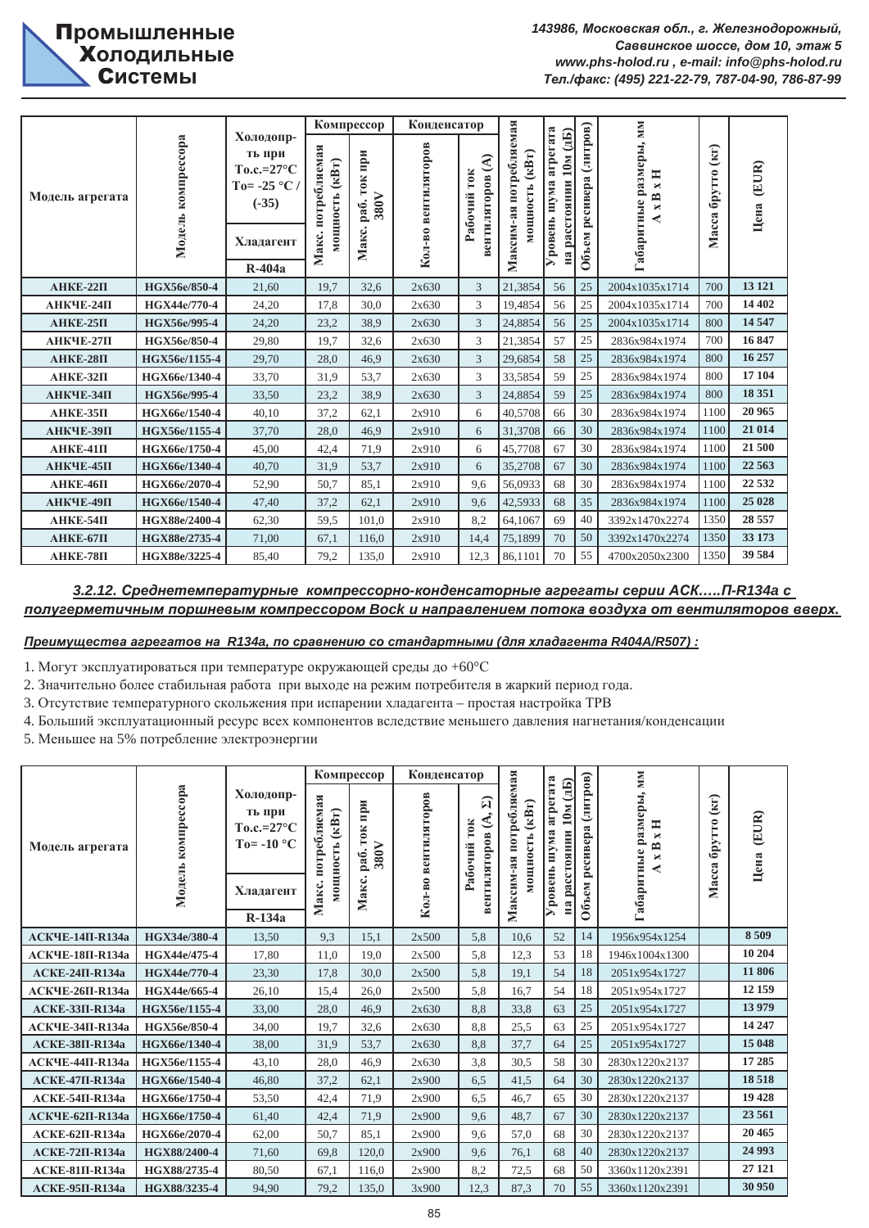|                 |                    |                                                                          |                                            | Компрессор                        | Конденсатор         |                                                       |                                                   |                                               |                      |                                                             |                   |               |
|-----------------|--------------------|--------------------------------------------------------------------------|--------------------------------------------|-----------------------------------|---------------------|-------------------------------------------------------|---------------------------------------------------|-----------------------------------------------|----------------------|-------------------------------------------------------------|-------------------|---------------|
| Модель агрегата | Модель компрессора | Холодопр-<br>ть при<br>$To.c.=27°C$<br>To= -25 $^{\circ}$ C /<br>$(-35)$ | потребляемая<br>$(\kappa B_T)$<br>мощность | ифи<br><b>TOK</b><br>380V<br>pa6. | Кол-во вентиляторов | $\mathbf{E}$<br><b>TOK</b><br>вентиляторов<br>Рабочий | потребляемая<br>$(\kappa B_T)$<br><b>ИОШНОСТЬ</b> | агрегата<br>10M (15)<br>на расстоянии<br>шума | (литров)<br>ресивера | абаритные размеры, мм<br>Ħ<br>$\blacksquare$<br>B<br>×<br>⋞ | Масса брутто (кг) | (EUR)<br>Цена |
|                 |                    | Хладагент                                                                | Макс.                                      | Макс.                             |                     |                                                       | Максим-ая                                         | <b>Уровень</b>                                | Объем                |                                                             |                   |               |
|                 |                    | <b>R-404a</b>                                                            |                                            |                                   |                     |                                                       |                                                   |                                               |                      |                                                             |                   |               |
| $AHKE-22\Pi$    | HGX56e/850-4       | 21.60                                                                    | 19.7                                       | 32.6                              | 2x630               | 3                                                     | 21,3854                                           | 56                                            | 25                   | 2004x1035x1714                                              | 700               | 13 12 1       |
| АНКЧЕ-24П       | HGX44e/770-4       | 24,20                                                                    | 17.8                                       | 30,0                              | 2x630               | 3                                                     | 19,4854                                           | 56                                            | 25                   | 2004x1035x1714                                              | 700               | 14 402        |
| $AHKE-25\Pi$    | HGX56e/995-4       | 24,20                                                                    | 23,2                                       | 38.9                              | 2x630               | 3                                                     | 24,8854                                           | 56                                            | 25                   | 2004x1035x1714                                              | 800               | 14 5 47       |
| АНКЧЕ-27П       | HGX56e/850-4       | 29,80                                                                    | 19.7                                       | 32,6                              | 2x630               | 3                                                     | 21,3854                                           | 57                                            | 25                   | 2836x984x1974                                               | 700               | 16 847        |
| $AHKE-28\Pi$    | HGX56e/1155-4      | 29,70                                                                    | 28.0                                       | 46.9                              | 2x630               | 3                                                     | 29,6854                                           | 58                                            | 25                   | 2836x984x1974                                               | 800               | 16 257        |
| АНКЕ-32П        | HGX66e/1340-4      | 33,70                                                                    | 31,9                                       | 53,7                              | 2x630               | 3                                                     | 33,5854                                           | 59                                            | 25                   | 2836x984x1974                                               | 800               | 17 104        |
| АНКЧЕ-34П       | HGX56e/995-4       | 33,50                                                                    | 23,2                                       | 38,9                              | 2x630               | 3                                                     | 24,8854                                           | 59                                            | 25                   | 2836x984x1974                                               | 800               | 18 351        |
| $AHKE-35\Pi$    | HGX66e/1540-4      | 40,10                                                                    | 37.2                                       | 62.1                              | 2x910               | 6                                                     | 40,5708                                           | 66                                            | 30                   | 2836x984x1974                                               | 1100              | 20 965        |
| АНКЧЕ-39П       | HGX56e/1155-4      | 37,70                                                                    | 28,0                                       | 46,9                              | 2x910               | 6                                                     | 31,3708                                           | 66                                            | 30                   | 2836x984x1974                                               | 1100              | 21 014        |
| $AHKE-41\Pi$    | HGX66e/1750-4      | 45,00                                                                    | 42.4                                       | 71,9                              | 2x910               | 6                                                     | 45,7708                                           | 67                                            | 30                   | 2836x984x1974                                               | 1100              | 21 500        |
| АНКЧЕ-45П       | HGX66e/1340-4      | 40,70                                                                    | 31,9                                       | 53,7                              | 2x910               | 6                                                     | 35,2708                                           | 67                                            | 30                   | 2836x984x1974                                               | 1100              | 22 5 63       |
| АНКЕ-46П        | HGX66e/2070-4      | 52,90                                                                    | 50.7                                       | 85,1                              | 2x910               | 9,6                                                   | 56,0933                                           | 68                                            | 30                   | 2836x984x1974                                               | 1100              | 22 5 32       |
| АНКЧЕ-49П       | HGX66e/1540-4      | 47,40                                                                    | 37,2                                       | 62,1                              | 2x910               | 9,6                                                   | 42,5933                                           | 68                                            | 35                   | 2836x984x1974                                               | 1100              | 25 0 28       |
| $AHKE-54\Pi$    | HGX88e/2400-4      | 62,30                                                                    | 59,5                                       | 101,0                             | 2x910               | 8,2                                                   | 64,1067                                           | 69                                            | 40                   | 3392x1470x2274                                              | 1350              | 28 5 5 7      |
| $AHKE-67\Pi$    | HGX88e/2735-4      | 71,00                                                                    | 67,1                                       | 116,0                             | 2x910               | 14,4                                                  | 75,1899                                           | 70                                            | 50                   | 3392x1470x2274                                              | 1350              | 33 173        |
| <b>АНКЕ-78П</b> | HGX88e/3225-4      | 85,40                                                                    | 79,2                                       | 135,0                             | 2x910               | 12,3                                                  | 86,1101                                           | 70                                            | 55                   | 4700x2050x2300                                              | 1350              | 39 584        |

 $3.2.12.$  **Среднетемпературные компрессорно-конденсаторные агрегаты серии АСК.....П-R134a с** лолугерметичным поршневым компрессором Bock и направлением потока воздуха от вентиляторов вверх.

 $\Pi$ реимущества агрегатов на R134a, по сравнению со стандартными (для хладагента R404A/R507) :

1. Могут эксплуатироваться при температуре окружающей среды до +60°С

2. Значительно более стабильная работа при выходе на режим потребителя в жаркий период года.

3. Отсутствие температурного скольжения при испарении хладагента – простая настройка ТРВ

4. Больший эксплуатационный ресурс всех компонентов вследствие меньшего давления нагнетания/конденсации

5. Меньшее на 5% потребление электроэнергии

|                        |                    |                                                             |                                            | Компрессор                        | Конденсатор         |                                               |                                             |                                            |                      |                                                             |                |               |
|------------------------|--------------------|-------------------------------------------------------------|--------------------------------------------|-----------------------------------|---------------------|-----------------------------------------------|---------------------------------------------|--------------------------------------------|----------------------|-------------------------------------------------------------|----------------|---------------|
| Модель агрегата        | Модель компрессора | Холодопр-<br>ть при<br>$To.c.=27^{\circ}C$<br>$To = -10 °C$ | потребляемая<br>$(\kappa B_T)$<br>мощность | при<br><b>TOK</b><br>380V<br>pa6. | Кол-во вентиляторов | নি<br>вентиляторов (А<br><b>TOK</b><br>абочий | потребляемая<br>$\mathbf{KB}$ T)<br>ощность | агрегата<br>10M (15)<br>шума<br>расстоянии | (литров)<br>ресивера | абаритные размеры, мм<br>Ħ<br>×<br>≏<br>$\blacksquare$<br>⋞ | (KI)<br>брутто | (EUR)<br>Цена |
|                        |                    | Хладагент                                                   | Макс.                                      | Макс.                             |                     |                                               | Максим-ая                                   | $\overline{y}$ ровень<br>H2                | Объем                |                                                             | Масса          |               |
|                        |                    | $R-134a$                                                    |                                            |                                   |                     |                                               |                                             |                                            |                      |                                                             |                |               |
| <b>АСКЧЕ-14П-R134a</b> | HGX34e/380-4       | 13,50                                                       | 9,3                                        | 15.1                              | 2x500               | 5,8                                           | 10.6                                        | 52                                         | 14                   | 1956x954x1254                                               |                | 8 5 0 9       |
| <b>АСКЧЕ-18П-R134а</b> | HGX44e/475-4       | 17,80                                                       | 11,0                                       | 19,0                              | 2x500               | 5,8                                           | 12,3                                        | 53                                         | 18                   | 1946x1004x1300                                              |                | 10 204        |
| $ACKE-24\Pi-R134a$     | HGX44e/770-4       | 23,30                                                       | 17,8                                       | 30.0                              | 2x500               | 5,8                                           | 19,1                                        | 54                                         | 18                   | 2051x954x1727                                               |                | 11806         |
| ACKYE-26II-R134a       | HGX44e/665-4       | 26,10                                                       | 15,4                                       | 26,0                              | 2x500               | 5,8                                           | 16,7                                        | 54                                         | 18                   | 2051x954x1727                                               |                | 12 159        |
| $ACKE-33\Pi-R134a$     | HGX56e/1155-4      | 33,00                                                       | 28,0                                       | 46,9                              | 2x630               | 8,8                                           | 33,8                                        | 63                                         | 25                   | 2051x954x1727                                               |                | 13 979        |
| <b>АСКЧЕ-34П-R134a</b> | HGX56e/850-4       | 34,00                                                       | 19,7                                       | 32,6                              | 2x630               | 8,8                                           | 25,5                                        | 63                                         | 25                   | 2051x954x1727                                               |                | 14 247        |
| $ACKE-38\Pi-R134a$     | HGX66e/1340-4      | 38,00                                                       | 31.9                                       | 53,7                              | 2x630               | 8,8                                           | 37,7                                        | 64                                         | 25                   | 2051x954x1727                                               |                | 15 048        |
| <b>АСКЧЕ-44П-R134a</b> | HGX56e/1155-4      | 43,10                                                       | 28.0                                       | 46.9                              | 2x630               | 3,8                                           | 30.5                                        | 58                                         | 30                   | 2830x1220x2137                                              |                | 17 28 5       |
| $ACKE-47\Pi-R134a$     | HGX66e/1540-4      | 46.80                                                       | 37,2                                       | 62,1                              | 2x900               | 6,5                                           | 41.5                                        | 64                                         | 30                   | 2830x1220x2137                                              |                | 18518         |
| $ACKE-54\Pi-R134a$     | HGX66e/1750-4      | 53,50                                                       | 42,4                                       | 71,9                              | 2x900               | 6,5                                           | 46.7                                        | 65                                         | 30                   | 2830x1220x2137                                              |                | 19 428        |
| <b>АСКЧЕ-62П-R134а</b> | HGX66e/1750-4      | 61,40                                                       | 42.4                                       | 71,9                              | 2x900               | 9,6                                           | 48.7                                        | 67                                         | 30                   | 2830x1220x2137                                              |                | 23 5 61       |
| $ACKE-62\Pi-R134a$     | HGX66e/2070-4      | 62,00                                                       | 50,7                                       | 85,1                              | 2x900               | 9,6                                           | 57,0                                        | 68                                         | 30                   | 2830x1220x2137                                              |                | 20 4 65       |
| $ACKE-72\Pi-R134a$     | HGX88/2400-4       | 71,60                                                       | 69,8                                       | 120,0                             | 2x900               | 9,6                                           | 76,1                                        | 68                                         | 40                   | 2830x1220x2137                                              |                | 24 9 93       |
| ACKE-81II-R134a        | HGX88/2735-4       | 80,50                                                       | 67,1                                       | 116,0                             | 2x900               | 8,2                                           | 72,5                                        | 68                                         | 50                   | 3360x1120x2391                                              |                | 27 121        |
| $ACKE-95\Pi-R134a$     | HGX88/3235-4       | 94,90                                                       | 79,2                                       | 135.0                             | 3x900               | 12,3                                          | 87,3                                        | 70                                         | 55                   | 3360x1120x2391                                              |                | 30 950        |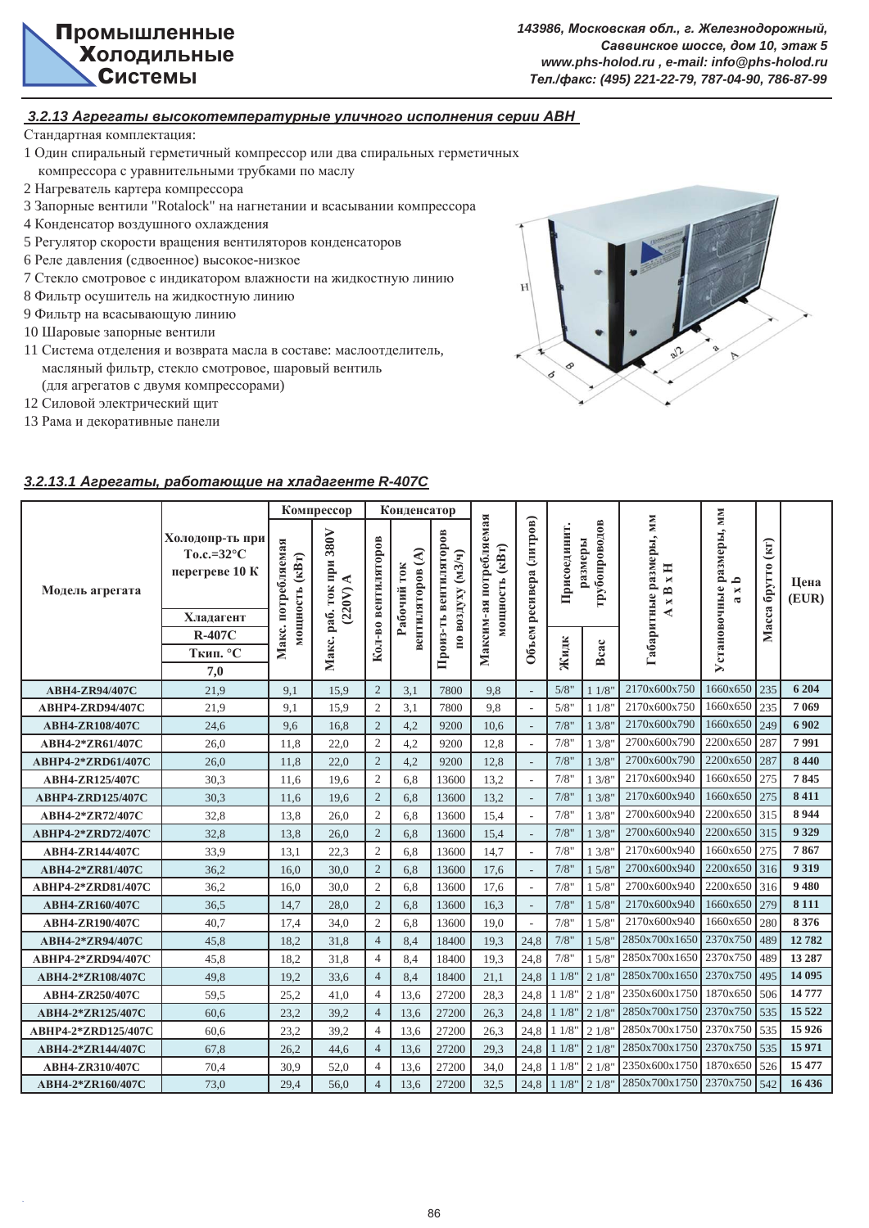

## $3.2.13$  Агрегаты высокотемпературные уличного исполнения серии АВН

Стандартная комплектация:

- 1 Один спиральный герметичный компрессор или два спиральных герметичных компрессора с уравнительными трубками по маслу
- 2 Нагреватель картера компрессора
- 3 Запорные вентили "Rotalock" на нагнетании и всасывании компрессора
- 4 Конденсатор воздушного охлаждения
- 5 Регулятор скорости вращения вентиляторов конденсаторов
- 6 Реле давления (сдвоенное) высокое-низкое
- 7 Стекло смотровое с индикатором влажности на жидкостную линию
- 8 Фильтр осушитель на жидкостную линию
- 9 Фильтр на всасывающую линию
- 10 Шаровые запорные вентили
- 11 Система отделения и возврата масла в составе: маслоотделитель, масляный фильтр, стекло смотровое, шаровый вентиль (для агрегатов с двумя компрессорами)
- 12 Силовой электрический щит
- 13 Рама и декоративные панели



## $3.2.13.1$  *Aгрегаты, работающие на хладагенте R-407C*

|                          |                                                                         |                                | Компрессор                                |                     | Конденсатор                     |                                   |                                          |                         |              |                          |                                                            | <b>MM</b>                       |                         |               |
|--------------------------|-------------------------------------------------------------------------|--------------------------------|-------------------------------------------|---------------------|---------------------------------|-----------------------------------|------------------------------------------|-------------------------|--------------|--------------------------|------------------------------------------------------------|---------------------------------|-------------------------|---------------|
| Модель агрегата          | Холодопр-ть при<br>To.c.= $32^{\circ}$ C<br>перегреве 10 К<br>Хладагент | потребляемая<br>мощность (кВт) | 380V<br>Макс. раб. ток при<br>≺<br>(220V) | Кол-во вентиляторов | вентиляторов (А)<br>Рабочий ток | вентиляторов<br>по воздуху (м3/ч) | Максим-ая потребляемая<br>мощность (кВт) | Объем ресивера (литров) | Присоединит. | грубопроводов<br>размеры | абаритные размеры, мм<br>Ħ<br>$\blacksquare$<br>$x$ B<br>⋖ | Установочные размеры,<br>≏<br>× | (Kr)<br>брутто<br>Macca | Пена<br>(EUR) |
|                          | <b>R-407C</b>                                                           | Макс.                          |                                           |                     |                                 |                                   |                                          |                         |              |                          |                                                            |                                 |                         |               |
|                          | Ткип. °С                                                                |                                |                                           |                     |                                 | Произ-ть                          |                                          |                         | Жидк         | Bcac                     |                                                            |                                 |                         |               |
|                          | 7,0                                                                     |                                |                                           |                     |                                 |                                   |                                          |                         |              |                          |                                                            |                                 |                         |               |
| ABH4-ZR94/407C           | 21,9                                                                    | 9,1                            | 15,9                                      | $\overline{2}$      | 3,1                             | 7800                              | 9,8                                      |                         | 5/8"         | 11/8                     | 2170x600x750                                               | 1660x650                        | 235                     | 6 204         |
| ABHP4-ZRD94/407C         | 21,9                                                                    | 9,1                            | 15,9                                      | $\overline{c}$      | 3,1                             | 7800                              | 9,8                                      | $\sim$                  | 5/8"         | 11/8                     | 2170x600x750                                               | 1660x650                        | 235                     | 7 0 6 9       |
| ABH4-ZR108/407C          | 24,6                                                                    | 9,6                            | 16,8                                      | $\overline{2}$      | 4,2                             | 9200                              | 10,6                                     |                         | 7/8"         | 13/8'                    | 2170x600x790                                               | 1660x650                        | 249                     | 6902          |
| ABH4-2*ZR61/407C         | 26,0                                                                    | 11,8                           | 22,0                                      | $\mathfrak{2}$      | 4,2                             | 9200                              | 12,8                                     |                         | 7/8"         | 13/8"                    | 2700x600x790                                               | 2200x650                        | 287                     | 7991          |
| ABHP4-2*ZRD61/407C       | 26,0                                                                    | 11,8                           | 22,0                                      | $\overline{2}$      | 4,2                             | 9200                              | 12,8                                     |                         | 7/8"         | 13/8"                    | 2700x600x790                                               | 2200x650                        | 287                     | 8 4 4 0       |
| ABH4-ZR125/407C          | 30,3                                                                    | 11,6                           | 19,6                                      | $\mathfrak{2}$      | 6,8                             | 13600                             | 13,2                                     | L.                      | 7/8"         | 13/8'                    | 2170x600x940                                               | 1660x650                        | 275                     | 7845          |
| <b>ABHP4-ZRD125/407C</b> | 30,3                                                                    | 11,6                           | 19,6                                      | $\overline{2}$      | 6,8                             | 13600                             | 13,2                                     |                         | 7/8"         | 13/8'                    | 2170x600x940                                               | 1660x650                        | 275                     | 8411          |
| ABH4-2*ZR72/407C         | 32,8                                                                    | 13,8                           | 26.0                                      | $\mathfrak{2}$      | 6,8                             | 13600                             | 15,4                                     |                         | 7/8"         | 13/8'                    | 2700x600x940                                               | 2200x650                        | 315                     | 8944          |
| ABHP4-2*ZRD72/407C       | 32,8                                                                    | 13,8                           | 26.0                                      | $\overline{2}$      | 6,8                             | 13600                             | 15,4                                     |                         | 7/8"         | 13/8"                    | 2700x600x940                                               | 2200x650                        | 315                     | 9 3 29        |
| <b>ABH4-ZR144/407C</b>   | 33,9                                                                    | 13,1                           | 22,3                                      | $\overline{2}$      | 6,8                             | 13600                             | 14,7                                     | $\sim$                  | 7/8"         | 13/8'                    | 2170x600x940                                               | 1660x650                        | 275                     | 7867          |
| ABH4-2*ZR81/407C         | 36.2                                                                    | 16,0                           | 30.0                                      | $\overline{2}$      | 6,8                             | 13600                             | 17,6                                     |                         | 7/8"         | 15/8'                    | 2700x600x940                                               | 2200x650                        | 316                     | 9 3 1 9       |
| ABHP4-2*ZRD81/407C       | 36,2                                                                    | 16.0                           | 30.0                                      | $\overline{c}$      | 6,8                             | 13600                             | 17.6                                     |                         | 7/8"         | 1.5/8'                   | 2700x600x940                                               | 2200x650                        | 316                     | 9 4 8 0       |
| ABH4-ZR160/407C          | 36,5                                                                    | 14,7                           | 28.0                                      | $\overline{2}$      | 6,8                             | 13600                             | 16,3                                     |                         | 7/8"         | 1.5/8"                   | 2170x600x940                                               | 1660x650                        | 279                     | 8 1 1 1       |
| ABH4-ZR190/407C          | 40.7                                                                    | 17,4                           | 34,0                                      | $\overline{c}$      | 6,8                             | 13600                             | 19.0                                     |                         | 7/8"         | 1.5/8'                   | 2170x600x940                                               | 1660x650                        | 280                     | 8 3 7 6       |
| ABH4-2*ZR94/407C         | 45.8                                                                    | 18.2                           | 31.8                                      | $\overline{4}$      | 8,4                             | 18400                             | 19.3                                     | 24.8                    | 7/8"         | 1.5/8'                   | 2850x700x1650                                              | 2370x750                        | 489                     | 12782         |
| ABHP4-2*ZRD94/407C       | 45.8                                                                    | 18,2                           | 31,8                                      | $\overline{4}$      | 8,4                             | 18400                             | 19.3                                     | 24,8                    | 7/8"         | 1.5/8                    | 2850x700x1650                                              | 2370x750                        | 489                     | 13 287        |
| ABH4-2*ZR108/407C        | 49,8                                                                    | 19.2                           | 33.6                                      | $\overline{4}$      | 8.4                             | 18400                             | 21.1                                     | 24.8                    | 11/8         | 21/8"                    | 2850x700x1650                                              | 2370x750                        | 495                     | 14 095        |
| ABH4-ZR250/407C          | 59,5                                                                    | 25,2                           | 41,0                                      | $\overline{4}$      | 13,6                            | 27200                             | 28,3                                     | 24,8                    | 11/8         | 21/8'                    | 2350x600x1750                                              | 1870x650                        | 506                     | 14 777        |
| ABH4-2*ZR125/407C        | 60,6                                                                    | 23,2                           | 39,2                                      | $\overline{4}$      | 13,6                            | 27200                             | 26,3                                     | 24,8                    | 11/8         | 21/8'                    | 2850x700x1750                                              | 2370x750                        | 535                     | 15 5 22       |
| ABHP4-2*ZRD125/407C      | 60,6                                                                    | 23,2                           | 39,2                                      | $\overline{4}$      | 13,6                            | 27200                             | 26,3                                     | 24,8                    | 11/8         | 21/8'                    | 2850x700x1750                                              | 2370x750                        | 535                     | 15 9 26       |
| ABH4-2*ZR144/407C        | 67,8                                                                    | 26,2                           | 44,6                                      | $\overline{4}$      | 13,6                            | 27200                             | 29,3                                     | 24,8                    | 11/8         | 21/8"                    | 2850x700x1750                                              | 2370x750                        | 535                     | 15 971        |
| ABH4-ZR310/407C          | 70,4                                                                    | 30,9                           | 52,0                                      | $\overline{4}$      | 13,6                            | 27200                             | 34,0                                     | 24,8                    | 11/8         | 21/8"                    | 2350x600x1750                                              | 1870x650                        | 526                     | 15 477        |
| ABH4-2*ZR160/407C        | 73,0                                                                    | 29,4                           | 56,0                                      | $\overline{4}$      | 13,6                            | 27200                             | 32,5                                     | 24,8                    | 11/8"        | 21/8"                    | 2850x700x1750 2370x750 542                                 |                                 |                         | 16 436        |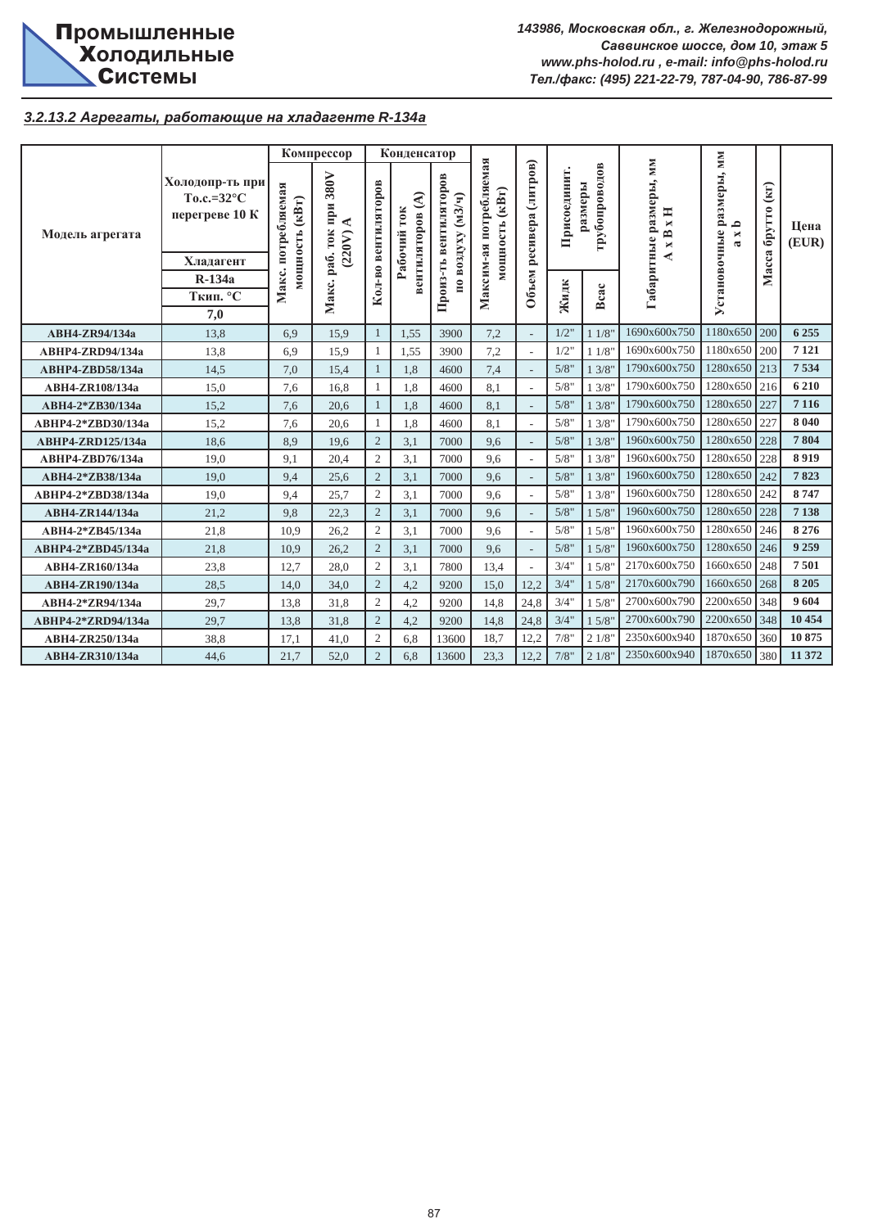

## **3.2.13.2 Агрегаты, работающие на хладагенте R-134a**

|                          |                                                                       |                                      | Компрессор                             |                     | Конденсатор                      |                                                 |                                             |                          |             |                          |                                            |                                                              |                                              |               |
|--------------------------|-----------------------------------------------------------------------|--------------------------------------|----------------------------------------|---------------------|----------------------------------|-------------------------------------------------|---------------------------------------------|--------------------------|-------------|--------------------------|--------------------------------------------|--------------------------------------------------------------|----------------------------------------------|---------------|
| Модель агрегата          | Холодопр-ть при<br>$To.c.=32^{\circ}C$<br>перегреве 10 К<br>Хладагент | Макс. потребляемая<br>иощность (кВт) | 380V<br>при<br>◀<br>раб. ток<br>(220V) | Кол-во вентиляторов | €<br>Рабочий ток<br>вентиляторов | вентиляторов<br>$(M3/\mathbf{q})$<br>по воздуху | потребляемая<br>мощность (кВт)<br>Максим-ая | ресивера (литров)        | Присоединит | грубопроводов<br>размеры | Габаритные размеры, мм<br>Ħ<br>×<br>B<br>× | Установочные размеры, мм<br>$\mathbf{a}$<br>×<br>$\tilde{a}$ | $\left( \text{KT}\right)$<br>брутто<br>Масса | Цена<br>(EUR) |
|                          | R-134a                                                                |                                      |                                        |                     |                                  | Произ-ть                                        |                                             | Объем                    |             |                          |                                            |                                                              |                                              |               |
|                          | Ткип. °С                                                              |                                      | Макс.                                  |                     |                                  |                                                 |                                             |                          | Жидк        | Bcac                     |                                            |                                                              |                                              |               |
|                          | 7,0                                                                   |                                      |                                        |                     |                                  |                                                 |                                             |                          |             |                          |                                            |                                                              |                                              |               |
| <b>ABH4-ZR94/134a</b>    | 13,8                                                                  | 6.9                                  | 15.9                                   |                     | 1,55                             | 3900                                            | 7,2                                         |                          | 1/2"        | 11/8"                    | 1690x600x750                               | 1180x650                                                     | 200                                          | 6 2 5 5       |
| ABHP4-ZRD94/134a         | 13,8                                                                  | 6.9                                  | 15.9                                   |                     | 1,55                             | 3900                                            | 7,2                                         | $\sim$                   | 1/2"        | 11/8"                    | 1690x600x750                               | 1180x650                                                     | 200                                          | 7 1 2 1       |
| ABHP4-ZBD58/134a         | 14,5                                                                  | 7,0                                  | 15,4                                   |                     | 1,8                              | 4600                                            | 7,4                                         |                          | 5/8"        | 13/8"                    | 1790x600x750                               | 1280x650 213                                                 |                                              | 7534          |
| ABH4-ZR108/134a          | 15,0                                                                  | 7,6                                  | 16,8                                   | $\mathbf{1}$        | 1,8                              | 4600                                            | 8,1                                         | $\overline{\phantom{a}}$ | 5/8"        | 13/8"                    | 1790x600x750                               | 1280x650                                                     | 216                                          | 6 2 10        |
| ABH4-2*ZB30/134a         | 15,2                                                                  | 7,6                                  | 20,6                                   |                     | 1,8                              | 4600                                            | 8,1                                         |                          | 5/8"        | 13/8"                    | 1790x600x750                               | 1280x650                                                     | 227                                          | 7 1 1 6       |
| ABHP4-2*ZBD30/134a       | 15,2                                                                  | 7.6                                  | 20.6                                   | $\mathbf{1}$        | 1.8                              | 4600                                            | 8.1                                         |                          | 5/8"        | 13/8"                    | 1790x600x750                               | 1280x650                                                     | 227                                          | 8 0 4 0       |
| <b>ABHP4-ZRD125/134a</b> | 18,6                                                                  | 8,9                                  | 19,6                                   | $\overline{2}$      | 3,1                              | 7000                                            | 9,6                                         | $\overline{\phantom{a}}$ | 5/8"        | 13/8"                    | 1960x600x750                               | 1280x650                                                     | 228                                          | 7804          |
| ABHP4-ZBD76/134a         | 19,0                                                                  | 9,1                                  | 20,4                                   | $\overline{2}$      | 3,1                              | 7000                                            | 9,6                                         | $\overline{a}$           | 5/8"        | 13/8"                    | 1960x600x750                               | 1280x650                                                     | 228                                          | 8919          |
| ABH4-2*ZB38/134a         | 19,0                                                                  | 9,4                                  | 25,6                                   | $\overline{2}$      | 3,1                              | 7000                                            | 9,6                                         | $\overline{a}$           | 5/8"        | 13/8"                    | 1960x600x750                               | 1280x650 242                                                 |                                              | 7823          |
| ABHP4-2*ZBD38/134a       | 19.0                                                                  | 9,4                                  | 25.7                                   | $\overline{2}$      | 3.1                              | 7000                                            | 9.6                                         |                          | 5/8"        | 13/8"                    | 1960x600x750                               | 1280x650                                                     | 242                                          | 8747          |
| ABH4-ZR144/134a          | 21,2                                                                  | 9,8                                  | 22,3                                   | $\overline{2}$      | 3,1                              | 7000                                            | 9,6                                         |                          | 5/8"        | 15/8"                    | 1960x600x750                               | 1280x650                                                     | 228                                          | 7 1 38        |
| ABH4-2*ZB45/134a         | 21,8                                                                  | 10,9                                 | 26,2                                   | $\overline{2}$      | 3,1                              | 7000                                            | 9,6                                         |                          | 5/8"        | 15/8"                    | 1960x600x750                               | 1280x650                                                     | 246                                          | 8 2 7 6       |
| ABHP4-2*ZBD45/134a       | 21,8                                                                  | 10.9                                 | 26,2                                   | $\overline{2}$      | 3,1                              | 7000                                            | 9,6                                         |                          | 5/8"        | 1.5/8"                   | 1960x600x750                               | 1280x650                                                     | 246                                          | 9 2 5 9       |
| ABH4-ZR160/134a          | 23,8                                                                  | 12.7                                 | 28.0                                   | $\overline{2}$      | 3,1                              | 7800                                            | 13,4                                        |                          | 3/4"        | 1.5/8"                   | 2170x600x750                               | 1660x650                                                     | 248                                          | 7501          |
| ABH4-ZR190/134a          | 28,5                                                                  | 14.0                                 | 34,0                                   | $\overline{2}$      | 4,2                              | 9200                                            | 15,0                                        | 12.2                     | 3/4"        | 1.5/8"                   | 2170x600x790                               | 1660x650                                                     | 268                                          | 8 2 0 5       |
| ABH4-2*ZR94/134a         | 29,7                                                                  | 13,8                                 | 31,8                                   | $\overline{2}$      | 4,2                              | 9200                                            | 14,8                                        | 24,8                     | 3/4"        | 1.5/8"                   | 2700x600x790                               | 2200x650                                                     | 348                                          | 9604          |
| ABHP4-2*ZRD94/134a       | 29,7                                                                  | 13,8                                 | 31,8                                   | $\overline{2}$      | 4,2                              | 9200                                            | 14,8                                        | 24,8                     | 3/4"        | 15/8"                    | 2700x600x790                               | 2200x650                                                     | 348                                          | 10 454        |
| ABH4-ZR250/134a          | 38,8                                                                  | 17,1                                 | 41,0                                   | $\overline{2}$      | 6,8                              | 13600                                           | 18,7                                        | 12,2                     | 7/8"        | 21/8"                    | 2350x600x940                               | 1870x650                                                     | 360                                          | 10875         |
| ABH4-ZR310/134a          | 44,6                                                                  | 21,7                                 | 52,0                                   | $\overline{2}$      | 6,8                              | 13600                                           | 23,3                                        | 12,2                     | 7/8"        | 21/8"                    | 2350x600x940                               | 1870x650                                                     | 380                                          | 11 372        |